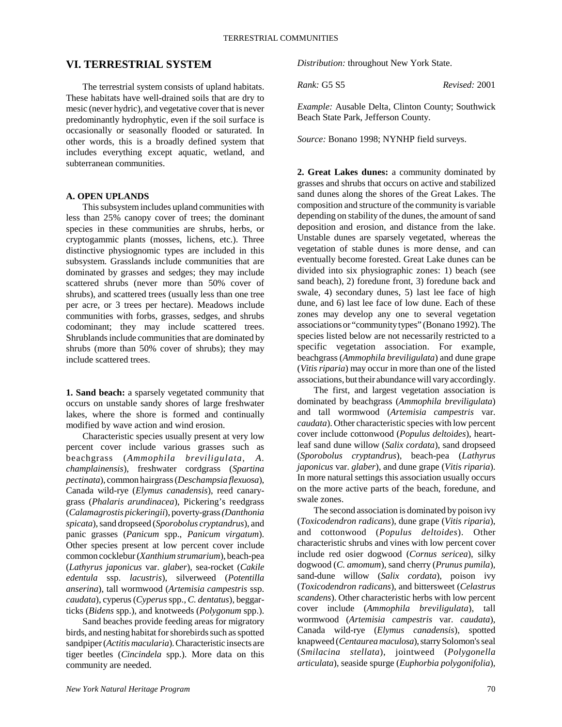# **VI. TERRESTRIAL SYSTEM**

The terrestrial system consists of upland habitats. These habitats have well-drained soils that are dry to mesic (never hydric), and vegetative cover that is never predominantly hydrophytic, even if the soil surface is occasionally or seasonally flooded or saturated. In other words, this is a broadly defined system that includes everything except aquatic, wetland, and subterranean communities.

### **A. OPEN UPLANDS**

This subsystem includes upland communities with less than 25% canopy cover of trees; the dominant species in these communities are shrubs, herbs, or cryptogammic plants (mosses, lichens, etc.). Three distinctive physiognomic types are included in this subsystem. Grasslands include communities that are dominated by grasses and sedges; they may include scattered shrubs (never more than 50% cover of shrubs), and scattered trees (usually less than one tree per acre, or 3 trees per hectare). Meadows include communities with forbs, grasses, sedges, and shrubs codominant; they may include scattered trees. Shrublands include communities that are dominated by shrubs (more than 50% cover of shrubs); they may include scattered trees.

**1. Sand beach:** a sparsely vegetated community that occurs on unstable sandy shores of large freshwater lakes, where the shore is formed and continually modified by wave action and wind erosion.

Characteristic species usually present at very low percent cover include various grasses such as beachgrass (*Ammophila breviligulata*, *A. champlainensis*), freshwater cordgrass (*Spartina pectinata*), common hairgrass (*Deschampsia flexuosa*), Canada wild-rye (*Elymus canadensis*), reed canarygrass (*Phalaris arundinacea*), Pickering's reedgrass (*Calamagrostis pickeringii*), poverty-grass *(Danthonia spicata*), sand dropseed (*Sporobolus cryptandrus*), and panic grasses (*Panicum* spp., *Panicum virgatum*). Other species present at low percent cover include common cocklebur (*Xanthium strumarium*), beach-pea (*Lathyrus japonicus* var. *glaber*), sea-rocket (*Cakile edentula* ssp. *lacustris*), silverweed (*Potentilla anserina*), tall wormwood (*Artemisia campestris* ssp. *caudata*), cyperus (*Cyperus* spp., *C. dentatus*), beggarticks (*Bidens* spp.), and knotweeds (*Polygonum* spp.).

Sand beaches provide feeding areas for migratory birds, and nesting habitat for shorebirds such as spotted sandpiper (*Actitis macularia*). Characteristic insects are tiger beetles (*Cincindela* spp.). More data on this community are needed.

*Distribution:* throughout New York State.

*Rank:* G5 S5 *Revised:* 2001

*Example:* Ausable Delta, Clinton County; Southwick Beach State Park, Jefferson County.

*Source:* Bonano 1998; NYNHP field surveys.

**2. Great Lakes dunes:** a community dominated by grasses and shrubs that occurs on active and stabilized sand dunes along the shores of the Great Lakes. The composition and structure of the community is variable depending on stability of the dunes, the amount of sand deposition and erosion, and distance from the lake. Unstable dunes are sparsely vegetated, whereas the vegetation of stable dunes is more dense, and can eventually become forested. Great Lake dunes can be divided into six physiographic zones: 1) beach (see sand beach), 2) foredune front, 3) foredune back and swale, 4) secondary dunes, 5) last lee face of high dune, and 6) last lee face of low dune. Each of these zones may develop any one to several vegetation associations or "community types" (Bonano 1992). The species listed below are not necessarily restricted to a specific vegetation association. For example, beachgrass (*Ammophila breviligulata*) and dune grape (*Vitis riparia*) may occur in more than one of the listed associations, but their abundance will vary accordingly.

The first, and largest vegetation association is dominated by beachgrass (*Ammophila breviligulata*) and tall wormwood (*Artemisia campestris* var. *caudata*). Other characteristic species with low percent cover include cottonwood (*Populus deltoides*), heartleaf sand dune willow (*Salix cordata*), sand dropseed (*Sporobolus cryptandrus*), beach-pea (*Lathyrus japonicus* var. *glaber*), and dune grape (*Vitis riparia*). In more natural settings this association usually occurs on the more active parts of the beach, foredune, and swale zones.

The second association is dominated by poison ivy (*Toxicodendron radicans*), dune grape (*Vitis riparia*), and cottonwood (*Populus deltoides*). Other characteristic shrubs and vines with low percent cover include red osier dogwood (*Cornus sericea*), silky dogwood (*C. amomum*), sand cherry (*Prunus pumila*), sand-dune willow (*Salix cordata*), poison ivy (*Toxicodendron radicans*), and bittersweet (*Celastrus scandens*). Other characteristic herbs with low percent cover include (*Ammophila breviligulata*), tall wormwood (*Artemisia campestris* var. *caudata*), Canada wild-rye (*Elymus canadensis*), spotted knapweed (*Centaurea maculosa*), starry Solomon's seal (*Smilacina stellata*), jointweed (*Polygonella articulata*), seaside spurge (*Euphorbia polygonifolia*),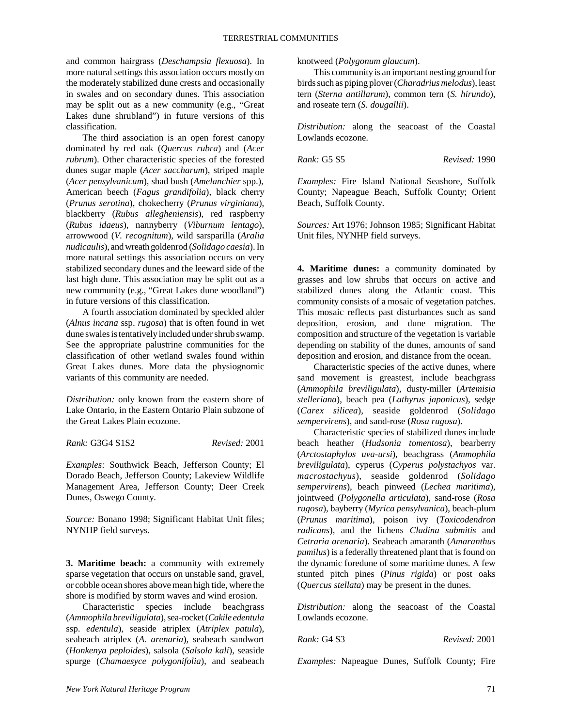and common hairgrass (*Deschampsia flexuosa*). In more natural settings this association occurs mostly on the moderately stabilized dune crests and occasionally in swales and on secondary dunes. This association may be split out as a new community (e.g., "Great Lakes dune shrubland") in future versions of this classification.

The third association is an open forest canopy dominated by red oak (*Quercus rubra*) and (*Acer rubrum*). Other characteristic species of the forested dunes sugar maple (*Acer saccharum*), striped maple (*Acer pensylvanicum*), shad bush (*Amelanchier* spp.), American beech (*Fagus grandifolia*), black cherry (*Prunus serotina*), chokecherry (*Prunus virginiana*), blackberry (*Rubus allegheniensis*), red raspberry (*Rubus idaeus*), nannyberry (*Viburnum lentago*), arrowwood (*V. recognitum*), wild sarsparilla (*Aralia nudicaulis*), and wreath goldenrod (*Solidago caesia*). In more natural settings this association occurs on very stabilized secondary dunes and the leeward side of the last high dune. This association may be split out as a new community (e.g., "Great Lakes dune woodland") in future versions of this classification.

A fourth association dominated by speckled alder (*Alnus incana* ssp. *rugosa*) that is often found in wet dune swales is tentatively included under shrub swamp. See the appropriate palustrine communities for the classification of other wetland swales found within Great Lakes dunes. More data the physiognomic variants of this community are needed.

*Distribution:* only known from the eastern shore of Lake Ontario, in the Eastern Ontario Plain subzone of the Great Lakes Plain ecozone.

*Rank:* G3G4 S1S2 *Revised:* 2001

*Examples:* Southwick Beach, Jefferson County; El Dorado Beach, Jefferson County; Lakeview Wildlife Management Area, Jefferson County; Deer Creek Dunes, Oswego County.

*Source:* Bonano 1998; Significant Habitat Unit files; NYNHP field surveys.

**3. Maritime beach:** a community with extremely sparse vegetation that occurs on unstable sand, gravel, or cobble ocean shores above mean high tide, where the shore is modified by storm waves and wind erosion.

Characteristic species include beachgrass (*Ammophila breviligulata*), sea-rocket (*Cakile edentula* ssp. *edentula*), seaside atriplex (*Atriplex patula*), seabeach atriplex (*A. arenaria*), seabeach sandwort (*Honkenya peploides*), salsola (*Salsola kali*), seaside spurge (*Chamaesyce polygonifolia*), and seabeach knotweed (*Polygonum glaucum*).

This community is an important nesting ground for birds such as piping plover (*Charadrius melodus*), least tern (*Sterna antillarum*), common tern (*S. hirundo*), and roseate tern (*S. dougallii*).

*Distribution:* along the seacoast of the Coastal Lowlands ecozone.

*Rank:* G5 S5 *Revised:* 1990

*Examples:* Fire Island National Seashore, Suffolk County; Napeague Beach, Suffolk County; Orient Beach, Suffolk County.

*Sources:* Art 1976; Johnson 1985; Significant Habitat Unit files, NYNHP field surveys.

**4. Maritime dunes:** a community dominated by grasses and low shrubs that occurs on active and stabilized dunes along the Atlantic coast. This community consists of a mosaic of vegetation patches. This mosaic reflects past disturbances such as sand deposition, erosion, and dune migration. The composition and structure of the vegetation is variable depending on stability of the dunes, amounts of sand deposition and erosion, and distance from the ocean.

Characteristic species of the active dunes, where sand movement is greastest, include beachgrass (*Ammophila breviligulata*), dusty-miller (*Artemisia stelleriana*), beach pea (*Lathyrus japonicus*), sedge (*Carex silicea*), seaside goldenrod (*Solidago sempervirens*), and sand-rose (*Rosa rugosa*).

Characteristic species of stabilized dunes include beach heather (*Hudsonia tomentosa*), bearberry (*Arctostaphylos uva-ursi*), beachgrass (*Ammophila breviligulata*), cyperus (*Cyperus polystachyos* var. *macrostachyus*), seaside goldenrod (*Solidago sempervirens*), beach pinweed (*Lechea maritima*), jointweed (*Polygonella articulata*), sand-rose (*Rosa rugosa*), bayberry (*Myrica pensylvanica*), beach-plum (*Prunus maritima*), poison ivy (*Toxicodendron radicans*), and the lichens *Cladina submitis* and *Cetraria arenaria*). Seabeach amaranth (*Amaranthus pumilus*) is a federally threatened plant that is found on the dynamic foredune of some maritime dunes. A few stunted pitch pines (*Pinus rigida*) or post oaks (*Quercus stellata*) may be present in the dunes.

*Distribution:* along the seacoast of the Coastal Lowlands ecozone.

*Rank:* G4 S3 *Revised:* 2001

*Examples:* Napeague Dunes, Suffolk County; Fire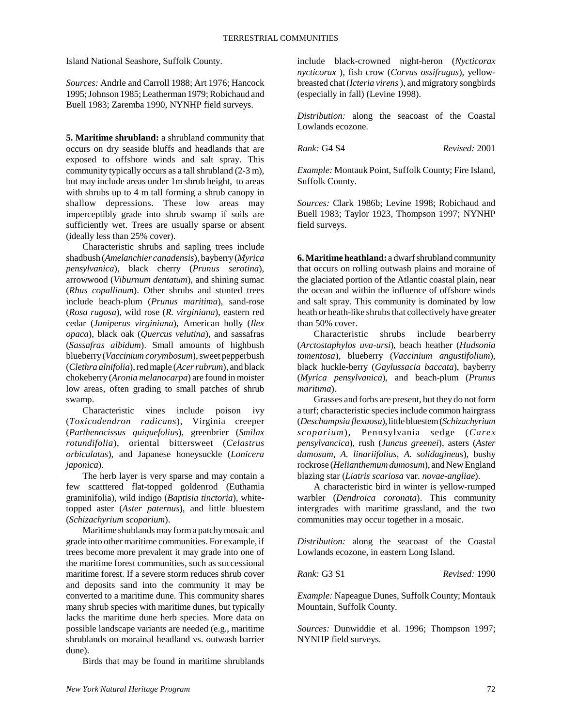Island National Seashore, Suffolk County.

*Sources:* Andrle and Carroll 1988; Art 1976; Hancock 1995; Johnson 1985; Leatherman 1979; Robichaud and Buell 1983; Zaremba 1990, NYNHP field surveys.

**5. Maritime shrubland:** a shrubland community that occurs on dry seaside bluffs and headlands that are exposed to offshore winds and salt spray. This community typically occurs as a tall shrubland (2-3 m), but may include areas under 1m shrub height, to areas with shrubs up to 4 m tall forming a shrub canopy in shallow depressions. These low areas may imperceptibly grade into shrub swamp if soils are sufficiently wet. Trees are usually sparse or absent (ideally less than 25% cover).

Characteristic shrubs and sapling trees include shadbush (*Amelanchier canadensis*), bayberry (*Myrica pensylvanica*), black cherry (*Prunus serotina*), arrowwood (*Viburnum dentatum*), and shining sumac (*Rhus copallinum*). Other shrubs and stunted trees include beach-plum (*Prunus maritima*), sand-rose (*Rosa rugosa*), wild rose (*R. virginiana*), eastern red cedar (*Juniperus virginiana*), American holly (*Ilex opaca*), black oak (*Quercus velutina*), and sassafras (*Sassafras albidum*). Small amounts of highbush blueberry (*Vaccinium corymbosum*), sweet pepperbush (*Clethra alnifolia*), red maple (*Acer rubrum*), and black chokeberry (*Aronia melanocarpa*) are found in moister low areas, often grading to small patches of shrub swamp.

Characteristic vines include poison ivy (*Toxicodendron radicans*), Virginia creeper (*Parthenocissus quiquefolius*), greenbrier (*Smilax rotundifolia*), oriental bittersweet (*Celastrus orbiculatus*), and Japanese honeysuckle (*Lonicera japonica*).

The herb layer is very sparse and may contain a few scatttered flat-topped goldenrod (Euthamia graminifolia), wild indigo (*Baptisia tinctoria*), whitetopped aster (*Aster paternus*), and little bluestem (*Schizachyrium scoparium*).

Maritime shublands may form a patchy mosaic and grade into other maritime communities. For example, if trees become more prevalent it may grade into one of the maritime forest communities, such as successional maritime forest. If a severe storm reduces shrub cover and deposits sand into the community it may be converted to a maritime dune. This community shares many shrub species with maritime dunes, but typically lacks the maritime dune herb species. More data on possible landscape variants are needed (e.g., maritime shrublands on morainal headland vs. outwash barrier dune).

Birds that may be found in maritime shrublands

include black-crowned night-heron (*Nycticorax nycticorax* ), fish crow (*Corvus ossifragus*), yellowbreasted chat (*Icteria virens* ), and migratory songbirds (especially in fall) (Levine 1998).

*Distribution:* along the seacoast of the Coastal Lowlands ecozone.

*Rank:* G4 S4 *Revised:* 2001

*Example:* Montauk Point, Suffolk County; Fire Island, Suffolk County.

*Sources:* Clark 1986b; Levine 1998; Robichaud and Buell 1983; Taylor 1923, Thompson 1997; NYNHP field surveys.

**6. Maritime heathland:** a dwarf shrubland community that occurs on rolling outwash plains and moraine of the glaciated portion of the Atlantic coastal plain, near the ocean and within the influence of offshore winds and salt spray. This community is dominated by low heath or heath-like shrubs that collectively have greater than 50% cover.

Characteristic shrubs include bearberry (*Arctostaphylos uva-ursi*), beach heather (*Hudsonia tomentosa*), blueberry (*Vaccinium angustifolium*), black huckle-berry (*Gaylussacia baccata*), bayberry (*Myrica pensylvanica*), and beach-plum (*Prunus maritima*).

Grasses and forbs are present, but they do not form a turf; characteristic species include common hairgrass (*Deschampsia flexuosa*), little bluestem (*Schizachyrium scoparium*), Pennsylvania sedge (*Carex pensylvancica*), rush (*Juncus greenei*), asters (*Aster dumosum, A. linariifolius, A. solidagineus*), bushy rockrose (*Helianthemum dumosum*), and New England blazing star (*Liatris scariosa* var. *novae-angliae*).

A characteristic bird in winter is yellow-rumped warbler (*Dendroica coronata*). This community intergrades with maritime grassland, and the two communities may occur together in a mosaic.

*Distribution:* along the seacoast of the Coastal Lowlands ecozone, in eastern Long Island.

*Rank:* G3 S1 *Revised:* 1990

*Example:* Napeague Dunes, Suffolk County; Montauk Mountain, Suffolk County.

*Sources:* Dunwiddie et al. 1996; Thompson 1997; NYNHP field surveys.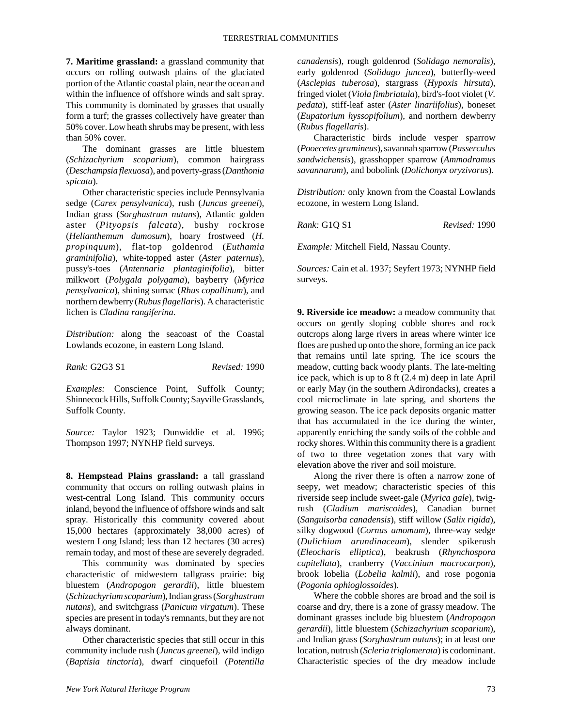**7. Maritime grassland:** a grassland community that occurs on rolling outwash plains of the glaciated portion of the Atlantic coastal plain, near the ocean and within the influence of offshore winds and salt spray. This community is dominated by grasses that usually form a turf; the grasses collectively have greater than 50% cover. Low heath shrubs may be present, with less than 50% cover.

The dominant grasses are little bluestem (*Schizachyrium scoparium*), common hairgrass (*Deschampsia flexuosa*), and poverty-grass (*Danthonia spicata*).

Other characteristic species include Pennsylvania sedge (*Carex pensylvanica*), rush (*Juncus greenei*), Indian grass (*Sorghastrum nutans*), Atlantic golden aster (*Pityopsis falcata*), bushy rockrose (*Helianthemum dumosum*), hoary frostweed (*H. propinquum*), flat-top goldenrod (*Euthamia graminifolia*), white-topped aster (*Aster paternus*), pussy's-toes (*Antennaria plantaginifolia*), bitter milkwort (*Polygala polygama*), bayberry (*Myrica pensylvanica*), shining sumac (*Rhus copallinum*), and northern dewberry (*Rubus flagellaris*). A characteristic lichen is *Cladina rangiferina*.

*Distribution:* along the seacoast of the Coastal Lowlands ecozone, in eastern Long Island.

*Rank:* G2G3 S1 *Revised:* 1990

*Examples:* Conscience Point, Suffolk County; Shinnecock Hills, Suffolk County; Sayville Grasslands, Suffolk County.

*Source:* Taylor 1923; Dunwiddie et al. 1996; Thompson 1997; NYNHP field surveys.

**8. Hempstead Plains grassland:** a tall grassland community that occurs on rolling outwash plains in west-central Long Island. This community occurs inland, beyond the influence of offshore winds and salt spray. Historically this community covered about 15,000 hectares (approximately 38,000 acres) of western Long Island; less than 12 hectares (30 acres) remain today, and most of these are severely degraded.

This community was dominated by species characteristic of midwestern tallgrass prairie: big bluestem (*Andropogon gerardii*), little bluestem (*Schizachyrium scoparium*), Indian grass (*Sorghastrum nutans*), and switchgrass (*Panicum virgatum*). These species are present in today's remnants, but they are not always dominant.

Other characteristic species that still occur in this community include rush (*Juncus greenei*), wild indigo (*Baptisia tinctoria*), dwarf cinquefoil (*Potentilla*

*canadensis*), rough goldenrod (*Solidago nemoralis*), early goldenrod (*Solidago juncea*), butterfly-weed (*Asclepias tuberosa*), stargrass (*Hypoxis hirsuta*), fringed violet (*Viola fimbriatula*), bird's-foot violet (*V. pedata*), stiff-leaf aster (*Aster linariifolius*), boneset (*Eupatorium hyssopifolium*), and northern dewberry (*Rubus flagellaris*).

Characteristic birds include vesper sparrow (*Pooecetes gramineus*), savannah sparrow (*Passerculus sandwichensis*), grasshopper sparrow (*Ammodramus savannarum*), and bobolink (*Dolichonyx oryzivorus*).

*Distribution:* only known from the Coastal Lowlands ecozone, in western Long Island.

*Rank:* G1Q S1 *Revised:* 1990

*Example:* Mitchell Field, Nassau County.

*Sources:* Cain et al. 1937; Seyfert 1973; NYNHP field surveys.

**9. Riverside ice meadow:** a meadow community that occurs on gently sloping cobble shores and rock outcrops along large rivers in areas where winter ice floes are pushed up onto the shore, forming an ice pack that remains until late spring. The ice scours the meadow, cutting back woody plants. The late-melting ice pack, which is up to 8 ft (2.4 m) deep in late April or early May (in the southern Adirondacks), creates a cool microclimate in late spring, and shortens the growing season. The ice pack deposits organic matter that has accumulated in the ice during the winter, apparently enriching the sandy soils of the cobble and rocky shores. Within this community there is a gradient of two to three vegetation zones that vary with elevation above the river and soil moisture.

Along the river there is often a narrow zone of seepy, wet meadow; characteristic species of this riverside seep include sweet-gale (*Myrica gale*), twigrush (*Cladium mariscoides*), Canadian burnet (*Sanguisorba canadensis*), stiff willow (*Salix rigida*), silky dogwood (*Cornus amomum*), three-way sedge (*Dulichium arundinaceum*), slender spikerush (*Eleocharis elliptica*), beakrush (*Rhynchospora capitellata*), cranberry (*Vaccinium macrocarpon*), brook lobelia (*Lobelia kalmii*), and rose pogonia (*Pogonia ophioglossoides*).

Where the cobble shores are broad and the soil is coarse and dry, there is a zone of grassy meadow. The dominant grasses include big bluestem (*Andropogon gerardii*), little bluestem (*Schizachyrium scoparium*), and Indian grass (*Sorghastrum nutans*); in at least one location, nutrush (*Scleria triglomerata*) is codominant. Characteristic species of the dry meadow include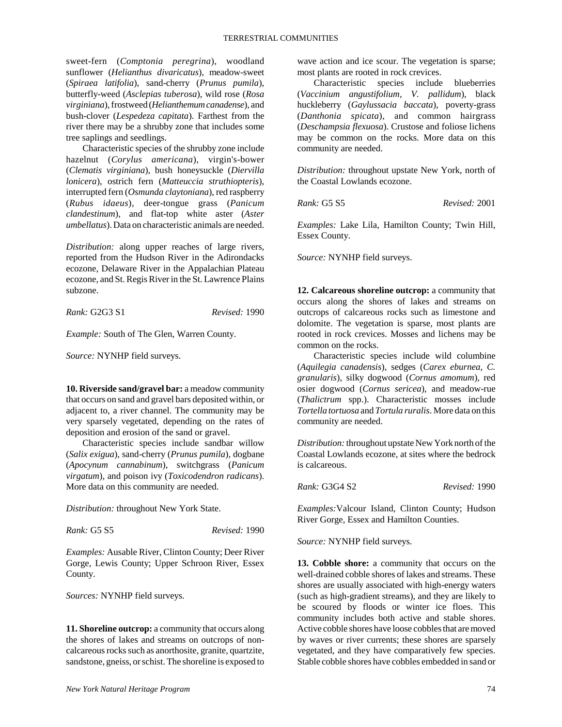sweet-fern (*Comptonia peregrina*), woodland sunflower (*Helianthus divaricatus*), meadow-sweet (*Spiraea latifolia*), sand-cherry (*Prunus pumila*), butterfly-weed (*Asclepias tuberosa*), wild rose (*Rosa virginiana*), frostweed (*Helianthemum canadense*), and bush-clover (*Lespedeza capitata*). Farthest from the river there may be a shrubby zone that includes some tree saplings and seedlings.

Characteristic species of the shrubby zone include hazelnut (*Corylus americana*), virgin's-bower (*Clematis virginiana*), bush honeysuckle (*Diervilla lonicera*), ostrich fern (*Matteuccia struthiopteris*), interrupted fern (*Osmunda claytoniana*), red raspberry (*Rubus idaeus*), deer-tongue grass (*Panicum clandestinum*), and flat-top white aster (*Aster umbellatus*). Data on characteristic animals are needed.

*Distribution:* along upper reaches of large rivers, reported from the Hudson River in the Adirondacks ecozone, Delaware River in the Appalachian Plateau ecozone, and St. Regis River in the St. Lawrence Plains subzone.

*Rank:* G2G3 S1 *Revised:* 1990

*Example:* South of The Glen, Warren County.

*Source:* NYNHP field surveys.

**10. Riverside sand/gravel bar:** a meadow community that occurs on sand and gravel bars deposited within, or adjacent to, a river channel. The community may be very sparsely vegetated, depending on the rates of deposition and erosion of the sand or gravel.

Characteristic species include sandbar willow (*Salix exigua*), sand-cherry (*Prunus pumila*), dogbane (*Apocynum cannabinum*), switchgrass (*Panicum virgatum*), and poison ivy (*Toxicodendron radicans*). More data on this community are needed.

*Distribution:* throughout New York State.

*Rank:* G5 S5 *Revised:* 1990

*Examples:* Ausable River, Clinton County; Deer River Gorge, Lewis County; Upper Schroon River, Essex County.

*Sources:* NYNHP field surveys.

**11. Shoreline outcrop:** a community that occurs along the shores of lakes and streams on outcrops of noncalcareous rocks such as anorthosite, granite, quartzite, sandstone, gneiss, or schist. The shoreline is exposed to

wave action and ice scour. The vegetation is sparse; most plants are rooted in rock crevices.

Characteristic species include blueberries (*Vaccinium angustifolium, V. pallidum*), black huckleberry (*Gaylussacia baccata*), poverty-grass (*Danthonia spicata*), and common hairgrass (*Deschampsia flexuosa*). Crustose and foliose lichens may be common on the rocks. More data on this community are needed.

*Distribution:* throughout upstate New York, north of the Coastal Lowlands ecozone.

*Rank:* G5 S5 *Revised:* 2001

*Examples:* Lake Lila, Hamilton County; Twin Hill, Essex County.

*Source:* NYNHP field surveys.

**12. Calcareous shoreline outcrop:** a community that occurs along the shores of lakes and streams on outcrops of calcareous rocks such as limestone and dolomite. The vegetation is sparse, most plants are rooted in rock crevices. Mosses and lichens may be common on the rocks.

Characteristic species include wild columbine (*Aquilegia canadensis*), sedges (*Carex eburnea, C. granularis*), silky dogwood (*Cornus amomum*), red osier dogwood (*Cornus sericea*), and meadow-rue (*Thalictrum* spp.). Characteristic mosses include *Tortella tortuosa* and *Tortula ruralis*. More data on this community are needed.

*Distribution:* throughout upstate New York north of the Coastal Lowlands ecozone, at sites where the bedrock is calcareous.

*Rank:* G3G4 S2 *Revised:* 1990

*Examples:*Valcour Island, Clinton County; Hudson River Gorge, Essex and Hamilton Counties.

*Source:* NYNHP field surveys.

**13. Cobble shore:** a community that occurs on the well-drained cobble shores of lakes and streams. These shores are usually associated with high-energy waters (such as high-gradient streams), and they are likely to be scoured by floods or winter ice floes. This community includes both active and stable shores. Active cobble shores have loose cobbles that are moved by waves or river currents; these shores are sparsely vegetated, and they have comparatively few species. Stable cobble shores have cobbles embedded in sand or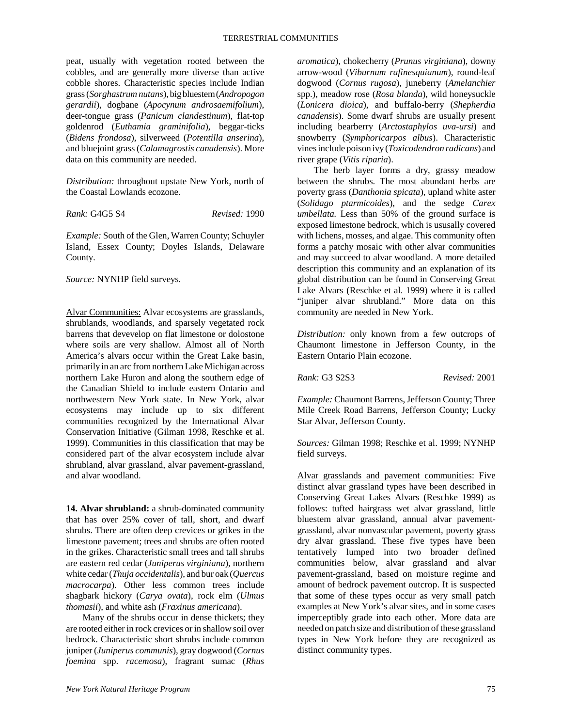peat, usually with vegetation rooted between the cobbles, and are generally more diverse than active cobble shores. Characteristic species include Indian grass (*Sorghastrum nutans*), big bluestem (*Andropogon gerardii*), dogbane (*Apocynum androsaemifolium*), deer-tongue grass (*Panicum clandestinum*), flat-top goldenrod (*Euthamia graminifolia*), beggar-ticks (*Bidens frondosa*), silverweed (*Potentilla anserina*), and bluejoint grass (*Calamagrostis canadensis*). More data on this community are needed.

*Distribution:* throughout upstate New York, north of the Coastal Lowlands ecozone.

*Rank:* G4G5 S4 *Revised:* 1990

*Example:* South of the Glen, Warren County; Schuyler Island, Essex County; Doyles Islands, Delaware County.

*Source:* NYNHP field surveys.

Alvar Communities: Alvar ecosystems are grasslands, shrublands, woodlands, and sparsely vegetated rock barrens that devevelop on flat limestone or dolostone where soils are very shallow. Almost all of North America's alvars occur within the Great Lake basin, primarily in an arc from northern Lake Michigan across northern Lake Huron and along the southern edge of the Canadian Shield to include eastern Ontario and northwestern New York state. In New York, alvar ecosystems may include up to six different communities recognized by the International Alvar Conservation Initiative (Gilman 1998, Reschke et al. 1999). Communities in this classification that may be considered part of the alvar ecosystem include alvar shrubland, alvar grassland, alvar pavement-grassland, and alvar woodland.

**14. Alvar shrubland:** a shrub-dominated community that has over 25% cover of tall, short, and dwarf shrubs. There are often deep crevices or grikes in the limestone pavement; trees and shrubs are often rooted in the grikes. Characteristic small trees and tall shrubs are eastern red cedar (*Juniperus virginiana*), northern white cedar (*Thuja occidentalis*), and bur oak (*Quercus macrocarpa*). Other less common trees include shagbark hickory (*Carya ovata*), rock elm (*Ulmus thomasii*), and white ash (*Fraxinus americana*).

Many of the shrubs occur in dense thickets; they are rooted either in rock crevices or in shallow soil over bedrock. Characteristic short shrubs include common juniper (*Juniperus communis*), gray dogwood (*Cornus foemina* spp. *racemosa*), fragrant sumac (*Rhus*

*aromatica*), chokecherry (*Prunus virginiana*), downy arrow-wood (*Viburnum rafinesquianum*), round-leaf dogwood (*Cornus rugosa*), juneberry (*Amelanchier* spp.), meadow rose (*Rosa blanda*), wild honeysuckle (*Lonicera dioica*), and buffalo-berry (*Shepherdia canadensis*). Some dwarf shrubs are usually present including bearberry (*Arctostaphylos uva-ursi*) and snowberry (*Symphoricarpos albus*). Characteristic vines include poison ivy (*Toxicodendron radicans*) and river grape (*Vitis riparia*).

The herb layer forms a dry, grassy meadow between the shrubs. The most abundant herbs are poverty grass (*Danthonia spicata*), upland white aster (*Solidago ptarmicoides*), and the sedge *Carex umbellata.* Less than 50% of the ground surface is exposed limestone bedrock, which is ususally covered with lichens, mosses, and algae. This community often forms a patchy mosaic with other alvar communities and may succeed to alvar woodland. A more detailed description this community and an explanation of its global distribution can be found in Conserving Great Lake Alvars (Reschke et al. 1999) where it is called "juniper alvar shrubland." More data on this community are needed in New York.

*Distribution:* only known from a few outcrops of Chaumont limestone in Jefferson County, in the Eastern Ontario Plain ecozone.

*Rank:* G3 S2S3 *Revised:* 2001

*Example:* Chaumont Barrens, Jefferson County; Three Mile Creek Road Barrens, Jefferson County; Lucky Star Alvar, Jefferson County.

*Sources:* Gilman 1998; Reschke et al. 1999; NYNHP field surveys.

Alvar grasslands and pavement communities: Five distinct alvar grassland types have been described in Conserving Great Lakes Alvars (Reschke 1999) as follows: tufted hairgrass wet alvar grassland, little bluestem alvar grassland, annual alvar pavementgrassland, alvar nonvascular pavement, poverty grass dry alvar grassland. These five types have been tentatively lumped into two broader defined communities below, alvar grassland and alvar pavement-grassland, based on moisture regime and amount of bedrock pavement outcrop. It is suspected that some of these types occur as very small patch examples at New York's alvar sites, and in some cases imperceptibly grade into each other. More data are needed on patch size and distribution of these grassland types in New York before they are recognized as distinct community types.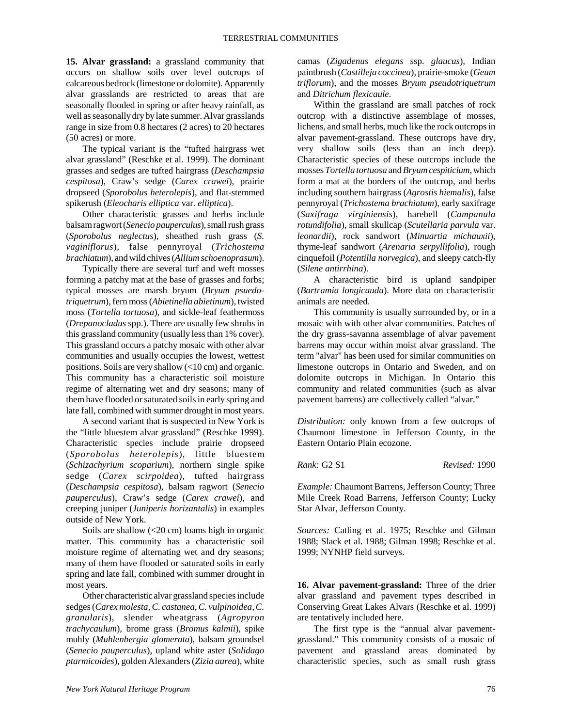**15. Alvar grassland:** a grassland community that occurs on shallow soils over level outcrops of calcareous bedrock (limestone or dolomite). Apparently alvar grasslands are restricted to areas that are seasonally flooded in spring or after heavy rainfall, as well as seasonally dry by late summer. Alvar grasslands range in size from 0.8 hectares (2 acres) to 20 hectares (50 acres) or more.

The typical variant is the "tufted hairgrass wet alvar grassland" (Reschke et al. 1999). The dominant grasses and sedges are tufted hairgrass (*Deschampsia cespitosa*), Craw's sedge (*Carex crawei*), prairie dropseed (*Sporobolus heterolepis*), and flat-stemmed spikerush (*Eleocharis elliptica* var. *elliptica*).

Other characteristic grasses and herbs include balsam ragwort (*Senecio pauperculus*), small rush grass (*Sporobolus neglectus*), sheathed rush grass (*S. vaginiflorus*), false pennyroyal (*Trichostema brachiatum*), and wild chives (*Allium schoenoprasum*).

Typically there are several turf and weft mosses forming a patchy mat at the base of grasses and forbs; typical mosses are marsh bryum (*Bryum psuedotriquetrum*), fern moss (*Abietinella abietinum*), twisted moss (*Tortella tortuosa*), and sickle-leaf feathermoss (*Drepanocladus* spp.). There are usually few shrubs in this grassland community (usually less than 1% cover). This grassland occurs a patchy mosaic with other alvar communities and usually occupies the lowest, wettest positions. Soils are very shallow (<10 cm) and organic. This community has a characteristic soil moisture regime of alternating wet and dry seasons; many of them have flooded or saturated soils in early spring and late fall, combined with summer drought in most years.

A second variant that is suspected in New York is the "little bluestem alvar grassland" (Reschke 1999). Characteristic species include prairie dropseed (*Sporobolus heterolepis*), little bluestem (*Schizachyrium scoparium*), northern single spike sedge (*Carex scirpoidea*), tufted hairgrass (*Deschampsia cespitosa*), balsam ragwort (*Senecio pauperculus*), Craw's sedge (*Carex crawei*), and creeping juniper (*Juniperis horizantalis*) in examples outside of New York.

Soils are shallow  $\left($  <20 cm) loams high in organic matter. This community has a characteristic soil moisture regime of alternating wet and dry seasons; many of them have flooded or saturated soils in early spring and late fall, combined with summer drought in most years.

Other characteristic alvar grassland species include sedges (*Carex molesta, C. castanea, C. vulpinoidea, C. granularis*), slender wheatgrass (*Agropyron trachycaulum*), brome grass (*Bromus kalmii*), spike muhly (*Muhlenbergia glomerata*), balsam groundsel (*Senecio pauperculus*), upland white aster (*Solidago ptarmicoides*), golden Alexanders (*Zizia aurea*), white camas (*Zigadenus elegans* ssp. *glaucus*), Indian paintbrush (*Castilleja coccinea*), prairie-smoke (*Geum triflorum*), and the mosses *Bryum pseudotriquetrum* and *Ditrichum flexicaule*.

Within the grassland are small patches of rock outcrop with a distinctive assemblage of mosses, lichens, and small herbs, much like the rock outcrops in alvar pavement-grassland. These outcrops have dry, very shallow soils (less than an inch deep). Characteristic species of these outcrops include the mosses *Tortella tortuosa* and *Bryum cespiticium*, which form a mat at the borders of the outcrop, and herbs including southern hairgrass (*Agrostis hiemalis*), false pennyroyal (*Trichostema brachiatum*), early saxifrage (*Saxifraga virginiensis*), harebell (*Campanula rotundifolia*), small skullcap (*Scutellaria parvula* var. *leonardii*), rock sandwort (*Minuartia michauxii*), thyme-leaf sandwort (*Arenaria serpyllifolia*), rough cinquefoil (*Potentilla norvegica*), and sleepy catch-fly (*Silene antirrhina*).

A characteristic bird is upland sandpiper (*Bartramia longicauda*). More data on characteristic animals are needed.

This community is usually surrounded by, or in a mosaic with with other alvar communities. Patches of the dry grass-savanna assemblage of alvar pavement barrens may occur within moist alvar grassland. The term "alvar" has been used for similar communities on limestone outcrops in Ontario and Sweden, and on dolomite outcrops in Michigan. In Ontario this community and related communities (such as alvar pavement barrens) are collectively called "alvar."

*Distribution:* only known from a few outcrops of Chaumont limestone in Jefferson County, in the Eastern Ontario Plain ecozone.

*Rank:* G2 S1 *Revised:* 1990

*Example:* Chaumont Barrens, Jefferson County; Three Mile Creek Road Barrens, Jefferson County; Lucky Star Alvar, Jefferson County.

*Sources:* Catling et al. 1975; Reschke and Gilman 1988; Slack et al. 1988; Gilman 1998; Reschke et al. 1999; NYNHP field surveys.

**16. Alvar pavement-grassland:** Three of the drier alvar grassland and pavement types described in Conserving Great Lakes Alvars (Reschke et al. 1999) are tentatively included here.

The first type is the "annual alvar pavementgrassland." This community consists of a mosaic of pavement and grassland areas dominated by characteristic species, such as small rush grass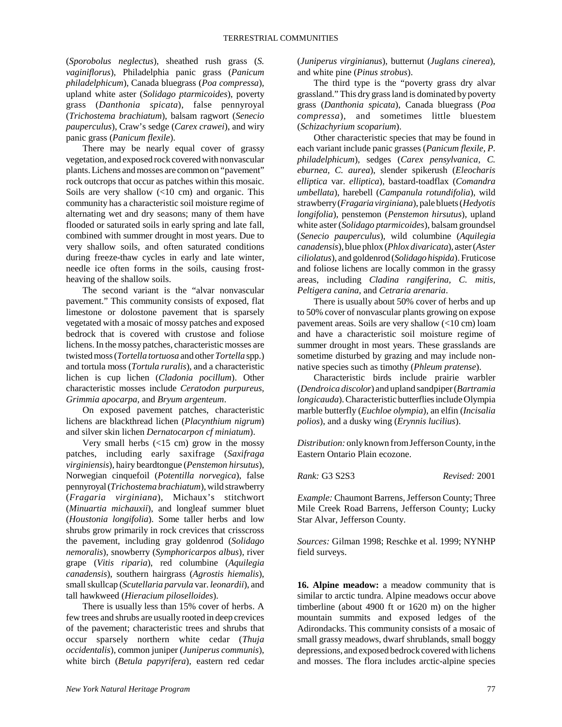(*Sporobolus neglectus*), sheathed rush grass (*S. vaginiflorus*), Philadelphia panic grass (*Panicum philadelphicum*), Canada bluegrass (*Poa compressa*), upland white aster (*Solidago ptarmicoides*), poverty grass (*Danthonia spicata*), false pennyroyal (*Trichostema brachiatum*), balsam ragwort (*Senecio pauperculus*), Craw's sedge (*Carex crawei*), and wiry panic grass (*Panicum flexile*).

There may be nearly equal cover of grassy vegetation, and exposed rock covered with nonvascular plants. Lichens and mosses are common on "pavement" rock outcrops that occur as patches within this mosaic. Soils are very shallow  $\left($ <10 cm) and organic. This community has a characteristic soil moisture regime of alternating wet and dry seasons; many of them have flooded or saturated soils in early spring and late fall, combined with summer drought in most years. Due to very shallow soils, and often saturated conditions during freeze-thaw cycles in early and late winter, needle ice often forms in the soils, causing frostheaving of the shallow soils.

The second variant is the "alvar nonvascular pavement." This community consists of exposed, flat limestone or dolostone pavement that is sparsely vegetated with a mosaic of mossy patches and exposed bedrock that is covered with crustose and foliose lichens. In the mossy patches, characteristic mosses are twisted moss (*Tortella tortuosa* and other *Tortella* spp.) and tortula moss (*Tortula ruralis*), and a characteristic lichen is cup lichen (*Cladonia pocillum*). Other characteristic mosses include *Ceratodon purpureus, Grimmia apocarpa,* and *Bryum argenteum*.

On exposed pavement patches, characteristic lichens are blackthread lichen (*Placynthium nigrum*) and silver skin lichen *Dernatocarpon cf miniatum*).

Very small herbs  $\left($  <15 cm) grow in the mossy patches, including early saxifrage (*Saxifraga virginiensis*), hairy beardtongue (*Penstemon hirsutus*), Norwegian cinquefoil (*Potentilla norvegica*), false pennyroyal (*Trichostema brachiatum*), wild strawberry (*Fragaria virginiana*), Michaux's stitchwort (*Minuartia michauxii*), and longleaf summer bluet (*Houstonia longifolia*). Some taller herbs and low shrubs grow primarily in rock crevices that crisscross the pavement, including gray goldenrod (*Solidago nemoralis*), snowberry (*Symphoricarpos albus*), river grape (*Vitis riparia*), red columbine (*Aquilegia canadensis*), southern hairgrass (*Agrostis hiemalis*), small skullcap (*Scutellaria parvula* var. *leonardii*), and tall hawkweed (*Hieracium piloselloides*).

There is usually less than 15% cover of herbs. A few trees and shrubs are usually rooted in deep crevices of the pavement; characteristic trees and shrubs that occur sparsely northern white cedar (*Thuja occidentalis*), common juniper (*Juniperus communis*), white birch (*Betula papyrifera*), eastern red cedar

(*Juniperus virginianus*), butternut (*Juglans cinerea*), and white pine (*Pinus strobus*).

The third type is the "poverty grass dry alvar grassland." This dry grass land is dominated by poverty grass (*Danthonia spicata*), Canada bluegrass (*Poa compressa*), and sometimes little bluestem (*Schizachyrium scoparium*).

Other characteristic species that may be found in each variant include panic grasses (*Panicum flexile, P. philadelphicum*), sedges (*Carex pensylvanica, C. eburnea, C. aurea*), slender spikerush (*Eleocharis elliptica* var. *elliptica*), bastard-toadflax (*Comandra umbellata*), harebell (*Campanula rotundifolia*), wild strawberry (*Fragaria virginiana*), pale bluets (*Hedyotis longifolia*), penstemon (*Penstemon hirsutus*), upland white aster (*Solidago ptarmicoides*), balsam groundsel (*Senecio pauperculus*), wild columbine (*Aquilegia canadensis*), blue phlox (*Phlox divaricata*), aster (*Aster ciliolatus*), and goldenrod (*Solidago hispida*). Fruticose and foliose lichens are locally common in the grassy areas, including *Cladina rangiferina, C. mitis, Peltigera canina,* and *Cetraria arenaria*.

There is usually about 50% cover of herbs and up to 50% cover of nonvascular plants growing on expose pavement areas. Soils are very shallow (<10 cm) loam and have a characteristic soil moisture regime of summer drought in most years. These grasslands are sometime disturbed by grazing and may include nonnative species such as timothy (*Phleum pratense*).

Characteristic birds include prairie warbler (*Dendroica discolor*) and upland sandpiper (*Bartramia longicauda*). Characteristic butterflies include Olympia marble butterfly (*Euchloe olympia*), an elfin (*Incisalia polios*), and a dusky wing (*Erynnis lucilius*).

*Distribution:* only known from Jefferson County, in the Eastern Ontario Plain ecozone.

*Rank:* G3 S2S3 *Revised:* 2001

*Example:* Chaumont Barrens, Jefferson County; Three Mile Creek Road Barrens, Jefferson County; Lucky Star Alvar, Jefferson County.

*Sources:* Gilman 1998; Reschke et al. 1999; NYNHP field surveys.

**16. Alpine meadow:** a meadow community that is similar to arctic tundra. Alpine meadows occur above timberline (about 4900 ft or 1620 m) on the higher mountain summits and exposed ledges of the Adirondacks. This community consists of a mosaic of small grassy meadows, dwarf shrublands, small boggy depressions, and exposed bedrock covered with lichens and mosses. The flora includes arctic-alpine species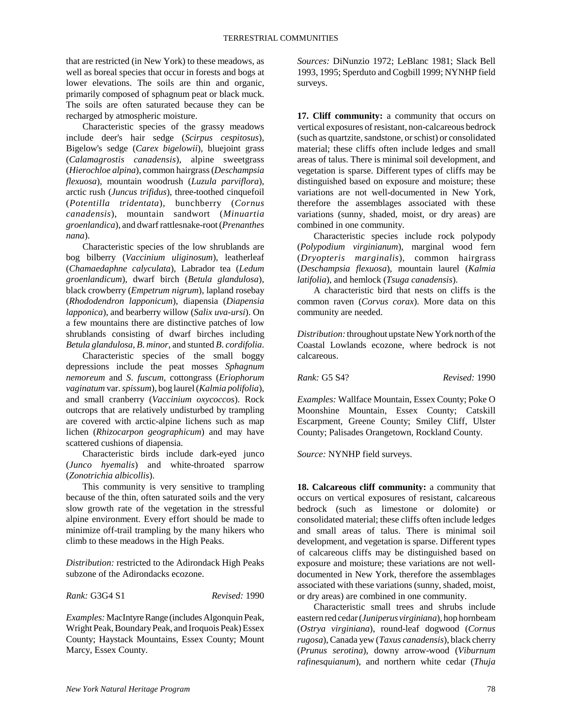that are restricted (in New York) to these meadows, as well as boreal species that occur in forests and bogs at lower elevations. The soils are thin and organic, primarily composed of sphagnum peat or black muck. The soils are often saturated because they can be recharged by atmospheric moisture.

Characteristic species of the grassy meadows include deer's hair sedge (*Scirpus cespitosus*), Bigelow's sedge (*Carex bigelowii*), bluejoint grass (*Calamagrostis canadensis*), alpine sweetgrass (*Hierochloe alpina*), common hairgrass (*Deschampsia flexuosa*), mountain woodrush (*Luzula parviflora*), arctic rush (*Juncus trifidus*), three-toothed cinquefoil (*Potentilla tridentata*), bunchberry (*Cornus canadensis*), mountain sandwort (*Minuartia groenlandica*), and dwarf rattlesnake-root (*Prenanthes nana*).

Characteristic species of the low shrublands are bog bilberry (*Vaccinium uliginosum*), leatherleaf (*Chamaedaphne calyculata*), Labrador tea (*Ledum groenlandicum*), dwarf birch (*Betula glandulosa*), black crowberry (*Empetrum nigrum*), lapland rosebay (*Rhododendron lapponicum*), diapensia (*Diapensia lapponica*), and bearberry willow (*Salix uva-ursi*). On a few mountains there are distinctive patches of low shrublands consisting of dwarf birches including *Betula glandulosa*, *B*. *minor*, and stunted *B*. *cordifolia*.

Characteristic species of the small boggy depressions include the peat mosses *Sphagnum nemoreum* and *S*. *fuscum*, cottongrass (*Eriophorum vaginatum* var. *spissum*), bog laurel (*Kalmia polifolia*), and small cranberry (*Vaccinium oxycoccos*). Rock outcrops that are relatively undisturbed by trampling are covered with arctic-alpine lichens such as map lichen (*Rhizocarpon geographicum*) and may have scattered cushions of diapensia.

Characteristic birds include dark-eyed junco (*Junco hyemalis*) and white-throated sparrow (*Zonotrichia albicollis*).

This community is very sensitive to trampling because of the thin, often saturated soils and the very slow growth rate of the vegetation in the stressful alpine environment. Every effort should be made to minimize off-trail trampling by the many hikers who climb to these meadows in the High Peaks.

*Distribution:* restricted to the Adirondack High Peaks subzone of the Adirondacks ecozone.

*Rank:* G3G4 S1 *Revised:* 1990

*Examples:* MacIntyre Range (includes Algonquin Peak, Wright Peak, Boundary Peak, and Iroquois Peak) Essex County; Haystack Mountains, Essex County; Mount Marcy, Essex County.

*Sources:* DiNunzio 1972; LeBlanc 1981; Slack Bell 1993, 1995; Sperduto and Cogbill 1999; NYNHP field surveys.

**17. Cliff community:** a community that occurs on vertical exposures of resistant, non-calcareous bedrock (such as quartzite, sandstone, or schist) or consolidated material; these cliffs often include ledges and small areas of talus. There is minimal soil development, and vegetation is sparse. Different types of cliffs may be distinguished based on exposure and moisture; these variations are not well-documented in New York, therefore the assemblages associated with these variations (sunny, shaded, moist, or dry areas) are combined in one community.

Characteristic species include rock polypody (*Polypodium virginianum*), marginal wood fern (*Dryopteris marginalis*), common hairgrass (*Deschampsia flexuosa*), mountain laurel (*Kalmia latifolia*), and hemlock (*Tsuga canadensis*).

A characteristic bird that nests on cliffs is the common raven (*Corvus corax*). More data on this community are needed.

*Distribution:* throughout upstate New York north of the Coastal Lowlands ecozone, where bedrock is not calcareous.

*Rank:* G5 S4? *Revised:* 1990

*Examples:* Wallface Mountain, Essex County; Poke O Moonshine Mountain, Essex County; Catskill Escarpment, Greene County; Smiley Cliff, Ulster County; Palisades Orangetown, Rockland County.

*Source:* NYNHP field surveys.

**18. Calcareous cliff community:** a community that occurs on vertical exposures of resistant, calcareous bedrock (such as limestone or dolomite) or consolidated material; these cliffs often include ledges and small areas of talus. There is minimal soil development, and vegetation is sparse. Different types of calcareous cliffs may be distinguished based on exposure and moisture; these variations are not welldocumented in New York, therefore the assemblages associated with these variations (sunny, shaded, moist, or dry areas) are combined in one community.

Characteristic small trees and shrubs include eastern red cedar (*Juniperus virginiana*), hop hornbeam (*Ostrya virginiana*), round-leaf dogwood (*Cornus rugosa*), Canada yew (*Taxus canadensis*), black cherry (*Prunus serotina*), downy arrow-wood (*Viburnum rafinesquianum*), and northern white cedar (*Thuja*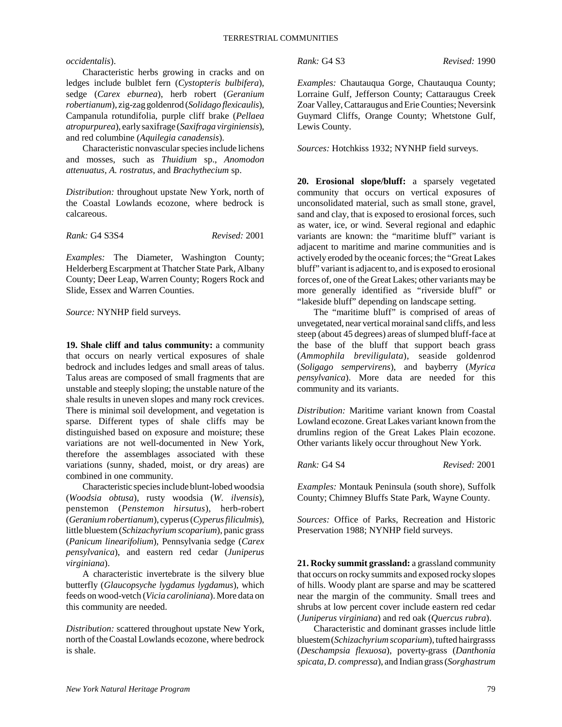#### *occidentalis*).

Characteristic herbs growing in cracks and on ledges include bulblet fern (*Cystopteris bulbifera*), sedge (*Carex eburnea*), herb robert (*Geranium robertianum*), zig-zag goldenrod (*Solidago flexicaulis*), Campanula rotundifolia, purple cliff brake (*Pellaea atropurpurea*), early saxifrage (*Saxifraga virginiensis*), and red columbine (*Aquilegia canadensis*).

Characteristic nonvascular species include lichens and mosses, such as *Thuidium* sp., *Anomodon attenuatus, A. rostratus,* and *Brachythecium* sp.

*Distribution:* throughout upstate New York, north of the Coastal Lowlands ecozone, where bedrock is calcareous.

*Rank:* G4 S3S4 *Revised:* 2001

*Examples:* The Diameter, Washington County; Helderberg Escarpment at Thatcher State Park, Albany County; Deer Leap, Warren County; Rogers Rock and Slide, Essex and Warren Counties.

*Source:* NYNHP field surveys.

**19. Shale cliff and talus community:** a community that occurs on nearly vertical exposures of shale bedrock and includes ledges and small areas of talus. Talus areas are composed of small fragments that are unstable and steeply sloping; the unstable nature of the shale results in uneven slopes and many rock crevices. There is minimal soil development, and vegetation is sparse. Different types of shale cliffs may be distinguished based on exposure and moisture; these variations are not well-documented in New York, therefore the assemblages associated with these variations (sunny, shaded, moist, or dry areas) are combined in one community.

Characteristic species include blunt-lobed woodsia (*Woodsia obtusa*), rusty woodsia (*W. ilvensis*), penstemon (*Penstemon hirsutus*), herb-robert (*Geranium robertianum*), cyperus (*Cyperus filiculmis*), little bluestem (*Schizachyrium scoparium*), panic grass (*Panicum linearifolium*), Pennsylvania sedge (*Carex pensylvanica*), and eastern red cedar (*Juniperus virginiana*).

A characteristic invertebrate is the silvery blue butterfly (*Glaucopsyche lygdamus lygdamus*), which feeds on wood-vetch (*Vicia caroliniana*). More data on this community are needed.

*Distribution:* scattered throughout upstate New York, north of the Coastal Lowlands ecozone, where bedrock is shale.

*Rank:* G4 S3 *Revised:* 1990

*Examples:* Chautauqua Gorge, Chautauqua County; Lorraine Gulf, Jefferson County; Cattaraugus Creek Zoar Valley, Cattaraugus and Erie Counties; Neversink Guymard Cliffs, Orange County; Whetstone Gulf, Lewis County.

*Sources:* Hotchkiss 1932; NYNHP field surveys.

**20. Erosional slope/bluff:** a sparsely vegetated community that occurs on vertical exposures of unconsolidated material, such as small stone, gravel, sand and clay, that is exposed to erosional forces, such as water, ice, or wind. Several regional and edaphic variants are known: the "maritime bluff" variant is adjacent to maritime and marine communities and is actively eroded by the oceanic forces; the "Great Lakes bluff" variant is adjacent to, and is exposed to erosional forces of, one of the Great Lakes; other variants may be more generally identified as "riverside bluff" or "lakeside bluff" depending on landscape setting.

The "maritime bluff" is comprised of areas of unvegetated, near vertical morainal sand cliffs, and less steep (about 45 degrees) areas of slumped bluff-face at the base of the bluff that support beach grass (*Ammophila breviligulata*), seaside goldenrod (*Soligago sempervirens*), and bayberry (*Myrica pensylvanica*). More data are needed for this community and its variants.

*Distribution:* Maritime variant known from Coastal Lowland ecozone. Great Lakes variant known from the drumlins region of the Great Lakes Plain ecozone. Other variants likely occur throughout New York.

*Rank:* G4 S4 *Revised:* 2001

*Examples:* Montauk Peninsula (south shore), Suffolk County; Chimney Bluffs State Park, Wayne County.

*Sources:* Office of Parks, Recreation and Historic Preservation 1988; NYNHP field surveys.

**21. Rocky summit grassland:** a grassland community that occurs on rocky summits and exposed rocky slopes of hills. Woody plant are sparse and may be scattered near the margin of the community. Small trees and shrubs at low percent cover include eastern red cedar (*Juniperus virginiana*) and red oak (*Quercus rubra*).

Characteristic and dominant grasses include little bluestem (*Schizachyrium scoparium*), tufted hairgrasss (*Deschampsia flexuosa*), poverty-grass (*Danthonia spicata, D. compressa*), and Indian grass (*Sorghastrum*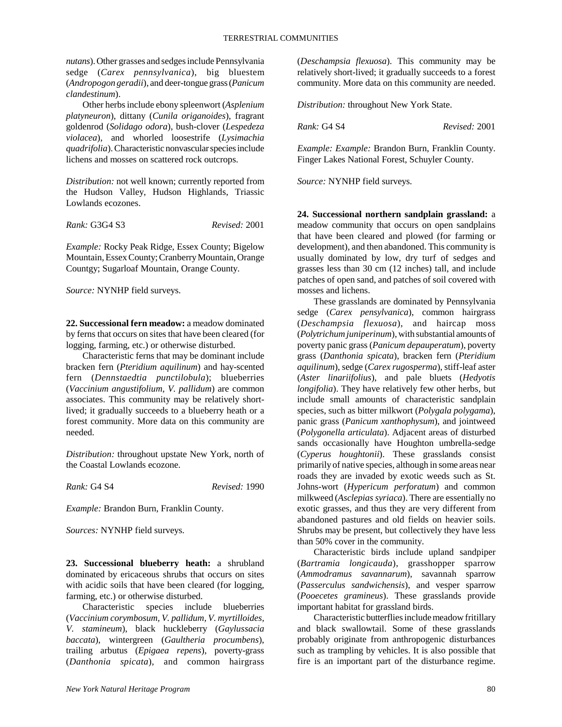*nutans*). Other grasses and sedges include Pennsylvania sedge (*Carex pennsylvanica*), big bluestem (*Andropogon geradii*), and deer-tongue grass (*Panicum clandestinum*).

Other herbs include ebony spleenwort (*Asplenium platyneuron*), dittany (*Cunila origanoides*), fragrant goldenrod (*Solidago odora*), bush-clover (*Lespedeza violacea*), and whorled loosestrife (*Lysimachia quadrifolia*). Characteristic nonvascular species include lichens and mosses on scattered rock outcrops.

*Distribution:* not well known; currently reported from the Hudson Valley, Hudson Highlands, Triassic Lowlands ecozones.

*Rank:* G3G4 S3 *Revised:* 2001

*Example:* Rocky Peak Ridge, Essex County; Bigelow Mountain, Essex County; Cranberry Mountain, Orange Countgy; Sugarloaf Mountain, Orange County.

*Source:* NYNHP field surveys.

**22. Successional fern meadow:** a meadow dominated by ferns that occurs on sites that have been cleared (for logging, farming, etc.) or otherwise disturbed.

Characteristic ferns that may be dominant include bracken fern (*Pteridium aquilinum*) and hay-scented fern (*Dennstaedtia punctilobula*); blueberries (*Vaccinium angustifolium, V. pallidum*) are common associates. This community may be relatively shortlived; it gradually succeeds to a blueberry heath or a forest community. More data on this community are needed.

*Distribution:* throughout upstate New York, north of the Coastal Lowlands ecozone.

*Rank:* G4 S4 *Revised:* 1990

*Example:* Brandon Burn, Franklin County.

*Sources:* NYNHP field surveys.

**23. Successional blueberry heath:** a shrubland dominated by ericaceous shrubs that occurs on sites with acidic soils that have been cleared (for logging, farming, etc.) or otherwise disturbed.

Characteristic species include blueberries (*Vaccinium corymbosum, V. pallidum, V. myrtilloides, V. stamineum*), black huckleberry (*Gaylussacia baccata*), wintergreen (*Gaultheria procumbens*), trailing arbutus (*Epigaea repens*), poverty-grass (*Danthonia spicata*), and common hairgrass

(*Deschampsia flexuosa*). This community may be relatively short-lived; it gradually succeeds to a forest community. More data on this community are needed.

*Distribution:* throughout New York State.

*Rank:* G4 S4 *Revised:* 2001

*Example: Example:* Brandon Burn, Franklin County. Finger Lakes National Forest, Schuyler County.

*Source:* NYNHP field surveys.

**24. Successional northern sandplain grassland:** a meadow community that occurs on open sandplains that have been cleared and plowed (for farming or development), and then abandoned. This community is usually dominated by low, dry turf of sedges and grasses less than 30 cm (12 inches) tall, and include patches of open sand, and patches of soil covered with mosses and lichens.

These grasslands are dominated by Pennsylvania sedge (*Carex pensylvanica*), common hairgrass (*Deschampsia flexuosa*), and haircap moss (*Polytrichum juniperinum*), with substantial amounts of poverty panic grass (*Panicum depauperatum*), poverty grass (*Danthonia spicata*), bracken fern (*Pteridium aquilinum*), sedge (*Carex rugosperma*), stiff-leaf aster (*Aster linariifolius*), and pale bluets (*Hedyotis longifolia*). They have relatively few other herbs, but include small amounts of characteristic sandplain species, such as bitter milkwort (*Polygala polygama*), panic grass (*Panicum xanthophysum*), and jointweed (*Polygonella articulata*). Adjacent areas of disturbed sands occasionally have Houghton umbrella-sedge (*Cyperus houghtonii*). These grasslands consist primarily of native species, although in some areas near roads they are invaded by exotic weeds such as St. Johns-wort (*Hypericum perforatum*) and common milkweed (*Asclepias syriaca*). There are essentially no exotic grasses, and thus they are very different from abandoned pastures and old fields on heavier soils. Shrubs may be present, but collectively they have less than 50% cover in the community.

Characteristic birds include upland sandpiper (*Bartramia longicauda*), grasshopper sparrow (*Ammodramus savannarum*), savannah sparrow (*Passerculus sandwichensis*), and vesper sparrow (*Pooecetes gramineus*). These grasslands provide important habitat for grassland birds.

Characteristic butterflies include meadow fritillary and black swallowtail. Some of these grasslands probably originate from anthropogenic disturbances such as trampling by vehicles. It is also possible that fire is an important part of the disturbance regime.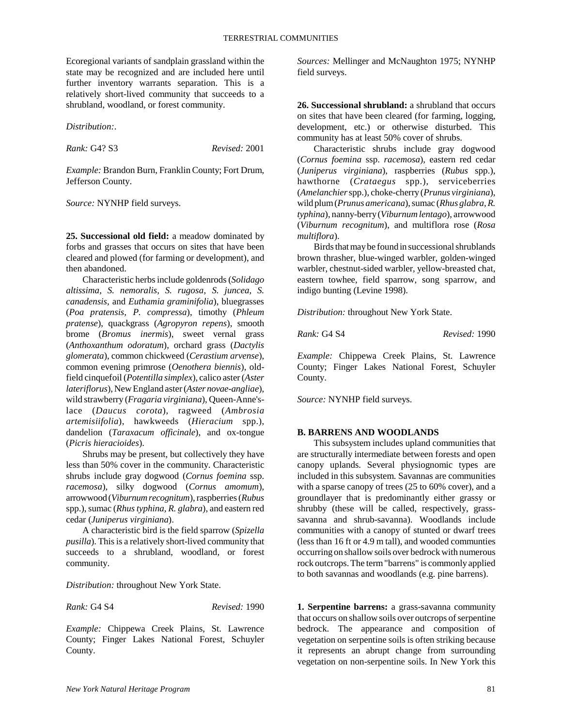Ecoregional variants of sandplain grassland within the state may be recognized and are included here until further inventory warrants separation. This is a relatively short-lived community that succeeds to a shrubland, woodland, or forest community.

*Distribution:*.

*Rank:* G4? S3 *Revised:* 2001

*Example:* Brandon Burn, Franklin County; Fort Drum, Jefferson County.

*Source:* NYNHP field surveys.

**25. Successional old field:** a meadow dominated by forbs and grasses that occurs on sites that have been cleared and plowed (for farming or development), and then abandoned.

Characteristic herbs include goldenrods (*Solidago altissima, S. nemoralis, S. rugosa, S. juncea, S. canadensis,* and *Euthamia graminifolia*), bluegrasses (*Poa pratensis, P. compressa*), timothy (*Phleum pratense*), quackgrass (*Agropyron repens*), smooth brome (*Bromus inermis*), sweet vernal grass (*Anthoxanthum odoratum*), orchard grass (*Dactylis glomerata*), common chickweed (*Cerastium arvense*), common evening primrose (*Oenothera biennis*), oldfield cinquefoil (*Potentilla simplex*), calico aster (*Aster lateriflorus*), New England aster (*Aster novae-angliae*), wild strawberry (*Fragaria virginiana*), Queen-Anne'slace (*Daucus corota*), ragweed (*Ambrosia artemisiifolia*), hawkweeds (*Hieracium* spp.), dandelion (*Taraxacum officinale*), and ox-tongue (*Picris hieracioides*).

Shrubs may be present, but collectively they have less than 50% cover in the community. Characteristic shrubs include gray dogwood (*Cornus foemina* ssp. *racemosa*), silky dogwood (*Cornus amomum*), arrowwood (*Viburnum recognitum*), raspberries (*Rubus* spp.), sumac (*Rhus typhina, R. glabra*), and eastern red cedar (*Juniperus virginiana*).

A characteristic bird is the field sparrow (*Spizella pusilla*). This is a relatively short-lived community that succeeds to a shrubland, woodland, or forest community.

*Distribution:* throughout New York State.

*Rank:* G4 S4 *Revised:* 1990

*Example:* Chippewa Creek Plains, St. Lawrence County; Finger Lakes National Forest, Schuyler County.

*Sources:* Mellinger and McNaughton 1975; NYNHP field surveys.

**26. Successional shrubland:** a shrubland that occurs on sites that have been cleared (for farming, logging, development, etc.) or otherwise disturbed. This community has at least 50% cover of shrubs.

Characteristic shrubs include gray dogwood (*Cornus foemina* ssp. *racemosa*), eastern red cedar (*Juniperus virginiana*), raspberries (*Rubus* spp.), hawthorne (*Crataegus* spp.), serviceberries (*Amelanchier* spp.), choke-cherry (*Prunus virginiana*), wild plum (*Prunus americana*), sumac (*Rhus glabra, R. typhina*), nanny-berry (*Viburnum lentago*), arrowwood (*Viburnum recognitum*), and multiflora rose (*Rosa multiflora*).

Birds that may be found in successional shrublands brown thrasher, blue-winged warbler, golden-winged warbler, chestnut-sided warbler, yellow-breasted chat, eastern towhee, field sparrow, song sparrow, and indigo bunting (Levine 1998).

*Distribution:* throughout New York State.

*Rank:* G4 S4 *Revised:* 1990

*Example:* Chippewa Creek Plains, St. Lawrence County; Finger Lakes National Forest, Schuyler County.

*Source:* NYNHP field surveys.

#### **B. BARRENS AND WOODLANDS**

This subsystem includes upland communities that are structurally intermediate between forests and open canopy uplands. Several physiognomic types are included in this subsystem. Savannas are communities with a sparse canopy of trees (25 to 60% cover), and a groundlayer that is predominantly either grassy or shrubby (these will be called, respectively, grasssavanna and shrub-savanna). Woodlands include communities with a canopy of stunted or dwarf trees (less than 16 ft or 4.9 m tall), and wooded communties occurring on shallow soils over bedrock with numerous rock outcrops. The term "barrens" is commonly applied to both savannas and woodlands (e.g. pine barrens).

**1. Serpentine barrens:** a grass-savanna community that occurs on shallow soils over outcrops of serpentine bedrock. The appearance and composition of vegetation on serpentine soils is often striking because it represents an abrupt change from surrounding vegetation on non-serpentine soils. In New York this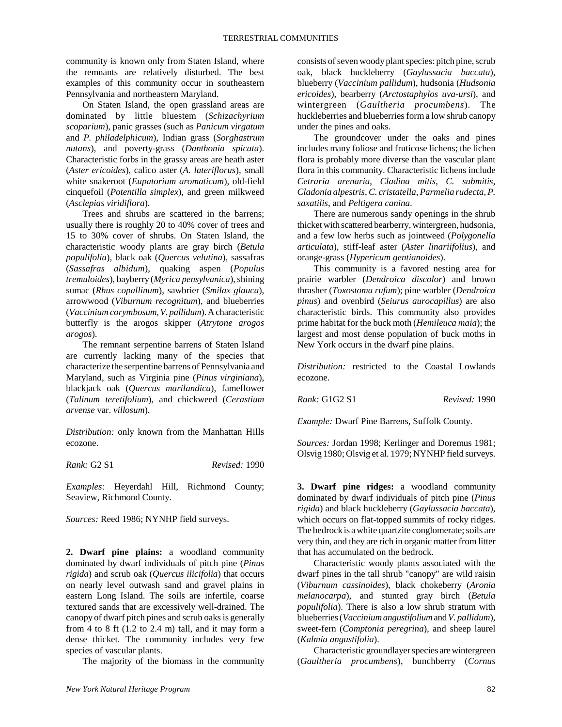community is known only from Staten Island, where the remnants are relatively disturbed. The best examples of this community occur in southeastern Pennsylvania and northeastern Maryland.

On Staten Island, the open grassland areas are dominated by little bluestem (*Schizachyrium scoparium*), panic grasses (such as *Panicum virgatum* and *P. philadelphicum*), Indian grass (*Sorghastrum nutans*), and poverty-grass (*Danthonia spicata*). Characteristic forbs in the grassy areas are heath aster (*Aster ericoides*), calico aster (*A. lateriflorus*), small white snakeroot (*Eupatorium aromaticum*), old-field cinquefoil (*Potentilla simplex*), and green milkweed (*Asclepias viridiflora*).

Trees and shrubs are scattered in the barrens; usually there is roughly 20 to 40% cover of trees and 15 to 30% cover of shrubs. On Staten Island, the characteristic woody plants are gray birch (*Betula populifolia*), black oak (*Quercus velutina*), sassafras (*Sassafras albidum*), quaking aspen (*Populus tremuloides*), bayberry (*Myrica pensylvanica*), shining sumac (*Rhus copallinum*), sawbrier (*Smilax glauca*), arrowwood (*Viburnum recognitum*), and blueberries (*Vaccinium corymbosum, V. pallidum*). A characteristic butterfly is the arogos skipper (*Atrytone arogos arogos*).

The remnant serpentine barrens of Staten Island are currently lacking many of the species that characterize the serpentine barrens of Pennsylvania and Maryland, such as Virginia pine (*Pinus virginiana*), blackjack oak (*Quercus marilandica*), fameflower (*Talinum teretifolium*), and chickweed (*Cerastium arvense* var. *villosum*).

*Distribution:* only known from the Manhattan Hills ecozone.

*Rank:* G2 S1 *Revised:* 1990

*Examples:* Heyerdahl Hill, Richmond County; Seaview, Richmond County.

*Sources:* Reed 1986; NYNHP field surveys.

**2. Dwarf pine plains:** a woodland community dominated by dwarf individuals of pitch pine (*Pinus rigida*) and scrub oak (*Quercus ilicifolia*) that occurs on nearly level outwash sand and gravel plains in eastern Long Island. The soils are infertile, coarse textured sands that are excessively well-drained. The canopy of dwarf pitch pines and scrub oaks is generally from 4 to 8 ft  $(1.2 \text{ to } 2.4 \text{ m})$  tall, and it may form a dense thicket. The community includes very few species of vascular plants.

The majority of the biomass in the community

consists of seven woody plant species: pitch pine, scrub oak, black huckleberry (*Gaylussacia baccata*), blueberry (*Vaccinium pallidum*), hudsonia (*Hudsonia ericoides*), bearberry (*Arctostaphylos uva-ursi*), and wintergreen (*Gaultheria procumbens*). The huckleberries and blueberries form a low shrub canopy under the pines and oaks.

The groundcover under the oaks and pines includes many foliose and fruticose lichens; the lichen flora is probably more diverse than the vascular plant flora in this community. Characteristic lichens include *Cetraria arenaria*, *Cladina mitis*, *C. submitis*, *Cladonia alpestris*, *C. cristatella*, *Parmelia rudecta*, *P. saxatilis*, and *Peltigera canina*.

There are numerous sandy openings in the shrub thicket with scattered bearberry, wintergreen, hudsonia, and a few low herbs such as jointweed (*Polygonella articulata*), stiff-leaf aster (*Aster linariifolius*), and orange-grass (*Hypericum gentianoides*).

This community is a favored nesting area for prairie warbler (*Dendroica discolor*) and brown thrasher (*Toxostoma rufum*); pine warbler (*Dendroica pinus*) and ovenbird (*Seiurus aurocapillus*) are also characteristic birds. This community also provides prime habitat for the buck moth (*Hemileuca maia*); the largest and most dense population of buck moths in New York occurs in the dwarf pine plains.

*Distribution:* restricted to the Coastal Lowlands ecozone.

*Rank:* G1G2 S1 *Revised:* 1990

*Example:* Dwarf Pine Barrens, Suffolk County.

*Sources:* Jordan 1998; Kerlinger and Doremus 1981; Olsvig 1980; Olsvig et al. 1979; NYNHP field surveys.

**3. Dwarf pine ridges:** a woodland community dominated by dwarf individuals of pitch pine (*Pinus rigida*) and black huckleberry (*Gaylussacia baccata*), which occurs on flat-topped summits of rocky ridges. The bedrock is a white quartzite conglomerate; soils are very thin, and they are rich in organic matter from litter that has accumulated on the bedrock.

Characteristic woody plants associated with the dwarf pines in the tall shrub "canopy" are wild raisin (*Viburnum cassinoides*), black chokeberry (*Aronia melanocarpa*), and stunted gray birch (*Betula populifolia*). There is also a low shrub stratum with blueberries (*Vaccinium angustifolium* and *V. pallidum*), sweet-fern (*Comptonia peregrina*), and sheep laurel (*Kalmia angustifolia*).

Characteristic groundlayer species are wintergreen (*Gaultheria procumbens*), bunchberry (*Cornus*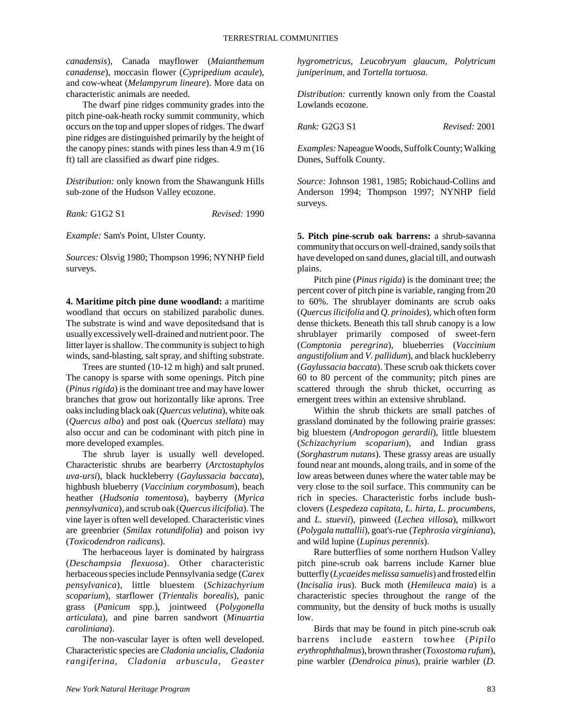*canadensis*), Canada mayflower (*Maianthemum canadense*), moccasin flower (*Cypripedium acaule*), and cow-wheat (*Melampyrum lineare*). More data on characteristic animals are needed.

The dwarf pine ridges community grades into the pitch pine-oak-heath rocky summit community, which occurs on the top and upper slopes of ridges. The dwarf pine ridges are distinguished primarily by the height of the canopy pines: stands with pines less than 4.9 m (16 ft) tall are classified as dwarf pine ridges.

*Distribution:* only known from the Shawangunk Hills sub-zone of the Hudson Valley ecozone.

*Rank:* G1G2 S1 *Revised:* 1990

*Example:* Sam's Point, Ulster County.

*Sources:* Olsvig 1980; Thompson 1996; NYNHP field surveys.

**4. Maritime pitch pine dune woodland:** a maritime woodland that occurs on stabilized parabolic dunes. The substrate is wind and wave depositedsand that is usually excessively well-drained and nutrient poor. The litter layer is shallow. The community is subject to high winds, sand-blasting, salt spray, and shifting substrate.

Trees are stunted (10-12 m high) and salt pruned. The canopy is sparse with some openings. Pitch pine (*Pinus rigida*) is the dominant tree and may have lower branches that grow out horizontally like aprons. Tree oaks including black oak (*Quercus velutina*), white oak (*Quercus alba*) and post oak (*Quercus stellata*) may also occur and can be codominant with pitch pine in more developed examples.

The shrub layer is usually well developed. Characteristic shrubs are bearberry (*Arctostaphylos uva-ursi*), black huckleberry (*Gaylussacia baccata*), highbush blueberry (*Vaccinium corymbosum*), beach heather (*Hudsonia tomentosa*), bayberry (*Myrica pennsylvanica*), and scrub oak (*Quercus ilicifolia*). The vine layer is often well developed. Characteristic vines are greenbrier (*Smilax rotundifolia*) and poison ivy (*Toxicodendron radicans*).

The herbaceous layer is dominated by hairgrass (*Deschampsia flexuosa*). Other characteristic herbaceous species include Pennsylvania sedge (*Carex pensylvanica*), little bluestem (*Schizachyrium scoparium*), starflower (*Trientalis borealis*), panic grass (*Panicum* spp.), jointweed (*Polygonella articulata*), and pine barren sandwort (*Minuartia caroliniana*).

The non-vascular layer is often well developed. Characteristic species are *Cladonia uncialis, Cladonia rangiferina, Cladonia arbuscula, Geaster*

*hygrometricus, Leucobryum glaucum, Polytricum juniperinum,* and *Tortella tortuosa.*

*Distribution:* currently known only from the Coastal Lowlands ecozone.

*Rank:* G2G3 S1 *Revised:* 2001

*Examples:* Napeague Woods, Suffolk County; Walking Dunes, Suffolk County.

*Source:* Johnson 1981, 1985; Robichaud-Collins and Anderson 1994; Thompson 1997; NYNHP field surveys.

**5. Pitch pine-scrub oak barrens:** a shrub-savanna community that occurs on well-drained, sandy soils that have developed on sand dunes, glacial till, and outwash plains.

Pitch pine (*Pinus rigida*) is the dominant tree; the percent cover of pitch pine is variable, ranging from 20 to 60%. The shrublayer dominants are scrub oaks (*Quercus ilicifolia* and *Q. prinoides*), which often form dense thickets. Beneath this tall shrub canopy is a low shrublayer primarily composed of sweet-fern (*Comptonia peregrina*), blueberries (*Vaccinium angustifolium* and *V. pallidum*), and black huckleberry (*Gaylussacia baccata*). These scrub oak thickets cover 60 to 80 percent of the community; pitch pines are scattered through the shrub thicket, occurring as emergent trees within an extensive shrubland.

Within the shrub thickets are small patches of grassland dominated by the following prairie grasses: big bluestem (*Andropogon gerardii*), little bluestem (*Schizachyrium scoparium*), and Indian grass (*Sorghastrum nutans*). These grassy areas are usually found near ant mounds, along trails, and in some of the low areas between dunes where the water table may be very close to the soil surface. This community can be rich in species. Characteristic forbs include bushclovers (*Lespedeza capitata, L. hirta, L. procumbens,* and *L. stuevii*), pinweed (*Lechea villosa*), milkwort (*Polygala nuttallii*), goat's-rue (*Tephrosia virginiana*), and wild lupine (*Lupinus perennis*).

Rare butterflies of some northern Hudson Valley pitch pine-scrub oak barrens include Karner blue butterfly (*Lycaeides melissa samuelis*) and frosted elfin (*Incisalia irus*). Buck moth (*Hemileuca maia*) is a characteristic species throughout the range of the community, but the density of buck moths is usually low.

Birds that may be found in pitch pine-scrub oak barrens include eastern towhee (*Pipilo erythrophthalmus*), brown thrasher (*Toxostoma rufum*), pine warbler (*Dendroica pinus*), prairie warbler (*D.*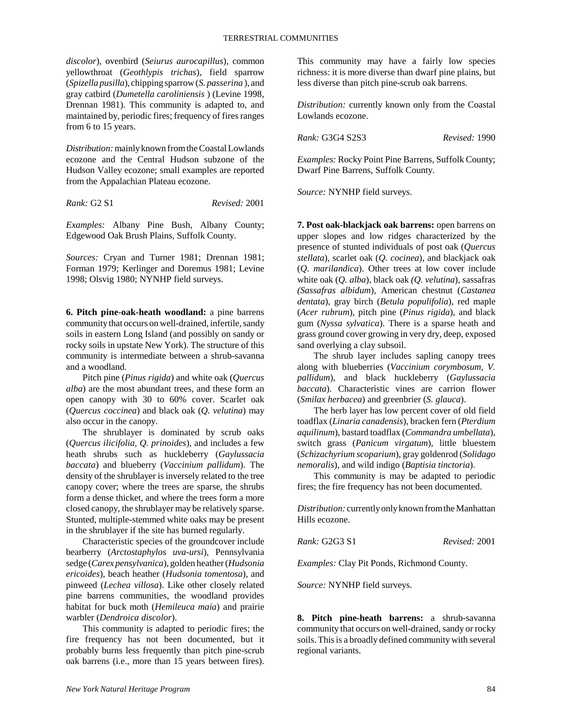*discolor*), ovenbird (*Seiurus aurocapillus*), common yellowthroat (*Geothlypis trichas*), field sparrow (*Spizella pusilla*), chipping sparrow (*S. passerina* ), and gray catbird (*Dumetella caroliniensis* ) (Levine 1998, Drennan 1981). This community is adapted to, and maintained by, periodic fires; frequency of fires ranges from 6 to 15 years.

*Distribution:* mainly known from the Coastal Lowlands ecozone and the Central Hudson subzone of the Hudson Valley ecozone; small examples are reported from the Appalachian Plateau ecozone.

*Rank:* G2 S1 *Revised:* 2001

*Examples:* Albany Pine Bush, Albany County; Edgewood Oak Brush Plains, Suffolk County.

*Sources:* Cryan and Turner 1981; Drennan 1981; Forman 1979; Kerlinger and Doremus 1981; Levine 1998; Olsvig 1980; NYNHP field surveys.

**6. Pitch pine-oak-heath woodland:** a pine barrens community that occurs on well-drained, infertile, sandy soils in eastern Long Island (and possibly on sandy or rocky soils in upstate New York). The structure of this community is intermediate between a shrub-savanna and a woodland.

Pitch pine (*Pinus rigida*) and white oak (*Quercus alba*) are the most abundant trees, and these form an open canopy with 30 to 60% cover. Scarlet oak (*Quercus coccinea*) and black oak (*Q. velutina*) may also occur in the canopy.

The shrublayer is dominated by scrub oaks (*Quercus ilicifolia, Q. prinoides*), and includes a few heath shrubs such as huckleberry (*Gaylussacia baccata*) and blueberry (*Vaccinium pallidum*). The density of the shrublayer is inversely related to the tree canopy cover; where the trees are sparse, the shrubs form a dense thicket, and where the trees form a more closed canopy, the shrublayer may be relatively sparse. Stunted, multiple-stemmed white oaks may be present in the shrublayer if the site has burned regularly.

Characteristic species of the groundcover include bearberry (*Arctostaphylos uva-ursi*), Pennsylvania sedge (*Carex pensylvanica*), golden heather (*Hudsonia ericoides*), beach heather (*Hudsonia tomentosa*), and pinweed (*Lechea villosa*). Like other closely related pine barrens communities, the woodland provides habitat for buck moth (*Hemileuca maia*) and prairie warbler (*Dendroica discolor*).

This community is adapted to periodic fires; the fire frequency has not been documented, but it probably burns less frequently than pitch pine-scrub oak barrens (i.e., more than 15 years between fires).

This community may have a fairly low species richness: it is more diverse than dwarf pine plains, but less diverse than pitch pine-scrub oak barrens.

*Distribution:* currently known only from the Coastal Lowlands ecozone.

*Rank:* G3G4 S2S3 *Revised:* 1990

*Examples:* Rocky Point Pine Barrens, Suffolk County; Dwarf Pine Barrens, Suffolk County.

*Source:* NYNHP field surveys.

**7. Post oak-blackjack oak barrens:** open barrens on upper slopes and low ridges characterized by the presence of stunted individuals of post oak (*Quercus stellata*), scarlet oak (*Q. cocinea*), and blackjack oak (*Q. marilandica*). Other trees at low cover include white oak (*Q. alba*), black oak *(Q. velutina*), sassafras *(Sassafras albidum*), American chestnut (*Castanea dentata*), gray birch (*Betula populifolia*), red maple (*Acer rubrum*), pitch pine (*Pinus rigida*), and black gum (*Nyssa sylvatica*). There is a sparse heath and grass ground cover growing in very dry, deep, exposed sand overlying a clay subsoil.

The shrub layer includes sapling canopy trees along with blueberries (*Vaccinium corymbosum, V. pallidum*), and black huckleberry (*Gaylussacia baccata*). Characteristic vines are carrion flower (*Smilax herbacea*) and greenbrier (*S. glauca*).

The herb layer has low percent cover of old field toadflax (*Linaria canadensis*), bracken fern (*Pterdium aquilinum*), bastard toadflax (*Commandra umbellata*), switch grass (*Panicum virgatum*), little bluestem (*Schizachyrium scoparium*), gray goldenrod (*Solidago nemoralis*), and wild indigo (*Baptisia tinctoria*).

This community is may be adapted to periodic fires; the fire frequency has not been documented.

*Distribution:* currently only known from the Manhattan Hills ecozone.

*Rank:* G2G3 S1 *Revised:* 2001

*Examples:* Clay Pit Ponds, Richmond County.

*Source:* NYNHP field surveys.

**8. Pitch pine-heath barrens:** a shrub-savanna community that occurs on well-drained, sandy or rocky soils. This is a broadly defined community with several regional variants.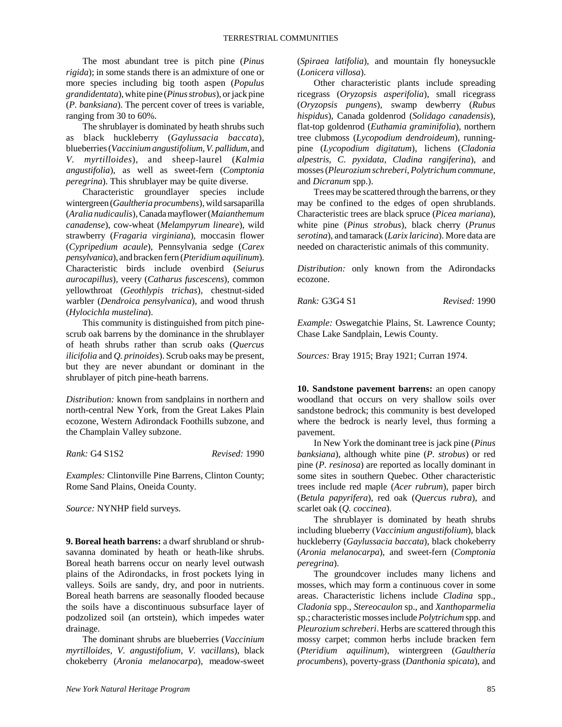The most abundant tree is pitch pine (*Pinus rigida*); in some stands there is an admixture of one or more species including big tooth aspen (*Populus grandidentata*), white pine (*Pinus strobus*), or jack pine (*P. banksiana*). The percent cover of trees is variable, ranging from 30 to 60%.

The shrublayer is dominated by heath shrubs such as black huckleberry (*Gaylussacia baccata*), blueberries (*Vaccinium angustifolium, V. pallidum,* and *V. myrtilloides*), and sheep-laurel (*Kalmia angustifolia*), as well as sweet-fern (*Comptonia peregrina*). This shrublayer may be quite diverse.

Characteristic groundlayer species include wintergreen (*Gaultheria procumbens*), wild sarsaparilla (*Aralia nudicaulis*), Canada mayflower (*Maianthemum canadense*), cow-wheat (*Melampyrum lineare*), wild strawberry (*Fragaria virginiana*), moccasin flower (*Cypripedium acaule*), Pennsylvania sedge (*Carex pensylvanica*), and bracken fern (*Pteridium aquilinum*). Characteristic birds include ovenbird (*Seiurus aurocapillus*), veery (*Catharus fuscescens*), common yellowthroat (*Geothlypis trichas*), chestnut-sided warbler (*Dendroica pensylvanica*), and wood thrush (*Hylocichla mustelina*).

This community is distinguished from pitch pinescrub oak barrens by the dominance in the shrublayer of heath shrubs rather than scrub oaks (*Quercus ilicifolia* and *Q. prinoides*). Scrub oaks may be present, but they are never abundant or dominant in the shrublayer of pitch pine-heath barrens.

*Distribution:* known from sandplains in northern and north-central New York, from the Great Lakes Plain ecozone, Western Adirondack Foothills subzone, and the Champlain Valley subzone.

*Rank:* G4 S1S2 *Revised:* 1990

*Examples:* Clintonville Pine Barrens, Clinton County; Rome Sand Plains, Oneida County.

*Source:* NYNHP field surveys.

**9. Boreal heath barrens:** a dwarf shrubland or shrubsavanna dominated by heath or heath-like shrubs. Boreal heath barrens occur on nearly level outwash plains of the Adirondacks, in frost pockets lying in valleys. Soils are sandy, dry, and poor in nutrients. Boreal heath barrens are seasonally flooded because the soils have a discontinuous subsurface layer of podzolized soil (an ortstein), which impedes water drainage.

The dominant shrubs are blueberries (*Vaccinium myrtilloides, V. angustifolium, V. vacillans*), black chokeberry (*Aronia melanocarpa*), meadow-sweet

(*Spiraea latifolia*), and mountain fly honeysuckle (*Lonicera villosa*).

Other characteristic plants include spreading ricegrass (*Oryzopsis asperifolia*), small ricegrass (*Oryzopsis pungens*), swamp dewberry (*Rubus hispidus*), Canada goldenrod (*Solidago canadensis*), flat-top goldenrod (*Euthamia graminifolia*), northern tree clubmoss (*Lycopodium dendroideum*), runningpine (*Lycopodium digitatum*), lichens (*Cladonia alpestris, C. pyxidata, Cladina rangiferina*), and mosses (*Pleurozium schreberi, Polytrichum commune,* and *Dicranum* spp.).

Trees may be scattered through the barrens, or they may be confined to the edges of open shrublands. Characteristic trees are black spruce (*Picea mariana*), white pine (*Pinus strobus*), black cherry (*Prunus serotina*), and tamarack (*Larix laricina*). More data are needed on characteristic animals of this community.

*Distribution:* only known from the Adirondacks ecozone.

*Rank:* G3G4 S1 *Revised:* 1990

*Example:* Oswegatchie Plains, St. Lawrence County; Chase Lake Sandplain, Lewis County.

*Sources:* Bray 1915; Bray 1921; Curran 1974.

**10. Sandstone pavement barrens:** an open canopy woodland that occurs on very shallow soils over sandstone bedrock; this community is best developed where the bedrock is nearly level, thus forming a pavement.

In New York the dominant tree is jack pine (*Pinus banksiana*), although white pine (*P. strobus*) or red pine (*P. resinosa*) are reported as locally dominant in some sites in southern Quebec. Other characteristic trees include red maple (*Acer rubrum*), paper birch (*Betula papyrifera*), red oak (*Quercus rubra*), and scarlet oak (*Q. coccinea*).

The shrublayer is dominated by heath shrubs including blueberry (*Vaccinium angustifolium*), black huckleberry (*Gaylussacia baccata*), black chokeberry (*Aronia melanocarpa*), and sweet-fern (*Comptonia peregrina*).

The groundcover includes many lichens and mosses, which may form a continuous cover in some areas. Characteristic lichens include *Cladina* spp., *Cladonia* spp., *Stereocaulon* sp., and *Xanthoparmelia* sp.; characteristic mosses include *Polytrichum* spp. and *Pleurozium schreberi*. Herbs are scattered through this mossy carpet; common herbs include bracken fern (*Pteridium aquilinum*), wintergreen (*Gaultheria procumbens*), poverty-grass (*Danthonia spicata*), and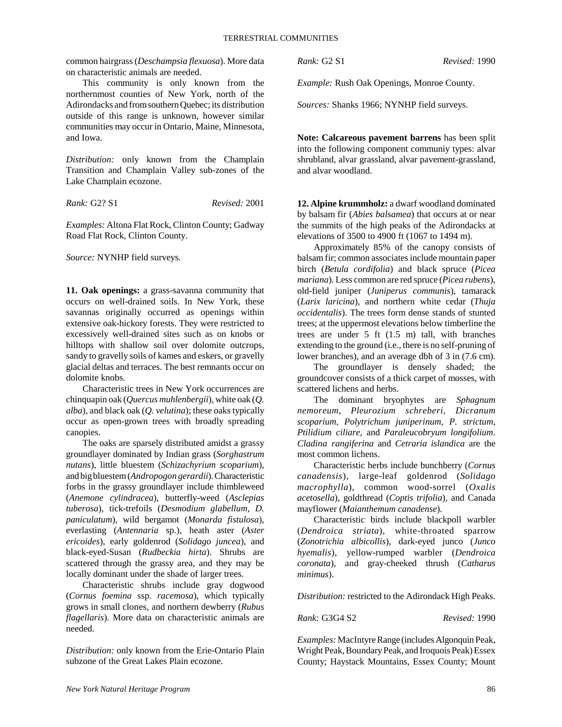common hairgrass (*Deschampsia flexuosa*). More data on characteristic animals are needed.

This community is only known from the northernmost counties of New York, north of the Adirondacks and from southern Quebec; its distribution outside of this range is unknown, however similar communities may occur in Ontario, Maine, Minnesota, and Iowa.

*Distribution:* only known from the Champlain Transition and Champlain Valley sub-zones of the Lake Champlain ecozone.

*Rank:* G2? S1 *Revised:* 2001

*Examples:* Altona Flat Rock, Clinton County; Gadway Road Flat Rock, Clinton County.

*Source:* NYNHP field surveys.

**11. Oak openings:** a grass-savanna community that occurs on well-drained soils. In New York, these savannas originally occurred as openings within extensive oak-hickory forests. They were restricted to excessively well-drained sites such as on knobs or hilltops with shallow soil over dolomite outcrops, sandy to gravelly soils of kames and eskers, or gravelly glacial deltas and terraces. The best remnants occur on dolomite knobs.

Characteristic trees in New York occurrences are chinquapin oak (*Quercus muhlenbergii*), white oak (*Q. alba*), and black oak (*Q. velutina*); these oaks typically occur as open-grown trees with broadly spreading canopies.

The oaks are sparsely distributed amidst a grassy groundlayer dominated by Indian grass (*Sorghastrum nutans*), little bluestem (*Schizachyrium scoparium*), and big bluestem (*Andropogon gerardii*). Characteristic forbs in the grassy groundlayer include thimbleweed (*Anemone cylindracea*), butterfly-weed (*Asclepias tuberosa*), tick-trefoils (*Desmodium glabellum, D. paniculatum*), wild bergamot (*Monarda fistulosa*), everlasting (*Antennaria* sp.), heath aster (*Aster ericoides*), early goldenrod (*Solidago juncea*), and black-eyed-Susan (*Rudbeckia hirta*). Shrubs are scattered through the grassy area, and they may be locally dominant under the shade of larger trees.

Characteristic shrubs include gray dogwood (*Cornus foemina* ssp. *racemosa*), which typically grows in small clones, and northern dewberry (*Rubus flagellaris*). More data on characteristic animals are needed.

*Distribution:* only known from the Erie-Ontario Plain subzone of the Great Lakes Plain ecozone.

*Rank:* G2 S1 *Revised:* 1990

*Example:* Rush Oak Openings, Monroe County.

*Sources:* Shanks 1966; NYNHP field surveys.

**Note: Calcareous pavement barrens** has been split into the following component communiy types: alvar shrubland, alvar grassland, alvar pavement-grassland, and alvar woodland.

**12. Alpine krummholz:** a dwarf woodland dominated by balsam fir (*Abies balsamea*) that occurs at or near the summits of the high peaks of the Adirondacks at elevations of 3500 to 4900 ft (1067 to 1494 m).

Approximately 85% of the canopy consists of balsam fir; common associates include mountain paper birch (*Betula cordifolia*) and black spruce (*Picea mariana*). Less common are red spruce (*Picea rubens*), old-field juniper (*Juniperus communis*), tamarack (*Larix laricina*), and northern white cedar (*Thuja occidentalis*). The trees form dense stands of stunted trees; at the uppermost elevations below timberline the trees are under 5 ft (1.5 m) tall, with branches extending to the ground (i.e., there is no self-pruning of lower branches), and an average dbh of 3 in (7.6 cm).

The groundlayer is densely shaded; the groundcover consists of a thick carpet of mosses, with scattered lichens and herbs.

The dominant bryophytes are *Sphagnum nemoreum, Pleurozium schreberi, Dicranum scoparium, Polytrichum juniperinum, P. strictum, Ptilidium ciliare,* and *Paraleucobryum longifolium*. *Cladina rangiferina* and *Cetraria islandica* are the most common lichens.

Characteristic herbs include bunchberry (*Cornus canadensis*), large-leaf goldenrod (*Solidago macrophylla*), common wood-sorrel (*Oxalis acetosella*), goldthread (*Coptis trifolia*), and Canada mayflower (*Maianthemum canadense*).

Characteristic birds include blackpoll warbler (*Dendroica striata*), white-throated sparrow (*Zonotrichia albicollis*), dark-eyed junco (*Junco hyemalis*), yellow-rumped warbler (*Dendroica coronata*), and gray-cheeked thrush (*Catharus minimus*).

*Distribution:* restricted to the Adirondack High Peaks.

*Rank:* G3G4 S2 *Revised:* 1990

*Examples:* MacIntyre Range (includes Algonquin Peak, Wright Peak, Boundary Peak, and Iroquois Peak) Essex County; Haystack Mountains, Essex County; Mount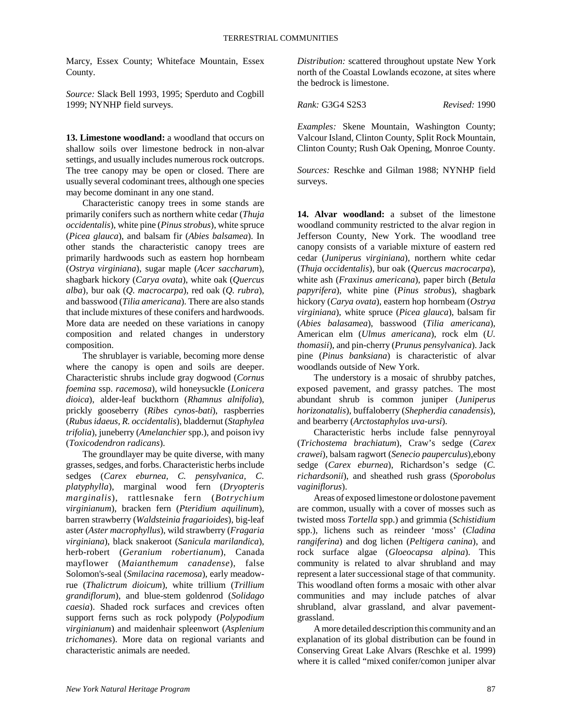Marcy, Essex County; Whiteface Mountain, Essex County.

*Source:* Slack Bell 1993, 1995; Sperduto and Cogbill 1999; NYNHP field surveys.

**13. Limestone woodland:** a woodland that occurs on shallow soils over limestone bedrock in non-alvar settings, and usually includes numerous rock outcrops. The tree canopy may be open or closed. There are usually several codominant trees, although one species may become dominant in any one stand.

Characteristic canopy trees in some stands are primarily conifers such as northern white cedar (*Thuja occidentalis*), white pine (*Pinus strobus*), white spruce (*Picea glauca*), and balsam fir (*Abies balsamea*). In other stands the characteristic canopy trees are primarily hardwoods such as eastern hop hornbeam (*Ostrya virginiana*), sugar maple (*Acer saccharum*), shagbark hickory (*Carya ovata*), white oak (*Quercus alba*), bur oak (*Q. macrocarpa*), red oak (*Q. rubra*), and basswood (*Tilia americana*). There are also stands that include mixtures of these conifers and hardwoods. More data are needed on these variations in canopy composition and related changes in understory composition.

The shrublayer is variable, becoming more dense where the canopy is open and soils are deeper. Characteristic shrubs include gray dogwood (*Cornus foemina* ssp. *racemosa*), wild honeysuckle (*Lonicera dioica*), alder-leaf buckthorn (*Rhamnus alnifolia*), prickly gooseberry (*Ribes cynos-bati*), raspberries (*Rubus idaeus, R. occidentalis*), bladdernut (*Staphylea trifolia*), juneberry (*Amelanchier* spp.), and poison ivy (*Toxicodendron radicans*).

The groundlayer may be quite diverse, with many grasses, sedges, and forbs. Characteristic herbs include sedges (*Carex eburnea, C. pensylvanica, C. platyphylla*), marginal wood fern (*Dryopteris marginalis*), rattlesnake fern (*Botrychium virginianum*), bracken fern (*Pteridium aquilinum*), barren strawberry (*Waldsteinia fragarioides*), big-leaf aster (*Aster macrophyllus*), wild strawberry (*Fragaria virginiana*), black snakeroot (*Sanicula marilandica*), herb-robert (*Geranium robertianum*), Canada mayflower (*Maianthemum canadense*), false Solomon's-seal (*Smilacina racemosa*), early meadowrue (*Thalictrum dioicum*), white trillium (*Trillium grandiflorum*), and blue-stem goldenrod (*Solidago caesia*). Shaded rock surfaces and crevices often support ferns such as rock polypody (*Polypodium virginianum*) and maidenhair spleenwort (*Asplenium trichomanes*). More data on regional variants and characteristic animals are needed.

*Distribution:* scattered throughout upstate New York north of the Coastal Lowlands ecozone, at sites where the bedrock is limestone.

*Rank:* G3G4 S2S3 *Revised:* 1990

*Examples:* Skene Mountain, Washington County; Valcour Island, Clinton County, Split Rock Mountain, Clinton County; Rush Oak Opening, Monroe County.

*Sources:* Reschke and Gilman 1988; NYNHP field surveys.

**14. Alvar woodland:** a subset of the limestone woodland community restricted to the alvar region in Jefferson County, New York. The woodland tree canopy consists of a variable mixture of eastern red cedar (*Juniperus virginiana*), northern white cedar (*Thuja occidentalis*), bur oak (*Quercus macrocarpa*), white ash (*Fraxinus americana*), paper birch (*Betula papyrifera*), white pine (*Pinus strobus*), shagbark hickory (*Carya ovata*), eastern hop hornbeam (*Ostrya virginiana*), white spruce (*Picea glauca*), balsam fir (*Abies balasamea*), basswood (*Tilia americana*), American elm (*Ulmus americana*), rock elm (*U. thomasii*), and pin-cherry (*Prunus pensylvanica*). Jack pine (*Pinus banksiana*) is characteristic of alvar woodlands outside of New York.

The understory is a mosaic of shrubby patches, exposed pavement, and grassy patches. The most abundant shrub is common juniper (*Juniperus horizonatalis*), buffaloberry (*Shepherdia canadensis*), and bearberry (*Arctostaphylos uva-ursi*).

Characteristic herbs include false pennyroyal (*Trichostema brachiatum*), Craw's sedge (*Carex crawei*), balsam ragwort (*Senecio pauperculus*),ebony sedge (*Carex eburnea*), Richardson's sedge (*C. richardsonii*), and sheathed rush grass (*Sporobolus vaginiflorus*).

Areas of exposed limestone or dolostone pavement are common, usually with a cover of mosses such as twisted moss *Tortella* spp.) and grimmia (*Schistidium* spp.), lichens such as reindeer 'moss' (*Cladina rangiferina*) and dog lichen (*Peltigera canina*), and rock surface algae (*Gloeocapsa alpina*). This community is related to alvar shrubland and may represent a later successional stage of that community. This woodland often forms a mosaic with other alvar communities and may include patches of alvar shrubland, alvar grassland, and alvar pavementgrassland.

A more detailed description this community and an explanation of its global distribution can be found in Conserving Great Lake Alvars (Reschke et al. 1999) where it is called "mixed conifer/comon juniper alvar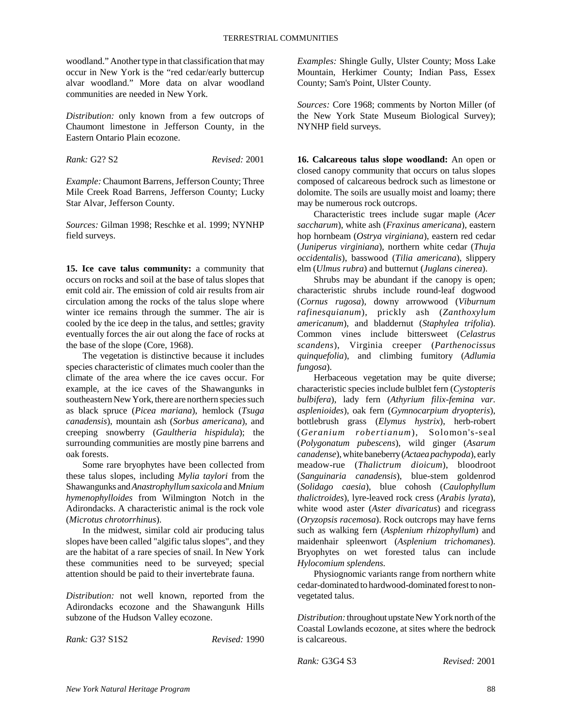woodland." Another type in that classification that may occur in New York is the "red cedar/early buttercup alvar woodland." More data on alvar woodland communities are needed in New York.

*Distribution:* only known from a few outcrops of Chaumont limestone in Jefferson County, in the Eastern Ontario Plain ecozone.

*Rank:* G2? S2 *Revised:* 2001

*Example:* Chaumont Barrens, Jefferson County; Three Mile Creek Road Barrens, Jefferson County; Lucky Star Alvar, Jefferson County.

*Sources:* Gilman 1998; Reschke et al. 1999; NYNHP field surveys.

**15. Ice cave talus community:** a community that occurs on rocks and soil at the base of talus slopes that emit cold air. The emission of cold air results from air circulation among the rocks of the talus slope where winter ice remains through the summer. The air is cooled by the ice deep in the talus, and settles; gravity eventually forces the air out along the face of rocks at the base of the slope (Core, 1968).

The vegetation is distinctive because it includes species characteristic of climates much cooler than the climate of the area where the ice caves occur. For example, at the ice caves of the Shawangunks in southeastern New York, there are northern species such as black spruce (*Picea mariana*), hemlock (*Tsuga canadensis*), mountain ash (*Sorbus americana*), and creeping snowberry (*Gaultheria hispidula*); the surrounding communities are mostly pine barrens and oak forests.

Some rare bryophytes have been collected from these talus slopes, including *Mylia taylori* from the Shawangunks and *Anastrophyllum saxicola* and *Mnium hymenophylloides* from Wilmington Notch in the Adirondacks. A characteristic animal is the rock vole (*Microtus chrotorrhinus*).

In the midwest, similar cold air producing talus slopes have been called "algific talus slopes", and they are the habitat of a rare species of snail. In New York these communities need to be surveyed; special attention should be paid to their invertebrate fauna.

*Distribution:* not well known, reported from the Adirondacks ecozone and the Shawangunk Hills subzone of the Hudson Valley ecozone.

*Rank:* G3? S1S2 *Revised:* 1990

*Examples:* Shingle Gully, Ulster County; Moss Lake Mountain, Herkimer County; Indian Pass, Essex County; Sam's Point, Ulster County.

*Sources:* Core 1968; comments by Norton Miller (of the New York State Museum Biological Survey); NYNHP field surveys.

**16. Calcareous talus slope woodland:** An open or closed canopy community that occurs on talus slopes composed of calcareous bedrock such as limestone or dolomite. The soils are usually moist and loamy; there may be numerous rock outcrops.

Characteristic trees include sugar maple (*Acer saccharum*), white ash (*Fraxinus americana*), eastern hop hornbeam (*Ostrya virginiana*), eastern red cedar (*Juniperus virginiana*), northern white cedar (*Thuja occidentalis*), basswood (*Tilia americana*), slippery elm (*Ulmus rubra*) and butternut (*Juglans cinerea*).

Shrubs may be abundant if the canopy is open; characteristic shrubs include round-leaf dogwood (*Cornus rugosa*), downy arrowwood (*Viburnum rafinesquianum*), prickly ash (*Zanthoxylum americanum*), and bladdernut (*Staphylea trifolia*). Common vines include bittersweet (*Celastrus scandens*), Virginia creeper (*Parthenocissus quinquefolia*), and climbing fumitory (*Adlumia fungosa*).

Herbaceous vegetation may be quite diverse; characteristic species include bulblet fern (*Cystopteris bulbifera*), lady fern (*Athyrium filix-femina var. asplenioides*), oak fern (*Gymnocarpium dryopteris*), bottlebrush grass (*Elymus hystrix*), herb-robert (*Geranium robertianum*), Solomon's-seal (*Polygonatum pubescens*), wild ginger (*Asarum canadense*), white baneberry (*Actaea pachypoda*), early meadow-rue (*Thalictrum dioicum*), bloodroot (*Sanguinaria canadensis*), blue-stem goldenrod (*Solidago caesia*), blue cohosh (*Caulophyllum thalictroides*), lyre-leaved rock cress (*Arabis lyrata*), white wood aster (*Aster divaricatus*) and ricegrass (*Oryzopsis racemosa*). Rock outcrops may have ferns such as walking fern (*Asplenium rhizophyllum*) and maidenhair spleenwort (*Asplenium trichomanes*). Bryophytes on wet forested talus can include *Hylocomium splendens.*

Physiognomic variants range from northern white cedar-dominated to hardwood-dominated forest to nonvegetated talus.

*Distribution:* throughout upstate New York north of the Coastal Lowlands ecozone, at sites where the bedrock is calcareous.

*Rank:* G3G4 S3 *Revised:* 2001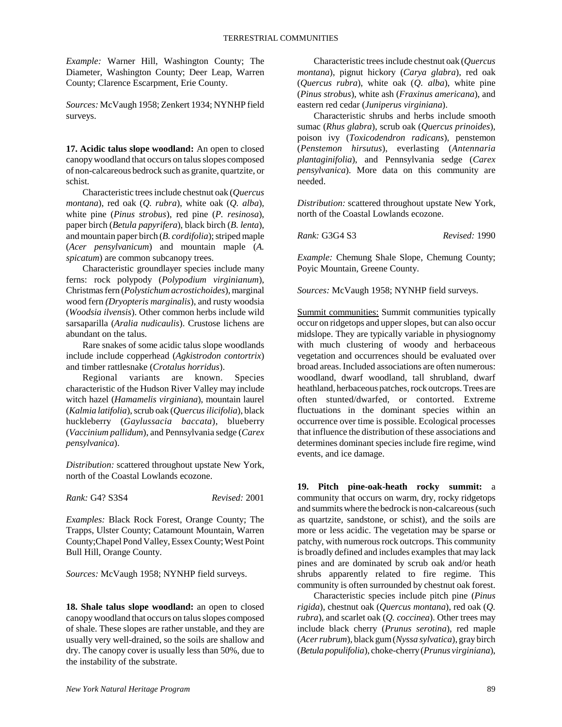*Example:* Warner Hill, Washington County; The Diameter, Washington County; Deer Leap, Warren County; Clarence Escarpment, Erie County.

*Sources:* McVaugh 1958; Zenkert 1934; NYNHP field surveys.

**17. Acidic talus slope woodland:** An open to closed canopy woodland that occurs on talus slopes composed of non-calcareous bedrock such as granite, quartzite, or schist.

Characteristic trees include chestnut oak (*Quercus montana*), red oak (*Q. rubra*), white oak (*Q. alba*), white pine (*Pinus strobus*), red pine (*P. resinosa*), paper birch (*Betula papyrifera*), black birch (*B. lenta*), and mountain paper birch (*B. cordifolia*); striped maple (*Acer pensylvanicum*) and mountain maple (*A. spicatum*) are common subcanopy trees.

Characteristic groundlayer species include many ferns: rock polypody (*Polypodium virginianum*), Christmas fern (*Polystichum acrostichoides*), marginal wood fern *(Dryopteris marginalis*), and rusty woodsia (*Woodsia ilvensis*). Other common herbs include wild sarsaparilla (*Aralia nudicaulis*). Crustose lichens are abundant on the talus.

Rare snakes of some acidic talus slope woodlands include include copperhead (*Agkistrodon contortrix*) and timber rattlesnake (*Crotalus horridus*).

Regional variants are known. Species characteristic of the Hudson River Valley may include witch hazel (*Hamamelis virginiana*), mountain laurel (*Kalmia latifolia*), scrub oak (*Quercus ilicifolia*), black huckleberry (*Gaylussacia baccata*), blueberry (*Vaccinium pallidum*), and Pennsylvania sedge (*Carex pensylvanica*).

*Distribution:* scattered throughout upstate New York, north of the Coastal Lowlands ecozone.

*Rank:* G4? S3S4 *Revised:* 2001

*Examples:* Black Rock Forest, Orange County; The Trapps, Ulster County; Catamount Mountain, Warren County;Chapel Pond Valley, Essex County; West Point Bull Hill, Orange County.

*Sources:* McVaugh 1958; NYNHP field surveys.

**18. Shale talus slope woodland:** an open to closed canopy woodland that occurs on talus slopes composed of shale. These slopes are rather unstable, and they are usually very well-drained, so the soils are shallow and dry. The canopy cover is usually less than 50%, due to the instability of the substrate.

Characteristic trees include chestnut oak (*Quercus montana*), pignut hickory (*Carya glabra*), red oak (*Quercus rubra*), white oak (*Q. alba*), white pine (*Pinus strobus*), white ash (*Fraxinus americana*), and eastern red cedar (*Juniperus virginiana*).

Characteristic shrubs and herbs include smooth sumac (*Rhus glabra*), scrub oak (*Quercus prinoides*), poison ivy (*Toxicodendron radicans*), penstemon (*Penstemon hirsutus*), everlasting (*Antennaria plantaginifolia*), and Pennsylvania sedge (*Carex pensylvanica*). More data on this community are needed.

*Distribution:* scattered throughout upstate New York, north of the Coastal Lowlands ecozone.

*Rank:* G3G4 S3 *Revised:* 1990

*Example:* Chemung Shale Slope, Chemung County; Poyic Mountain, Greene County.

*Sources:* McVaugh 1958; NYNHP field surveys.

Summit communities: Summit communities typically occur on ridgetops and upper slopes, but can also occur midslope. They are typically variable in physiognomy with much clustering of woody and herbaceous vegetation and occurrences should be evaluated over broad areas. Included associations are often numerous: woodland, dwarf woodland, tall shrubland, dwarf heathland, herbaceous patches, rock outcrops. Trees are often stunted/dwarfed, or contorted. Extreme fluctuations in the dominant species within an occurrence over time is possible. Ecological processes that influence the distribution of these associations and determines dominant species include fire regime, wind events, and ice damage.

**19. Pitch pine-oak-heath rocky summit:** a community that occurs on warm, dry, rocky ridgetops and summits where the bedrock is non-calcareous (such as quartzite, sandstone, or schist), and the soils are more or less acidic. The vegetation may be sparse or patchy, with numerous rock outcrops. This community is broadly defined and includes examples that may lack pines and are dominated by scrub oak and/or heath shrubs apparently related to fire regime. This community is often surrounded by chestnut oak forest.

Characteristic species include pitch pine (*Pinus rigida*), chestnut oak (*Quercus montana*), red oak (*Q. rubra*), and scarlet oak (*Q. coccinea*). Other trees may include black cherry (*Prunus serotina*), red maple (*Acer rubrum*), black gum (*Nyssa sylvatica*), gray birch (*Betula populifolia*), choke-cherry (*Prunus virginiana*),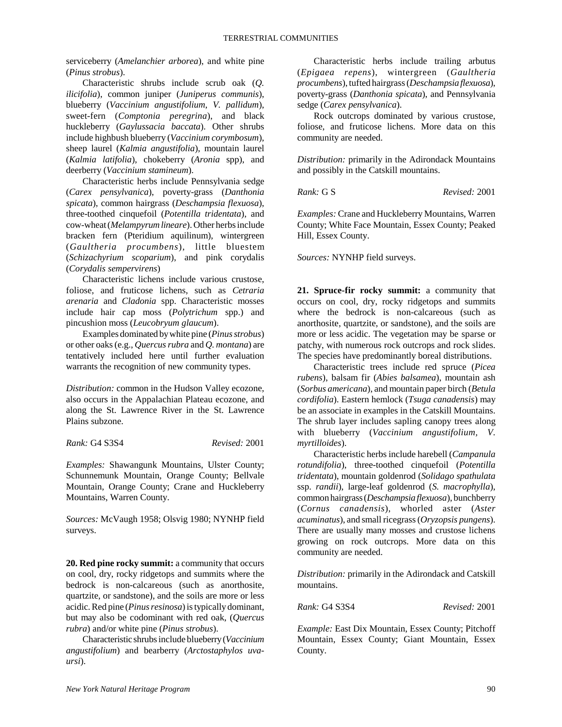serviceberry (*Amelanchier arborea*), and white pine (*Pinus strobus*).

Characteristic shrubs include scrub oak (*Q. ilicifolia*), common juniper (*Juniperus communis*), blueberry (*Vaccinium angustifolium*, *V. pallidum*), sweet-fern (*Comptonia peregrina*), and black huckleberry (*Gaylussacia baccata*). Other shrubs include highbush blueberry (*Vaccinium corymbosum*), sheep laurel (*Kalmia angustifolia*), mountain laurel (*Kalmia latifolia*), chokeberry (*Aronia* spp), and deerberry (*Vaccinium stamineum*).

Characteristic herbs include Pennsylvania sedge (*Carex pensylvanica*), poverty-grass (*Danthonia spicata*), common hairgrass (*Deschampsia flexuosa*), three-toothed cinquefoil (*Potentilla tridentata*), and cow-wheat (*Melampyrum lineare*). Other herbs include bracken fern (Pteridium aquilinum), wintergreen (*Gaultheria procumbens*), little bluestem (*Schizachyrium scoparium*), and pink corydalis (*Corydalis sempervirens*)

Characteristic lichens include various crustose, foliose, and fruticose lichens, such as *Cetraria arenaria* and *Cladonia* spp. Characteristic mosses include hair cap moss (*Polytrichum* spp.) and pincushion moss (*Leucobryum glaucum*).

Examples dominated by white pine (*Pinus strobus*) or other oaks (e.g., *Quercus rubra* and *Q. montana*) are tentatively included here until further evaluation warrants the recognition of new community types.

*Distribution:* common in the Hudson Valley ecozone, also occurs in the Appalachian Plateau ecozone, and along the St. Lawrence River in the St. Lawrence Plains subzone.

*Rank:* G4 S3S4 *Revised:* 2001

*Examples:* Shawangunk Mountains, Ulster County; Schunnemunk Mountain, Orange County; Bellvale Mountain, Orange County; Crane and Huckleberry Mountains, Warren County.

*Sources:* McVaugh 1958; Olsvig 1980; NYNHP field surveys.

**20. Red pine rocky summit:** a community that occurs on cool, dry, rocky ridgetops and summits where the bedrock is non-calcareous (such as anorthosite, quartzite, or sandstone), and the soils are more or less acidic. Red pine (*Pinus resinosa*) is typically dominant, but may also be codominant with red oak, (*Quercus rubra*) and/or white pine (*Pinus strobus*).

Characteristic shrubs include blueberry (*Vaccinium angustifolium*) and bearberry (*Arctostaphylos uvaursi*).

Characteristic herbs include trailing arbutus (*Epigaea repens*), wintergreen (*Gaultheria procumbens*), tufted hairgrass (*Deschampsia flexuosa*), poverty-grass (*Danthonia spicata*), and Pennsylvania sedge (*Carex pensylvanica*).

Rock outcrops dominated by various crustose, foliose, and fruticose lichens. More data on this community are needed.

*Distribution:* primarily in the Adirondack Mountains and possibly in the Catskill mountains.

*Rank:* G S *Revised:* 2001

*Examples:* Crane and Huckleberry Mountains, Warren County; White Face Mountain, Essex County; Peaked Hill, Essex County.

*Sources:* NYNHP field surveys.

**21. Spruce-fir rocky summit:** a community that occurs on cool, dry, rocky ridgetops and summits where the bedrock is non-calcareous (such as anorthosite, quartzite, or sandstone), and the soils are more or less acidic. The vegetation may be sparse or patchy, with numerous rock outcrops and rock slides. The species have predominantly boreal distributions.

Characteristic trees include red spruce (*Picea rubens*), balsam fir (*Abies balsamea*), mountain ash (*Sorbus americana*), and mountain paper birch (*Betula cordifolia*). Eastern hemlock (*Tsuga canadensis*) may be an associate in examples in the Catskill Mountains. The shrub layer includes sapling canopy trees along with blueberry (*Vaccinium angustifolium, V. myrtilloides*).

Characteristic herbs include harebell (*Campanula rotundifolia*), three-toothed cinquefoil (*Potentilla tridentata*), mountain goldenrod (*Solidago spathulata* ssp. *randii*), large-leaf goldenrod (*S. macrophylla*), common hairgrass (*Deschampsia flexuosa*), bunchberry (*Cornus canadensis*), whorled aster (*Aster acuminatus*), and small ricegrass (*Oryzopsis pungens*). There are usually many mosses and crustose lichens growing on rock outcrops. More data on this community are needed.

*Distribution:* primarily in the Adirondack and Catskill mountains.

*Rank:* G4 S3S4 *Revised:* 2001

*Example:* East Dix Mountain, Essex County; Pitchoff Mountain, Essex County; Giant Mountain, Essex County.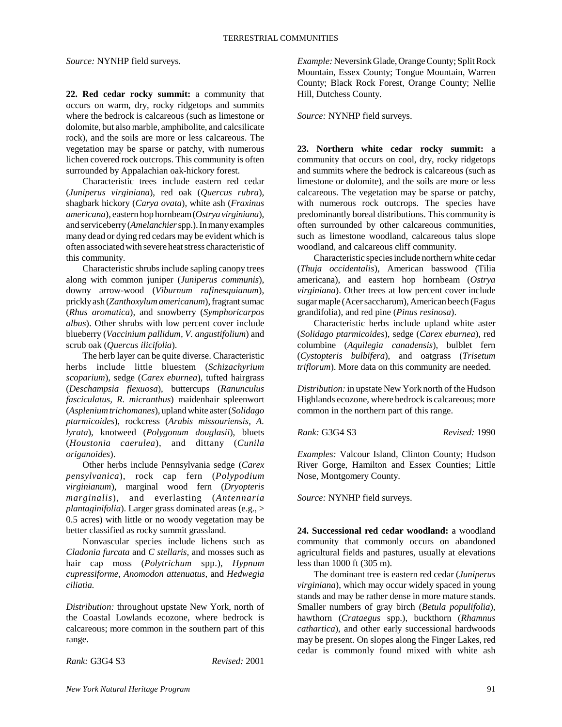*Source:* NYNHP field surveys.

**22. Red cedar rocky summit:** a community that occurs on warm, dry, rocky ridgetops and summits where the bedrock is calcareous (such as limestone or dolomite, but also marble, amphibolite, and calcsilicate rock), and the soils are more or less calcareous. The vegetation may be sparse or patchy, with numerous lichen covered rock outcrops. This community is often surrounded by Appalachian oak-hickory forest.

Characteristic trees include eastern red cedar (*Juniperus virginiana*), red oak (*Quercus rubra*), shagbark hickory (*Carya ovata*), white ash (*Fraxinus americana*), eastern hop hornbeam (*Ostrya virginiana*), and serviceberry (*Amelanchier* spp.). In many examples many dead or dying red cedars may be evident which is often associated with severe heat stress characteristic of this community.

Characteristic shrubs include sapling canopy trees along with common juniper (*Juniperus communis*), downy arrow-wood (*Viburnum rafinesquianum*), prickly ash (*Zanthoxylum americanum*), fragrant sumac (*Rhus aromatica*), and snowberry (*Symphoricarpos albus*). Other shrubs with low percent cover include blueberry (*Vaccinium pallidum, V. angustifolium*) and scrub oak (*Quercus ilicifolia*).

The herb layer can be quite diverse. Characteristic herbs include little bluestem (*Schizachyrium scoparium*), sedge (*Carex eburnea*), tufted hairgrass (*Deschampsia flexuosa*), buttercups (*Ranunculus fasciculatus, R. micranthus*) maidenhair spleenwort (*Asplenium trichomanes*), upland white aster (*Solidago ptarmicoides*), rockcress (*Arabis missouriensis, A. lyrata*), knotweed (*Polygonum douglasii*), bluets (*Houstonia caerulea*), and dittany (*Cunila origanoides*).

Other herbs include Pennsylvania sedge (*Carex pensylvanica*), rock cap fern (*Polypodium virginianum*), marginal wood fern (*Dryopteris marginalis*), and everlasting (*Antennaria plantaginifolia*). Larger grass dominated areas (e.g., > 0.5 acres) with little or no woody vegetation may be better classified as rocky summit grassland.

Nonvascular species include lichens such as *Cladonia furcata* and *C stellaris,* and mosses such as hair cap moss (*Polytrichum* spp.), *Hypnum cupressiforme, Anomodon attenuatus,* and *Hedwegia ciliatia.*

*Distribution:* throughout upstate New York, north of the Coastal Lowlands ecozone, where bedrock is calcareous; more common in the southern part of this range.

*Rank:* G3G4 S3 *Revised:* 2001

*Example:* Neversink Glade, Orange County; Split Rock Mountain, Essex County; Tongue Mountain, Warren County; Black Rock Forest, Orange County; Nellie Hill, Dutchess County.

*Source:* NYNHP field surveys.

**23. Northern white cedar rocky summit:** a community that occurs on cool, dry, rocky ridgetops and summits where the bedrock is calcareous (such as limestone or dolomite), and the soils are more or less calcareous. The vegetation may be sparse or patchy, with numerous rock outcrops. The species have predominantly boreal distributions. This community is often surrounded by other calcareous communities, such as limestone woodland, calcareous talus slope woodland, and calcareous cliff community.

Characteristic species include northern white cedar (*Thuja occidentalis*), American basswood (Tilia americana), and eastern hop hornbeam (*Ostrya virginiana*). Other trees at low percent cover include sugar maple (Acer saccharum), American beech (Fagus grandifolia), and red pine (*Pinus resinosa*).

Characteristic herbs include upland white aster (*Solidago ptarmicoides*), sedge (*Carex eburnea*), red columbine (*Aquilegia canadensis*), bulblet fern (*Cystopteris bulbifera*), and oatgrass (*Trisetum triflorum*). More data on this community are needed.

*Distribution:* in upstate New York north of the Hudson Highlands ecozone, where bedrock is calcareous; more common in the northern part of this range.

*Rank:* G3G4 S3 *Revised:* 1990

*Examples:* Valcour Island, Clinton County; Hudson River Gorge, Hamilton and Essex Counties; Little Nose, Montgomery County.

*Source:* NYNHP field surveys.

**24. Successional red cedar woodland:** a woodland community that commonly occurs on abandoned agricultural fields and pastures, usually at elevations less than 1000 ft (305 m).

The dominant tree is eastern red cedar (*Juniperus virginiana*), which may occur widely spaced in young stands and may be rather dense in more mature stands. Smaller numbers of gray birch (*Betula populifolia*), hawthorn (*Crataegus* spp.), buckthorn (*Rhamnus cathartica*), and other early successional hardwoods may be present. On slopes along the Finger Lakes, red cedar is commonly found mixed with white ash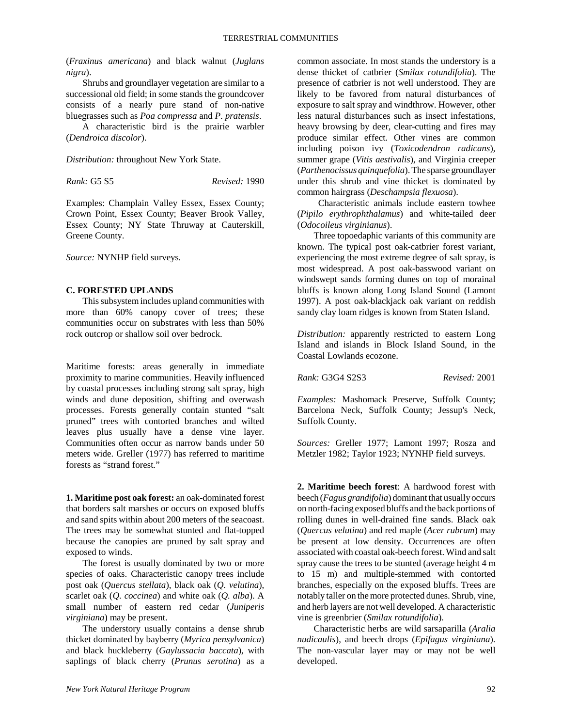(*Fraxinus americana*) and black walnut (*Juglans nigra*).

Shrubs and groundlayer vegetation are similar to a successional old field; in some stands the groundcover consists of a nearly pure stand of non-native bluegrasses such as *Poa compressa* and *P*. *pratensis*.

A characteristic bird is the prairie warbler (*Dendroica discolor*).

*Distribution:* throughout New York State.

*Rank:* G5 S5 *Revised:* 1990

Examples: Champlain Valley Essex, Essex County; Crown Point, Essex County; Beaver Brook Valley, Essex County; NY State Thruway at Cauterskill, Greene County.

*Source:* NYNHP field surveys.

## **C. FORESTED UPLANDS**

This subsystem includes upland communities with more than 60% canopy cover of trees; these communities occur on substrates with less than 50% rock outcrop or shallow soil over bedrock.

Maritime forests: areas generally in immediate proximity to marine communities. Heavily influenced by coastal processes including strong salt spray, high winds and dune deposition, shifting and overwash processes. Forests generally contain stunted "salt pruned" trees with contorted branches and wilted leaves plus usually have a dense vine layer. Communities often occur as narrow bands under 50 meters wide. Greller (1977) has referred to maritime forests as "strand forest."

**1. Maritime post oak forest:** an oak-dominated forest that borders salt marshes or occurs on exposed bluffs and sand spits within about 200 meters of the seacoast. The trees may be somewhat stunted and flat-topped because the canopies are pruned by salt spray and exposed to winds.

The forest is usually dominated by two or more species of oaks. Characteristic canopy trees include post oak (*Quercus stellata*), black oak (*Q. velutina*), scarlet oak (*Q. coccinea*) and white oak (*Q. alba*). A small number of eastern red cedar (*Juniperis virginiana*) may be present.

The understory usually contains a dense shrub thicket dominated by bayberry (*Myrica pensylvanica*) and black huckleberry (*Gaylussacia baccata*), with saplings of black cherry (*Prunus serotina*) as a common associate. In most stands the understory is a dense thicket of catbrier (*Smilax rotundifolia*). The presence of catbrier is not well understood. They are likely to be favored from natural disturbances of exposure to salt spray and windthrow. However, other less natural disturbances such as insect infestations, heavy browsing by deer, clear-cutting and fires may produce similar effect. Other vines are common including poison ivy (*Toxicodendron radicans*), summer grape (*Vitis aestivalis*), and Virginia creeper (*Parthenocissus quinquefolia*). The sparse groundlayer under this shrub and vine thicket is dominated by common hairgrass (*Deschampsia flexuosa*).

 Characteristic animals include eastern towhee (*Pipilo erythrophthalamus*) and white-tailed deer (*Odocoileus virginianus*).

Three topoedaphic variants of this community are known. The typical post oak-catbrier forest variant, experiencing the most extreme degree of salt spray, is most widespread. A post oak-basswood variant on windswept sands forming dunes on top of morainal bluffs is known along Long Island Sound (Lamont 1997). A post oak-blackjack oak variant on reddish sandy clay loam ridges is known from Staten Island.

*Distribution:* apparently restricted to eastern Long Island and islands in Block Island Sound, in the Coastal Lowlands ecozone.

*Rank:* G3G4 S2S3 *Revised:* 2001

*Examples:* Mashomack Preserve, Suffolk County; Barcelona Neck, Suffolk County; Jessup's Neck, Suffolk County.

*Sources:* Greller 1977; Lamont 1997; Rosza and Metzler 1982; Taylor 1923; NYNHP field surveys.

**2. Maritime beech forest**: A hardwood forest with beech (*Fagus grandifolia*) dominant that usually occurs on north-facing exposed bluffs and the back portions of rolling dunes in well-drained fine sands. Black oak (*Quercus velutina*) and red maple (*Acer rubrum*) may be present at low density. Occurrences are often associated with coastal oak-beech forest. Wind and salt spray cause the trees to be stunted (average height 4 m to 15 m) and multiple-stemmed with contorted branches, especially on the exposed bluffs. Trees are notably taller on the more protected dunes. Shrub, vine, and herb layers are not well developed. A characteristic vine is greenbrier (*Smilax rotundifolia*).

Characteristic herbs are wild sarsaparilla (*Aralia nudicaulis*), and beech drops (*Epifagus virginiana*). The non-vascular layer may or may not be well developed.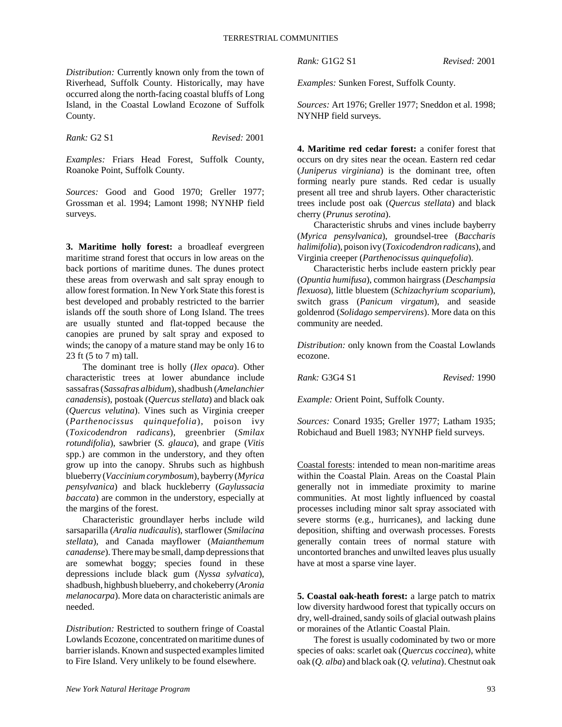*Distribution:* Currently known only from the town of Riverhead, Suffolk County. Historically, may have occurred along the north-facing coastal bluffs of Long Island, in the Coastal Lowland Ecozone of Suffolk County.

*Rank:* G2 S1 *Revised:* 2001

*Examples:* Friars Head Forest, Suffolk County, Roanoke Point, Suffolk County.

*Sources:* Good and Good 1970; Greller 1977; Grossman et al. 1994; Lamont 1998; NYNHP field surveys.

**3. Maritime holly forest:** a broadleaf evergreen maritime strand forest that occurs in low areas on the back portions of maritime dunes. The dunes protect these areas from overwash and salt spray enough to allow forest formation. In New York State this forest is best developed and probably restricted to the barrier islands off the south shore of Long Island. The trees are usually stunted and flat-topped because the canopies are pruned by salt spray and exposed to winds; the canopy of a mature stand may be only 16 to 23 ft (5 to 7 m) tall.

The dominant tree is holly (*Ilex opaca*). Other characteristic trees at lower abundance include sassafras (*Sassafras albidum*), shadbush (*Amelanchier canadensis*), postoak (*Quercus stellata*) and black oak (*Quercus velutina*). Vines such as Virginia creeper (*Parthenocissus quinquefolia*), poison ivy (*Toxicodendron radicans*), greenbrier (*Smilax rotundifolia*), sawbrier (*S. glauca*), and grape (*Vitis* spp.) are common in the understory, and they often grow up into the canopy. Shrubs such as highbush blueberry (*Vaccinium corymbosum*), bayberry (*Myrica pensylvanica*) and black huckleberry (*Gaylussacia baccata*) are common in the understory, especially at the margins of the forest.

Characteristic groundlayer herbs include wild sarsaparilla (*Aralia nudicaulis*), starflower (*Smilacina stellata*), and Canada mayflower (*Maianthemum canadense*). There may be small, damp depressions that are somewhat boggy; species found in these depressions include black gum (*Nyssa sylvatica*), shadbush, highbush blueberry, and chokeberry (*Aronia melanocarpa*). More data on characteristic animals are needed.

*Distribution:* Restricted to southern fringe of Coastal Lowlands Ecozone, concentrated on maritime dunes of barrier islands. Known and suspected examples limited to Fire Island. Very unlikely to be found elsewhere.

*Rank:* G1G2 S1 *Revised:* 2001

*Examples:* Sunken Forest, Suffolk County.

*Sources:* Art 1976; Greller 1977; Sneddon et al. 1998; NYNHP field surveys.

**4. Maritime red cedar forest:** a conifer forest that occurs on dry sites near the ocean. Eastern red cedar (*Juniperus virginiana*) is the dominant tree, often forming nearly pure stands. Red cedar is usually present all tree and shrub layers. Other characteristic trees include post oak (*Quercus stellata*) and black cherry (*Prunus serotina*).

Characteristic shrubs and vines include bayberry (*Myrica pensylvanica*), groundsel-tree (*Baccharis halimifolia*), poison ivy (*Toxicodendron radicans*), and Virginia creeper (*Parthenocissus quinquefolia*).

Characteristic herbs include eastern prickly pear (*Opuntia humifusa*), common hairgrass (*Deschampsia flexuosa*), little bluestem (*Schizachyrium scoparium*), switch grass (*Panicum virgatum*), and seaside goldenrod (*Solidago sempervirens*). More data on this community are needed.

*Distribution:* only known from the Coastal Lowlands ecozone.

*Rank:* G3G4 S1 *Revised:* 1990

*Example:* Orient Point, Suffolk County.

*Sources:* Conard 1935; Greller 1977; Latham 1935; Robichaud and Buell 1983; NYNHP field surveys.

Coastal forests: intended to mean non-maritime areas within the Coastal Plain. Areas on the Coastal Plain generally not in immediate proximity to marine communities. At most lightly influenced by coastal processes including minor salt spray associated with severe storms (e.g., hurricanes), and lacking dune deposition, shifting and overwash processes. Forests generally contain trees of normal stature with uncontorted branches and unwilted leaves plus usually have at most a sparse vine layer.

**5. Coastal oak-heath forest:** a large patch to matrix low diversity hardwood forest that typically occurs on dry, well-drained, sandy soils of glacial outwash plains or moraines of the Atlantic Coastal Plain.

The forest is usually codominated by two or more species of oaks: scarlet oak (*Quercus coccinea*), white oak (*Q. alba*) and black oak (*Q. velutina*). Chestnut oak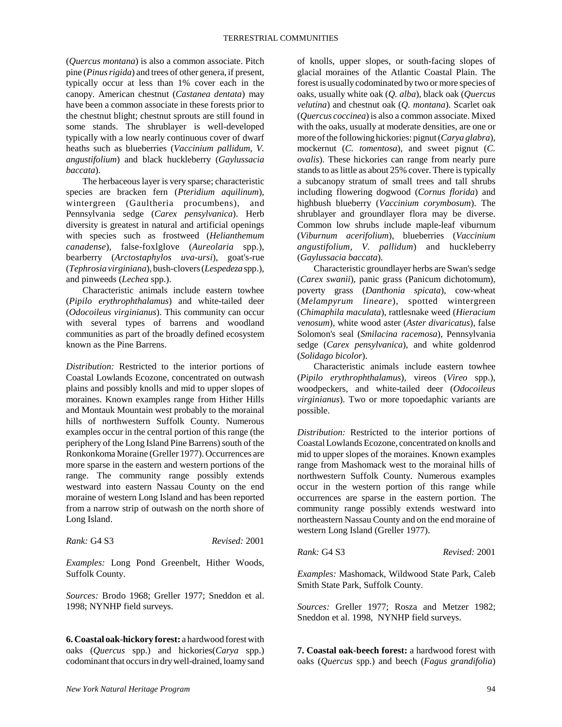(*Quercus montana*) is also a common associate. Pitch pine (*Pinus rigida*) and trees of other genera, if present, typically occur at less than 1% cover each in the canopy. American chestnut (*Castanea dentata*) may have been a common associate in these forests prior to the chestnut blight; chestnut sprouts are still found in some stands. The shrublayer is well-developed typically with a low nearly continuous cover of dwarf heaths such as blueberries (*Vaccinium pallidum, V. angustifolium*) and black huckleberry (*Gaylussacia baccata*).

The herbaceous layer is very sparse; characteristic species are bracken fern (*Pteridium aquilinum*), wintergreen (Gaultheria procumbens), and Pennsylvania sedge (*Carex pensylvanica*). Herb diversity is greatest in natural and artificial openings with species such as frostweed (*Helianthemum canadense*), false-foxlglove (*Aureolaria* spp.), bearberry (*Arctostaphylos uva-ursi*), goat's-rue (*Tephrosia virginiana*), bush-clovers (*Lespedeza* spp.), and pinweeds (*Lechea* spp.).

Characteristic animals include eastern towhee (*Pipilo erythrophthalamus*) and white-tailed deer (*Odocoileus virginianus*). This community can occur with several types of barrens and woodland communities as part of the broadly defined ecosystem known as the Pine Barrens.

*Distribution:* Restricted to the interior portions of Coastal Lowlands Ecozone, concentrated on outwash plains and possibly knolls and mid to upper slopes of moraines. Known examples range from Hither Hills and Montauk Mountain west probably to the morainal hills of northwestern Suffolk County. Numerous examples occur in the central portion of this range (the periphery of the Long Island Pine Barrens) south of the Ronkonkoma Moraine (Greller 1977). Occurrences are more sparse in the eastern and western portions of the range. The community range possibly extends westward into eastern Nassau County on the end moraine of western Long Island and has been reported from a narrow strip of outwash on the north shore of Long Island.

| <i>Rank: G</i> 4 S3 | Revised: 2001 |  |
|---------------------|---------------|--|
|                     |               |  |

*Examples:* Long Pond Greenbelt, Hither Woods, Suffolk County.

*Sources:* Brodo 1968; Greller 1977; Sneddon et al. 1998; NYNHP field surveys.

**6. Coastal oak-hickory forest:** a hardwood forest with oaks (*Quercus* spp.) and hickories(*Carya* spp.) codominant that occurs in dry well-drained, loamy sand

of knolls, upper slopes, or south-facing slopes of glacial moraines of the Atlantic Coastal Plain. The forest is usually codominated by two or more species of oaks, usually white oak (*Q. alba*), black oak (*Quercus velutina*) and chestnut oak (*Q. montana*). Scarlet oak (*Quercus coccinea*) is also a common associate. Mixed with the oaks, usually at moderate densities, are one or more of the following hickories: pignut (*Carya glabra*), mockernut (*C. tomentosa*), and sweet pignut (*C. ovalis*). These hickories can range from nearly pure stands to as little as about 25% cover. There is typically a subcanopy stratum of small trees and tall shrubs including flowering dogwood (*Cornus florida*) and highbush blueberry (*Vaccinium corymbosum*). The shrublayer and groundlayer flora may be diverse. Common low shrubs include maple-leaf viburnum (*Viburnum acerifolium*), blueberries (*Vaccinium angustifolium, V. pallidum*) and huckleberry (*Gaylussacia baccata*).

Characteristic groundlayer herbs are Swan's sedge (*Carex swanii*), panic grass (Panicum dichotomum), poverty grass (*Danthonia spicata*), cow-wheat (*Melampyrum lineare*), spotted wintergreen (*Chimaphila maculata*), rattlesnake weed (*Hieracium venosum*), white wood aster (*Aster divaricatus*), false Solomon's seal (*Smilacina racemosa*), Pennsylvania sedge (*Carex pensylvanica*), and white goldenrod (*Solidago bicolor*).

Characteristic animals include eastern towhee (*Pipilo erythrophthalamus*), vireos (*Vireo* spp.), woodpeckers, and white-tailed deer (*Odocoileus virginianus*). Two or more topoedaphic variants are possible.

*Distribution:* Restricted to the interior portions of Coastal Lowlands Ecozone, concentrated on knolls and mid to upper slopes of the moraines. Known examples range from Mashomack west to the morainal hills of northwestern Suffolk County. Numerous examples occur in the western portion of this range while occurrences are sparse in the eastern portion. The community range possibly extends westward into northeastern Nassau County and on the end moraine of western Long Island (Greller 1977).

*Rank:* G4 S3 *Revised:* 2001

*Examples:* Mashomack, Wildwood State Park, Caleb Smith State Park, Suffolk County.

*Sources:* Greller 1977; Rosza and Metzer 1982; Sneddon et al. 1998, NYNHP field surveys.

**7. Coastal oak-beech forest:** a hardwood forest with oaks (*Quercus* spp.) and beech (*Fagus grandifolia*)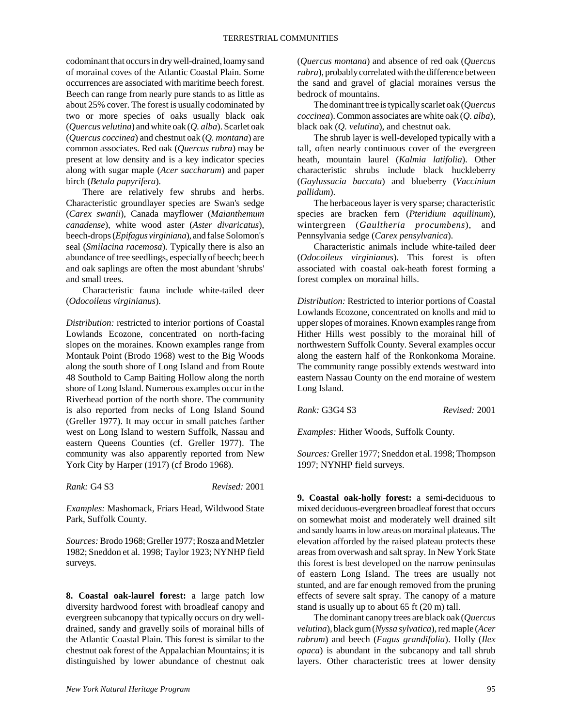codominant that occurs in dry well-drained, loamy sand of morainal coves of the Atlantic Coastal Plain. Some occurrences are associated with maritime beech forest. Beech can range from nearly pure stands to as little as about 25% cover. The forest is usually codominated by two or more species of oaks usually black oak (*Quercus velutina*) and white oak (*Q. alba*). Scarlet oak (*Quercus coccinea*) and chestnut oak (*Q. montana*) are common associates. Red oak (*Quercus rubra*) may be present at low density and is a key indicator species along with sugar maple (*Acer saccharum*) and paper birch (*Betula papyrifera*).

There are relatively few shrubs and herbs. Characteristic groundlayer species are Swan's sedge (*Carex swanii*), Canada mayflower (*Maianthemum canadense*), white wood aster (*Aster divaricatus*), beech-drops (*Epifagus virginiana*), and false Solomon's seal (*Smilacina racemosa*). Typically there is also an abundance of tree seedlings, especially of beech; beech and oak saplings are often the most abundant 'shrubs' and small trees.

Characteristic fauna include white-tailed deer (*Odocoileus virginianus*).

*Distribution:* restricted to interior portions of Coastal Lowlands Ecozone, concentrated on north-facing slopes on the moraines. Known examples range from Montauk Point (Brodo 1968) west to the Big Woods along the south shore of Long Island and from Route 48 Southold to Camp Baiting Hollow along the north shore of Long Island. Numerous examples occur in the Riverhead portion of the north shore. The community is also reported from necks of Long Island Sound (Greller 1977). It may occur in small patches farther west on Long Island to western Suffolk, Nassau and eastern Queens Counties (cf. Greller 1977). The community was also apparently reported from New York City by Harper (1917) (cf Brodo 1968).

*Rank:* G4 S3 *Revised:* 2001

*Examples:* Mashomack, Friars Head, Wildwood State Park, Suffolk County.

*Sources:* Brodo 1968; Greller 1977; Rosza and Metzler 1982; Sneddon et al. 1998; Taylor 1923; NYNHP field surveys.

**8. Coastal oak-laurel forest:** a large patch low diversity hardwood forest with broadleaf canopy and evergreen subcanopy that typically occurs on dry welldrained, sandy and gravelly soils of morainal hills of the Atlantic Coastal Plain. This forest is similar to the chestnut oak forest of the Appalachian Mountains; it is distinguished by lower abundance of chestnut oak (*Quercus montana*) and absence of red oak (*Quercus rubra*), probably correlated with the difference between the sand and gravel of glacial moraines versus the bedrock of mountains.

The dominant tree is typically scarlet oak (*Quercus coccinea*). Common associates are white oak (*Q. alba*), black oak (*Q. velutina*), and chestnut oak.

The shrub layer is well-developed typically with a tall, often nearly continuous cover of the evergreen heath, mountain laurel (*Kalmia latifolia*). Other characteristic shrubs include black huckleberry (*Gaylussacia baccata*) and blueberry (*Vaccinium pallidum*).

The herbaceous layer is very sparse; characteristic species are bracken fern (*Pteridium aquilinum*), wintergreen (*Gaultheria procumbens*), and Pennsylvania sedge (*Carex pensylvanica*).

Characteristic animals include white-tailed deer (*Odocoileus virginianus*). This forest is often associated with coastal oak-heath forest forming a forest complex on morainal hills.

*Distribution:* Restricted to interior portions of Coastal Lowlands Ecozone, concentrated on knolls and mid to upper slopes of moraines. Known examples range from Hither Hills west possibly to the morainal hill of northwestern Suffolk County. Several examples occur along the eastern half of the Ronkonkoma Moraine. The community range possibly extends westward into eastern Nassau County on the end moraine of western Long Island.

*Rank:* G3G4 S3 *Revised:* 2001

*Examples:* Hither Woods, Suffolk County.

*Sources:* Greller 1977; Sneddon et al. 1998; Thompson 1997; NYNHP field surveys.

**9. Coastal oak-holly forest:** a semi-deciduous to mixed deciduous-evergreen broadleaf forest that occurs on somewhat moist and moderately well drained silt and sandy loams in low areas on morainal plateaus. The elevation afforded by the raised plateau protects these areas from overwash and salt spray. In New York State this forest is best developed on the narrow peninsulas of eastern Long Island. The trees are usually not stunted, and are far enough removed from the pruning effects of severe salt spray. The canopy of a mature stand is usually up to about 65 ft (20 m) tall.

The dominant canopy trees are black oak (*Quercus velutina*), black gum (*Nyssa sylvatica*), red maple (*Acer rubrum*) and beech (*Fagus grandifolia*). Holly (*Ilex opaca*) is abundant in the subcanopy and tall shrub layers. Other characteristic trees at lower density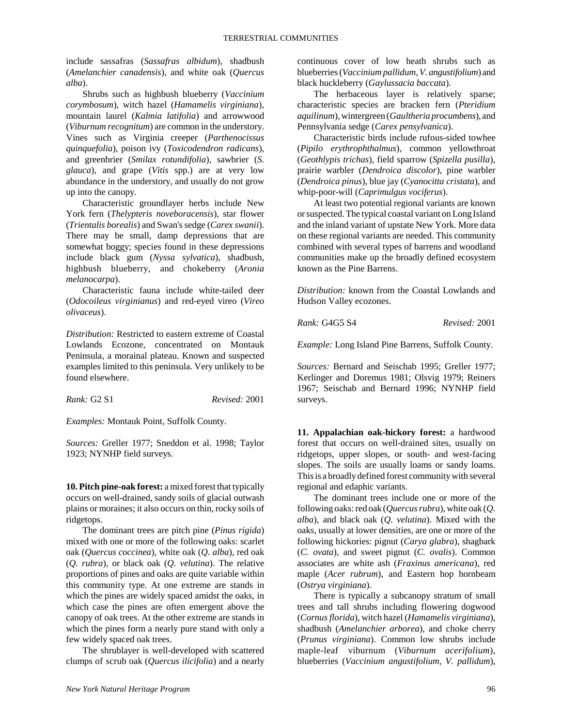include sassafras (*Sassafras albidum*), shadbush (*Amelanchier canadensis*), and white oak (*Quercus alba*).

Shrubs such as highbush blueberry (*Vaccinium corymbosum*), witch hazel (*Hamamelis virginiana*), mountain laurel (*Kalmia latifolia*) and arrowwood (*Viburnum recognitum*) are common in the understory. Vines such as Virginia creeper (*Parthenocissus quinquefolia*), poison ivy (*Toxicodendron radicans*), and greenbrier (*Smilax rotundifolia*), sawbrier (*S. glauca*), and grape (*Vitis* spp.) are at very low abundance in the understory, and usually do not grow up into the canopy.

Characteristic groundlayer herbs include New York fern (*Thelypteris noveboracensis*), star flower (*Trientalis borealis*) and Swan's sedge (*Carex swanii*). There may be small, damp depressions that are somewhat boggy; species found in these depressions include black gum (*Nyssa sylvatica*), shadbush, highbush blueberry, and chokeberry (*Aronia melanocarpa*).

Characteristic fauna include white-tailed deer (*Odocoileus virginianus*) and red-eyed vireo (*Vireo olivaceus*).

*Distribution:* Restricted to eastern extreme of Coastal Lowlands Ecozone, concentrated on Montauk Peninsula, a morainal plateau. Known and suspected examples limited to this peninsula. Very unlikely to be found elsewhere.

*Rank:* G2 S1 *Revised:* 2001

*Examples:* Montauk Point, Suffolk County.

*Sources:* Greller 1977; Sneddon et al. 1998; Taylor 1923; NYNHP field surveys.

**10. Pitch pine-oak forest:** a mixed forest that typically occurs on well-drained, sandy soils of glacial outwash plains or moraines; it also occurs on thin, rocky soils of ridgetops.

The dominant trees are pitch pine (*Pinus rigida*) mixed with one or more of the following oaks: scarlet oak (*Quercus coccinea*), white oak (*Q. alba*), red oak (*Q. rubra*), or black oak (*Q. velutina*). The relative proportions of pines and oaks are quite variable within this community type. At one extreme are stands in which the pines are widely spaced amidst the oaks, in which case the pines are often emergent above the canopy of oak trees. At the other extreme are stands in which the pines form a nearly pure stand with only a few widely spaced oak trees.

The shrublayer is well-developed with scattered clumps of scrub oak (*Quercus ilicifolia*) and a nearly continuous cover of low heath shrubs such as blueberries (*Vaccinium pallidum, V. angustifolium*) and black huckleberry (*Gaylussacia baccata*).

The herbaceous layer is relatively sparse; characteristic species are bracken fern (*Pteridium aquilinum*), wintergreen (*Gaultheria procumbens*), and Pennsylvania sedge (*Carex pensylvanica*).

Characteristic birds include rufous-sided towhee (*Pipilo erythrophthalmus*), common yellowthroat (*Geothlypis trichas*), field sparrow (*Spizella pusilla*), prairie warbler (*Dendroica discolor*), pine warbler (*Dendroica pinus*), blue jay (*Cyanocitta cristata*), and whip-poor-will (*Caprimulgus vociferus*).

At least two potential regional variants are known or suspected. The typical coastal variant on Long Island and the inland variant of upstate New York. More data on these regional variants are needed. This community combined with several types of barrens and woodland communities make up the broadly defined ecosystem known as the Pine Barrens.

*Distribution:* known from the Coastal Lowlands and Hudson Valley ecozones.

*Rank:* G4G5 S4 *Revised:* 2001

*Example:* Long Island Pine Barrens, Suffolk County.

*Sources:* Bernard and Seischab 1995; Greller 1977; Kerlinger and Doremus 1981; Olsvig 1979; Reiners 1967; Seischab and Bernard 1996; NYNHP field surveys.

**11. Appalachian oak-hickory forest:** a hardwood forest that occurs on well-drained sites, usually on ridgetops, upper slopes, or south- and west-facing slopes. The soils are usually loams or sandy loams. This is a broadly defined forest community with several regional and edaphic variants.

The dominant trees include one or more of the following oaks: red oak (*Quercus rubra*), white oak (*Q. alba*), and black oak (*Q. velutina*). Mixed with the oaks, usually at lower densities, are one or more of the following hickories: pignut (*Carya glabra*), shagbark (*C. ovata*), and sweet pignut (*C. ovalis*). Common associates are white ash (*Fraxinus americana*), red maple (*Acer rubrum*), and Eastern hop hornbeam (*Ostrya virginiana*).

There is typically a subcanopy stratum of small trees and tall shrubs including flowering dogwood (*Cornus florida*), witch hazel (*Hamamelis virginiana*), shadbush (*Amelanchier arborea*), and choke cherry (*Prunus virginiana*). Common low shrubs include maple-leaf viburnum (*Viburnum acerifolium*), blueberries (*Vaccinium angustifolium, V. pallidum*),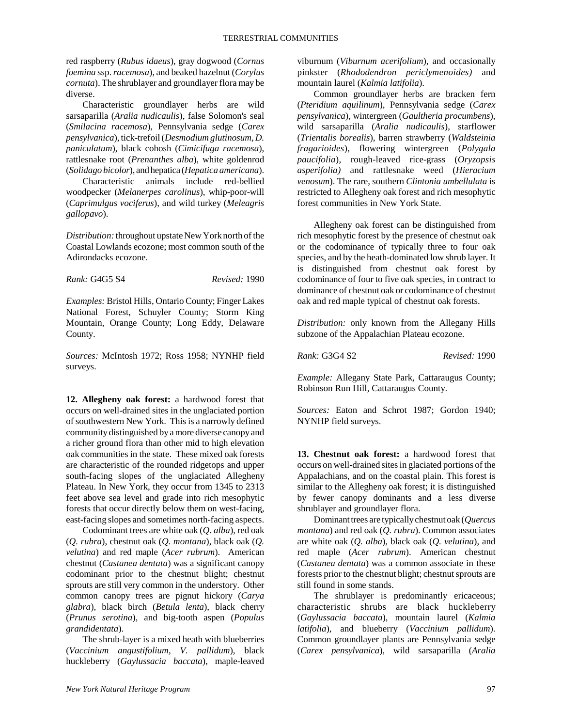red raspberry (*Rubus idaeus*), gray dogwood (*Cornus foemina* ssp. *racemosa*), and beaked hazelnut (*Corylus cornuta*). The shrublayer and groundlayer flora may be diverse.

Characteristic groundlayer herbs are wild sarsaparilla (*Aralia nudicaulis*), false Solomon's seal (*Smilacina racemosa*), Pennsylvania sedge (*Carex pensylvanica*), tick-trefoil (*Desmodium glutinosum, D. paniculatum*), black cohosh (*Cimicifuga racemosa*), rattlesnake root (*Prenanthes alba*), white goldenrod (*Solidago bicolor*), and hepatica (*Hepatica americana*).

Characteristic animals include red-bellied woodpecker (*Melanerpes carolinus*), whip-poor-will (*Caprimulgus vociferus*), and wild turkey (*Meleagris gallopavo*).

*Distribution:* throughout upstate New York north of the Coastal Lowlands ecozone; most common south of the Adirondacks ecozone.

*Rank:* G4G5 S4 *Revised:* 1990

*Examples:* Bristol Hills, Ontario County; Finger Lakes National Forest, Schuyler County; Storm King Mountain, Orange County; Long Eddy, Delaware County.

*Sources:* McIntosh 1972; Ross 1958; NYNHP field surveys.

**12. Allegheny oak forest:** a hardwood forest that occurs on well-drained sites in the unglaciated portion of southwestern New York. This is a narrowly defined community distinguished by a more diverse canopy and a richer ground flora than other mid to high elevation oak communities in the state. These mixed oak forests are characteristic of the rounded ridgetops and upper south-facing slopes of the unglaciated Allegheny Plateau. In New York, they occur from 1345 to 2313 feet above sea level and grade into rich mesophytic forests that occur directly below them on west-facing, east-facing slopes and sometimes north-facing aspects.

Codominant trees are white oak (*Q. alba*), red oak (*Q. rubra*), chestnut oak (*Q. montana*), black oak (*Q. velutina*) and red maple (*Acer rubrum*). American chestnut (*Castanea dentata*) was a significant canopy codominant prior to the chestnut blight; chestnut sprouts are still very common in the understory. Other common canopy trees are pignut hickory (*Carya glabra*), black birch (*Betula lenta*), black cherry (*Prunus serotina*), and big-tooth aspen (*Populus grandidentata*).

The shrub-layer is a mixed heath with blueberries (*Vaccinium angustifolium, V. pallidum*), black huckleberry (*Gaylussacia baccata*), maple-leaved viburnum (*Viburnum acerifolium*), and occasionally pinkster (*Rhododendron periclymenoides)* and mountain laurel (*Kalmia latifolia*).

Common groundlayer herbs are bracken fern (*Pteridium aquilinum*), Pennsylvania sedge (*Carex pensylvanica*), wintergreen (*Gaultheria procumbens*), wild sarsaparilla (*Aralia nudicaulis*), starflower (*Trientalis borealis*), barren strawberry (*Waldsteinia fragarioides*), flowering wintergreen (*Polygala paucifolia*), rough-leaved rice-grass (*Oryzopsis asperifolia)* and rattlesnake weed (*Hieracium venosum*). The rare, southern *Clintonia umbellulata* is restricted to Allegheny oak forest and rich mesophytic forest communities in New York State.

Allegheny oak forest can be distinguished from rich mesophytic forest by the presence of chestnut oak or the codominance of typically three to four oak species, and by the heath-dominated low shrub layer. It is distinguished from chestnut oak forest by codominance of four to five oak species, in contract to dominance of chestnut oak or codominance of chestnut oak and red maple typical of chestnut oak forests.

*Distribution:* only known from the Allegany Hills subzone of the Appalachian Plateau ecozone.

*Rank:* G3G4 S2 *Revised:* 1990

*Example:* Allegany State Park, Cattaraugus County; Robinson Run Hill, Cattaraugus County.

*Sources:* Eaton and Schrot 1987; Gordon 1940; NYNHP field surveys.

**13. Chestnut oak forest:** a hardwood forest that occurs on well-drained sites in glaciated portions of the Appalachians, and on the coastal plain. This forest is similar to the Allegheny oak forest; it is distinguished by fewer canopy dominants and a less diverse shrublayer and groundlayer flora.

Dominant trees are typically chestnut oak (*Quercus montana*) and red oak (*Q. rubra*). Common associates are white oak (*Q. alba*), black oak (*Q. velutina*), and red maple (*Acer rubrum*). American chestnut (*Castanea dentata*) was a common associate in these forests prior to the chestnut blight; chestnut sprouts are still found in some stands.

The shrublayer is predominantly ericaceous; characteristic shrubs are black huckleberry (*Gaylussacia baccata*), mountain laurel (*Kalmia latifolia*), and blueberry (*Vaccinium pallidum*). Common groundlayer plants are Pennsylvania sedge (*Carex pensylvanica*), wild sarsaparilla (*Aralia*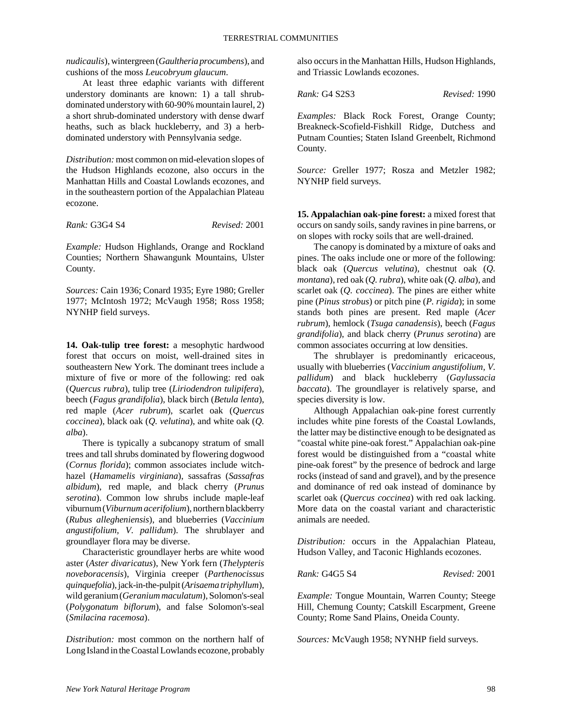*nudicaulis*), wintergreen (*Gaultheria procumbens*), and cushions of the moss *Leucobryum glaucum*.

At least three edaphic variants with different understory dominants are known: 1) a tall shrubdominated understory with 60-90% mountain laurel, 2) a short shrub-dominated understory with dense dwarf heaths, such as black huckleberry, and 3) a herbdominated understory with Pennsylvania sedge.

*Distribution:* most common on mid-elevation slopes of the Hudson Highlands ecozone, also occurs in the Manhattan Hills and Coastal Lowlands ecozones, and in the southeastern portion of the Appalachian Plateau ecozone.

*Rank:* G3G4 S4 *Revised:* 2001

*Example:* Hudson Highlands, Orange and Rockland Counties; Northern Shawangunk Mountains, Ulster County.

*Sources:* Cain 1936; Conard 1935; Eyre 1980; Greller 1977; McIntosh 1972; McVaugh 1958; Ross 1958; NYNHP field surveys.

**14. Oak-tulip tree forest:** a mesophytic hardwood forest that occurs on moist, well-drained sites in southeastern New York. The dominant trees include a mixture of five or more of the following: red oak (*Quercus rubra*), tulip tree (*Liriodendron tulipifera*), beech (*Fagus grandifolia*), black birch (*Betula lenta*), red maple (*Acer rubrum*), scarlet oak (*Quercus coccinea*), black oak (*Q. velutina*), and white oak (*Q. alba*).

There is typically a subcanopy stratum of small trees and tall shrubs dominated by flowering dogwood (*Cornus florida*); common associates include witchhazel (*Hamamelis virginiana*), sassafras (*Sassafras albidum*), red maple, and black cherry (*Prunus serotina*). Common low shrubs include maple-leaf viburnum (*Viburnum acerifolium*), northern blackberry (*Rubus allegheniensis*), and blueberries (*Vaccinium angustifolium, V. pallidum*). The shrublayer and groundlayer flora may be diverse.

Characteristic groundlayer herbs are white wood aster (*Aster divaricatus*), New York fern (*Thelypteris noveboracensis*), Virginia creeper (*Parthenocissus quinquefolia*), jack-in-the-pulpit (*Arisaema triphyllum*), wild geranium (*Geranium maculatum*), Solomon's-seal (*Polygonatum biflorum*), and false Solomon's-seal (*Smilacina racemosa*).

*Distribution:* most common on the northern half of Long Island in the Coastal Lowlands ecozone, probably

also occurs in the Manhattan Hills, Hudson Highlands, and Triassic Lowlands ecozones.

*Rank:* G4 S2S3 *Revised:* 1990

*Examples:* Black Rock Forest, Orange County; Breakneck-Scofield-Fishkill Ridge, Dutchess and Putnam Counties; Staten Island Greenbelt, Richmond County.

*Source:* Greller 1977; Rosza and Metzler 1982; NYNHP field surveys.

**15. Appalachian oak-pine forest:** a mixed forest that occurs on sandy soils, sandy ravines in pine barrens, or on slopes with rocky soils that are well-drained.

The canopy is dominated by a mixture of oaks and pines. The oaks include one or more of the following: black oak (*Quercus velutina*), chestnut oak (*Q. montana*), red oak (*Q. rubra*), white oak (*Q. alba*), and scarlet oak (*Q. coccinea*). The pines are either white pine (*Pinus strobus*) or pitch pine (*P. rigida*); in some stands both pines are present. Red maple (*Acer rubrum*), hemlock (*Tsuga canadensis*), beech (*Fagus grandifolia*), and black cherry (*Prunus serotina*) are common associates occurring at low densities.

The shrublayer is predominantly ericaceous, usually with blueberries (*Vaccinium angustifolium, V. pallidum*) and black huckleberry (*Gaylussacia baccata*). The groundlayer is relatively sparse, and species diversity is low.

Although Appalachian oak-pine forest currently includes white pine forests of the Coastal Lowlands, the latter may be distinctive enough to be designated as "coastal white pine-oak forest." Appalachian oak-pine forest would be distinguished from a "coastal white pine-oak forest" by the presence of bedrock and large rocks (instead of sand and gravel), and by the presence and dominance of red oak instead of dominance by scarlet oak (*Quercus coccinea*) with red oak lacking. More data on the coastal variant and characteristic animals are needed.

*Distribution:* occurs in the Appalachian Plateau, Hudson Valley, and Taconic Highlands ecozones.

*Rank:* G4G5 S4 *Revised:* 2001

*Example:* Tongue Mountain, Warren County; Steege Hill, Chemung County; Catskill Escarpment, Greene County; Rome Sand Plains, Oneida County.

*Sources:* McVaugh 1958; NYNHP field surveys.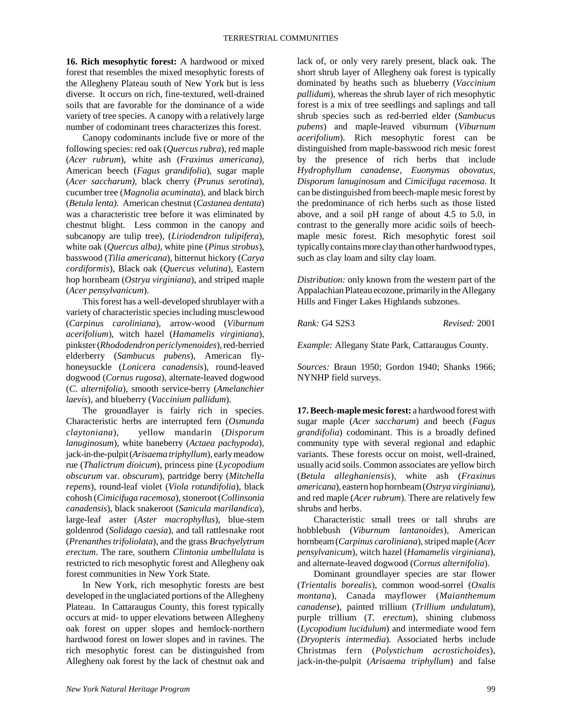**16. Rich mesophytic forest:** A hardwood or mixed forest that resembles the mixed mesophytic forests of the Allegheny Plateau south of New York but is less diverse. It occurs on rich, fine-textured, well-drained soils that are favorable for the dominance of a wide variety of tree species. A canopy with a relatively large number of codominant trees characterizes this forest.

Canopy codominants include five or more of the following species: red oak (*Quercus rubra*), red maple (*Acer rubrum*), white ash (*Fraxinus americana),* American beech (*Fagus grandifolia*), sugar maple (*Acer saccharum),* black cherry (*Prunus serotina*), cucumber tree (*Magnolia acuminata*), and black birch (*Betula lenta)*. American chestnut (*Castanea dentata*) was a characteristic tree before it was eliminated by chestnut blight. Less common in the canopy and subcanopy are tulip tree), (*Liriodendron tulipifera*), white oak (*Quercus alba),* white pine (*Pinus strobus*), basswood (*Tilia americana*), bitternut hickory (*Carya cordiformis*), Black oak (*Quercus velutina*), Eastern hop hornbeam (*Ostrya virginiana*), and striped maple (*Acer pensylvanicum*).

This forest has a well-developed shrublayer with a variety of characteristic species including musclewood (*Carpinus caroliniana*), arrow-wood (*Viburnum acerifolium*), witch hazel (*Hamamelis virginiana*), pinkster (*Rhododendron periclymenoides*), red-berried elderberry (*Sambucus pubens*), American flyhoneysuckle (*Lonicera canadensis*), round-leaved dogwood (*Cornus rugosa*), alternate-leaved dogwood (*C. alternifolia*), smooth service-berry (*Amelanchier laevis*), and blueberry (*Vaccinium pallidum*).

The groundlayer is fairly rich in species. Characteristic herbs are interrupted fern (*Osmunda claytoniana*), yellow mandarin (*Disporum lanuginosum*), white baneberry (*Actaea pachypoda*), jack-in-the-pulpit (*Arisaema triphyllum*), early meadow rue (*Thalictrum dioicum*), princess pine (*Lycopodium obscurum* var. *obscurum*), partridge berry (*Mitchella repens*), round-leaf violet (*Viola rotundifolia*), black cohosh (*Cimicifuga racemosa*), stoneroot (*Collinsonia canadensis*), black snakeroot (*Sanicula marilandica*), large-leaf aster (*Aster macrophyllus*), blue-stem goldenrod (*Solidago caesia*), and tall rattlesnake root (*Prenanthes trifoliolata*), and the grass *Brachyelytrum erectum*. The rare, southern *Clintonia umbellulata* is restricted to rich mesophytic forest and Allegheny oak forest communities in New York State.

In New York, rich mesophytic forests are best developed in the unglaciated portions of the Allegheny Plateau. In Cattaraugus County, this forest typically occurs at mid- to upper elevations between Allegheny oak forest on upper slopes and hemlock-northern hardwood forest on lower slopes and in ravines. The rich mesophytic forest can be distinguished from Allegheny oak forest by the lack of chestnut oak and

lack of, or only very rarely present, black oak. The short shrub layer of Allegheny oak forest is typically dominated by heaths such as blueberry (*Vaccinium pallidum*), whereas the shrub layer of rich mesophytic forest is a mix of tree seedlings and saplings and tall shrub species such as red-berried elder (*Sambucus pubens*) and maple-leaved viburnum (*Viburnum acerifolium*). Rich mesophytic forest can be distinguished from maple-basswood rich mesic forest by the presence of rich herbs that include *Hydrophyllum canadense*, *Euonymus obovatus*, *Disporum lanuginosum* and *Cimicifuga racemosa*. It can be distinguished from beech-maple mesic forest by the predominance of rich herbs such as those listed above, and a soil pH range of about 4.5 to 5.0, in contrast to the generally more acidic soils of beechmaple mesic forest. Rich mesophytic forest soil typically contains more clay than other hardwood types, such as clay loam and silty clay loam.

*Distribution:* only known from the western part of the Appalachian Plateau ecozone, primarily in the Allegany Hills and Finger Lakes Highlands subzones.

*Rank:* G4 S2S3 *Revised:* 2001

*Example:* Allegany State Park, Cattaraugus County.

*Sources:* Braun 1950; Gordon 1940; Shanks 1966; NYNHP field surveys.

**17. Beech-maple mesic forest:** a hardwood forest with sugar maple (*Acer saccharum*) and beech (*Fagus grandifolia*) codominant. This is a broadly defined community type with several regional and edaphic variants. These forests occur on moist, well-drained, usually acid soils. Common associates are yellow birch (*Betula alleghaniensis*), white ash (*Fraxinus americana*), eastern hop hornbeam (*Ostrya virginiana*), and red maple (*Acer rubrum*). There are relatively few shrubs and herbs.

Characteristic small trees or tall shrubs are hobblebush (*Viburnum lantanoides*), American hornbeam (*Carpinus caroliniana*), striped maple (*Acer pensylvanicum*), witch hazel (*Hamamelis virginiana*), and alternate-leaved dogwood (*Cornus alternifolia*).

Dominant groundlayer species are star flower (*Trientalis borealis*), common wood-sorrel (*Oxalis montana*), Canada mayflower (*Maianthemum canadense*), painted trillium (*Trillium undulatum*), purple trillium (*T. erectum*), shining clubmoss (*Lycopodium lucidulum*) and intermediate wood fern (*Dryopteris intermedia*). Associated herbs include Christmas fern (*Polystichum acrostichoides*), jack-in-the-pulpit (*Arisaema triphyllum*) and false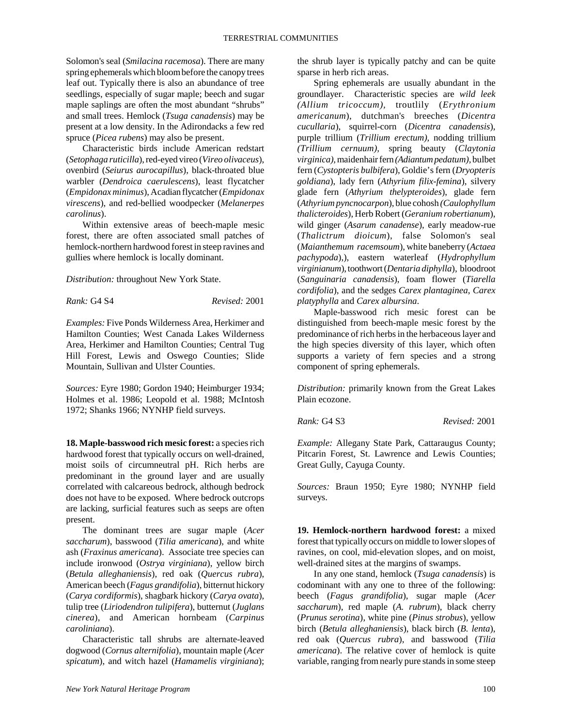Solomon's seal (*Smilacina racemosa*). There are many spring ephemerals which bloom before the canopy trees leaf out. Typically there is also an abundance of tree seedlings, especially of sugar maple; beech and sugar maple saplings are often the most abundant "shrubs" and small trees. Hemlock (*Tsuga canadensis*) may be present at a low density. In the Adirondacks a few red spruce (*Picea rubens*) may also be present.

Characteristic birds include American redstart (*Setophaga ruticilla*), red-eyed vireo (*Vireo olivaceus*), ovenbird (*Seiurus aurocapillus*), black-throated blue warbler (*Dendroica caerulescens*), least flycatcher (*Empidonax minimus*), Acadian flycatcher (*Empidonax virescens*), and red-bellied woodpecker (*Melanerpes carolinus*).

Within extensive areas of beech-maple mesic forest, there are often associated small patches of hemlock-northern hardwood forest in steep ravines and gullies where hemlock is locally dominant.

*Distribution:* throughout New York State.

*Rank:* G4 S4 *Revised:* 2001

*Examples:* Five Ponds Wilderness Area, Herkimer and Hamilton Counties; West Canada Lakes Wilderness Area, Herkimer and Hamilton Counties; Central Tug Hill Forest, Lewis and Oswego Counties; Slide Mountain, Sullivan and Ulster Counties.

*Sources:* Eyre 1980; Gordon 1940; Heimburger 1934; Holmes et al. 1986; Leopold et al. 1988; McIntosh 1972; Shanks 1966; NYNHP field surveys.

**18. Maple-basswood rich mesic forest:** a species rich hardwood forest that typically occurs on well-drained, moist soils of circumneutral pH. Rich herbs are predominant in the ground layer and are usually correlated with calcareous bedrock, although bedrock does not have to be exposed. Where bedrock outcrops are lacking, surficial features such as seeps are often present.

The dominant trees are sugar maple (*Acer saccharum*), basswood (*Tilia americana*), and white ash (*Fraxinus americana*). Associate tree species can include ironwood (*Ostrya virginiana*), yellow birch (*Betula alleghaniensis*), red oak (*Quercus rubra*), American beech (*Fagus grandifolia*), bitternut hickory (*Carya cordiformis*), shagbark hickory (*Carya ovata*), tulip tree (*Liriodendron tulipifera*), butternut (*Juglans cinerea*), and American hornbeam (*Carpinus caroliniana*).

Characteristic tall shrubs are alternate-leaved dogwood (*Cornus alternifolia*), mountain maple (*Acer spicatum*), and witch hazel (*Hamamelis virginiana*); the shrub layer is typically patchy and can be quite sparse in herb rich areas.

Spring ephemerals are usually abundant in the groundlayer. Characteristic species are *wild leek (Allium tricoccum),* troutlily (*Erythronium americanum*), dutchman's breeches (*Dicentra cucullaria*), squirrel-corn (*Dicentra canadensis*), purple trillium (*Trillium erectum),* nodding trillium *(Trillium cernuum),* spring beauty (*Claytonia virginica),* maidenhair fern *(Adiantum pedatum),* bulbet fern (*Cystopteris bulbifera*), Goldie's fern (*Dryopteris goldiana*), lady fern (*Athyrium filix-femina*), silvery glade fern (*Athyrium thelypteroides*), glade fern (*Athyrium pyncnocarpon*), blue cohosh *(Caulophyllum thalicteroides*), Herb Robert (*Geranium robertianum*), wild ginger (*Asarum canadense*), early meadow-rue (*Thalictrum dioicum*), false Solomon's seal (*Maianthemum racemsoum*), white baneberry (*Actaea pachypoda*),), eastern waterleaf (*Hydrophyllum virginianum*), toothwort (*Dentaria diphylla*), bloodroot (*Sanguinaria canadensis*), foam flower (*Tiarella cordifolia*), and the sedges *Carex plantaginea*, *Carex platyphylla* and *Carex albursina*.

Maple-basswood rich mesic forest can be distinguished from beech-maple mesic forest by the predominance of rich herbs in the herbaceous layer and the high species diversity of this layer, which often supports a variety of fern species and a strong component of spring ephemerals.

*Distribution:* primarily known from the Great Lakes Plain ecozone.

*Rank:* G4 S3 *Revised:* 2001

*Example:* Allegany State Park, Cattaraugus County; Pitcarin Forest, St. Lawrence and Lewis Counties; Great Gully, Cayuga County.

*Sources:* Braun 1950; Eyre 1980; NYNHP field surveys.

**19. Hemlock-northern hardwood forest:** a mixed forest that typically occurs on middle to lower slopes of ravines, on cool, mid-elevation slopes, and on moist, well-drained sites at the margins of swamps.

In any one stand, hemlock (*Tsuga canadensis*) is codominant with any one to three of the following: beech (*Fagus grandifolia*), sugar maple (*Acer saccharum*), red maple (*A. rubrum*), black cherry (*Prunus serotina*), white pine (*Pinus strobus*), yellow birch (*Betula alleghaniensis*), black birch (*B. lenta*), red oak (*Quercus rubra*), and basswood (*Tilia americana*). The relative cover of hemlock is quite variable, ranging from nearly pure stands in some steep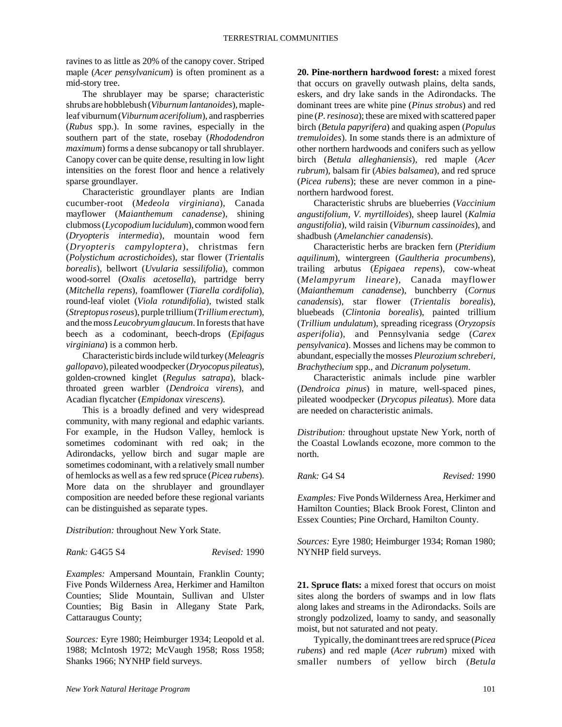ravines to as little as 20% of the canopy cover. Striped maple (*Acer pensylvanicum*) is often prominent as a mid-story tree.

The shrublayer may be sparse; characteristic shrubs are hobblebush (*Viburnum lantanoides*), mapleleaf viburnum (*Viburnum acerifolium*), and raspberries (*Rubus* spp.). In some ravines, especially in the southern part of the state, rosebay (*Rhododendron maximum*) forms a dense subcanopy or tall shrublayer. Canopy cover can be quite dense, resulting in low light intensities on the forest floor and hence a relatively sparse groundlayer.

Characteristic groundlayer plants are Indian cucumber-root (*Medeola virginiana*), Canada mayflower (*Maianthemum canadense*), shining clubmoss (*Lycopodium lucidulum*), common wood fern (*Dryopteris intermedia*), mountain wood fern (*Dryopteris campyloptera*), christmas fern (*Polystichum acrostichoides*), star flower (*Trientalis borealis*), bellwort (*Uvularia sessilifolia*), common wood-sorrel (*Oxalis acetosella*), partridge berry (*Mitchella repens*), foamflower (*Tiarella cordifolia*), round-leaf violet (*Viola rotundifolia*), twisted stalk (*Streptopus roseus*), purple trillium (*Trillium erectum*), and the moss *Leucobryum glaucum*. In forests that have beech as a codominant, beech-drops (*Epifagus virginiana*) is a common herb.

Characteristic birds include wild turkey (*Meleagris gallopavo*), pileated woodpecker (*Dryocopus pileatus*), golden-crowned kinglet (*Regulus satrapa*), blackthroated green warbler (*Dendroica virens*), and Acadian flycatcher (*Empidonax virescens*).

This is a broadly defined and very widespread community, with many regional and edaphic variants. For example, in the Hudson Valley, hemlock is sometimes codominant with red oak; in the Adirondacks, yellow birch and sugar maple are sometimes codominant, with a relatively small number of hemlocks as well as a few red spruce (*Picea rubens*). More data on the shrublayer and groundlayer composition are needed before these regional variants can be distinguished as separate types.

*Distribution:* throughout New York State.

*Rank:* G4G5 S4 *Revised:* 1990

*Examples:* Ampersand Mountain, Franklin County; Five Ponds Wilderness Area, Herkimer and Hamilton Counties; Slide Mountain, Sullivan and Ulster Counties; Big Basin in Allegany State Park, Cattaraugus County;

*Sources:* Eyre 1980; Heimburger 1934; Leopold et al. 1988; McIntosh 1972; McVaugh 1958; Ross 1958; Shanks 1966; NYNHP field surveys.

**20. Pine-northern hardwood forest:** a mixed forest that occurs on gravelly outwash plains, delta sands, eskers, and dry lake sands in the Adirondacks. The dominant trees are white pine (*Pinus strobus*) and red pine (*P. resinosa*); these are mixed with scattered paper birch (*Betula papyrifera*) and quaking aspen (*Populus tremuloides*). In some stands there is an admixture of other northern hardwoods and conifers such as yellow birch (*Betula alleghaniensis*), red maple (*Acer rubrum*), balsam fir (*Abies balsamea*), and red spruce (*Picea rubens*); these are never common in a pinenorthern hardwood forest.

Characteristic shrubs are blueberries (*Vaccinium angustifolium, V. myrtilloides*), sheep laurel (*Kalmia angustifolia*), wild raisin (*Viburnum cassinoides*), and shadbush (*Amelanchier canadensis*).

Characteristic herbs are bracken fern (*Pteridium aquilinum*), wintergreen (*Gaultheria procumbens*), trailing arbutus (*Epigaea repens*), cow-wheat (*Melampyrum lineare*), Canada mayflower (*Maianthemum canadense*), bunchberry (*Cornus canadensis*), star flower (*Trientalis borealis*), bluebeads (*Clintonia borealis*), painted trillium (*Trillium undulatum*), spreading ricegrass (*Oryzopsis asperifolia*), and Pennsylvania sedge (*Carex pensylvanica*). Mosses and lichens may be common to abundant, especially the mosses *Pleurozium schreberi, Brachythecium* spp., and *Dicranum polysetum*.

Characteristic animals include pine warbler (*Dendroica pinus*) in mature, well-spaced pines, pileated woodpecker (*Drycopus pileatus*). More data are needed on characteristic animals.

*Distribution:* throughout upstate New York, north of the Coastal Lowlands ecozone, more common to the north.

*Rank:* G4 S4 *Revised:* 1990

*Examples:* Five Ponds Wilderness Area, Herkimer and Hamilton Counties; Black Brook Forest, Clinton and Essex Counties; Pine Orchard, Hamilton County.

*Sources:* Eyre 1980; Heimburger 1934; Roman 1980; NYNHP field surveys.

**21. Spruce flats:** a mixed forest that occurs on moist sites along the borders of swamps and in low flats along lakes and streams in the Adirondacks. Soils are strongly podzolized, loamy to sandy, and seasonally moist, but not saturated and not peaty.

Typically, the dominant trees are red spruce (*Picea rubens*) and red maple (*Acer rubrum*) mixed with smaller numbers of yellow birch (*Betula*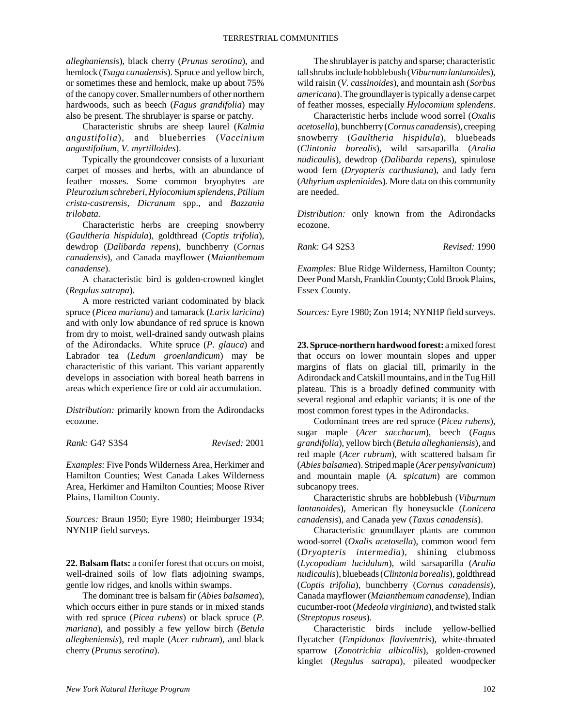*alleghaniensis*), black cherry (*Prunus serotina*), and hemlock (*Tsuga canadensis*). Spruce and yellow birch, or sometimes these and hemlock, make up about 75% of the canopy cover. Smaller numbers of other northern hardwoods, such as beech (*Fagus grandifolia*) may also be present. The shrublayer is sparse or patchy.

Characteristic shrubs are sheep laurel (*Kalmia angustifolia*), and blueberries (*Vaccinium angustifolium, V. myrtilloides*).

Typically the groundcover consists of a luxuriant carpet of mosses and herbs, with an abundance of feather mosses. Some common bryophytes are *Pleurozium schreberi, Hylocomium splendens, Ptilium crista-castrensis, Dicranum* spp., and *Bazzania trilobata.* 

Characteristic herbs are creeping snowberry (*Gaultheria hispidula*), goldthread (*Coptis trifolia*), dewdrop (*Dalibarda repens*), bunchberry (*Cornus canadensis*), and Canada mayflower (*Maianthemum canadense*).

A characteristic bird is golden-crowned kinglet (*Regulus satrapa*).

A more restricted variant codominated by black spruce (*Picea mariana*) and tamarack (*Larix laricina*) and with only low abundance of red spruce is known from dry to moist, well-drained sandy outwash plains of the Adirondacks. White spruce (*P. glauca*) and Labrador tea (*Ledum groenlandicum*) may be characteristic of this variant. This variant apparently develops in association with boreal heath barrens in areas which experience fire or cold air accumulation.

*Distribution:* primarily known from the Adirondacks ecozone.

*Rank:* G4? S3S4 *Revised:* 2001

*Examples:* Five Ponds Wilderness Area, Herkimer and Hamilton Counties; West Canada Lakes Wilderness Area, Herkimer and Hamilton Counties; Moose River Plains, Hamilton County.

*Sources:* Braun 1950; Eyre 1980; Heimburger 1934; NYNHP field surveys.

**22. Balsam flats:** a conifer forest that occurs on moist, well-drained soils of low flats adjoining swamps, gentle low ridges, and knolls within swamps.

The dominant tree is balsam fir (*Abies balsamea*), which occurs either in pure stands or in mixed stands with red spruce (*Picea rubens*) or black spruce (*P. mariana*), and possibly a few yellow birch (*Betula allegheniensis*), red maple (*Acer rubrum*), and black cherry (*Prunus serotina*).

The shrublayer is patchy and sparse; characteristic tall shrubs include hobblebush (*Viburnum lantanoides*), wild raisin (*V. cassinoides*), and mountain ash (*Sorbus americana*). The groundlayer is typically a dense carpet of feather mosses, especially *Hylocomium splendens*.

Characteristic herbs include wood sorrel (*Oxalis acetosella*), bunchberry (*Cornus canadensis*), creeping snowberry (*Gaultheria hispidula*), bluebeads (*Clintonia borealis*), wild sarsaparilla (*Aralia nudicaulis*), dewdrop (*Dalibarda repens*), spinulose wood fern (*Dryopteris carthusiana*), and lady fern (*Athyrium asplenioides*). More data on this community are needed.

*Distribution:* only known from the Adirondacks ecozone.

*Rank:* G4 S2S3 *Revised:* 1990

*Examples:* Blue Ridge Wilderness, Hamilton County; Deer Pond Marsh, Franklin County; Cold Brook Plains, Essex County.

*Sources:* Eyre 1980; Zon 1914; NYNHP field surveys.

**23. Spruce-northern hardwood forest:** a mixed forest that occurs on lower mountain slopes and upper margins of flats on glacial till, primarily in the Adirondack and Catskill mountains, and in the Tug Hill plateau. This is a broadly defined community with several regional and edaphic variants; it is one of the most common forest types in the Adirondacks.

Codominant trees are red spruce (*Picea rubens*), sugar maple (*Acer saccharum*), beech (*Fagus grandifolia*), yellow birch (*Betula alleghaniensis*), and red maple (*Acer rubrum*), with scattered balsam fir (*Abies balsamea*). Striped maple (*Acer pensylvanicum*) and mountain maple (*A. spicatum*) are common subcanopy trees.

Characteristic shrubs are hobblebush (*Viburnum lantanoides*), American fly honeysuckle (*Lonicera canadensis*), and Canada yew (*Taxus canadensis*).

Characteristic groundlayer plants are common wood-sorrel (*Oxalis acetosella*), common wood fern (*Dryopteris intermedia*), shining clubmoss (*Lycopodium lucidulum*), wild sarsaparilla (*Aralia nudicaulis*), bluebeads (*Clintonia borealis*), goldthread (*Coptis trifolia*), bunchberry (*Cornus canadensis*), Canada mayflower (*Maianthemum canadense*), Indian cucumber-root (*Medeola virginiana*), and twisted stalk (*Streptopus roseus*).

Characteristic birds include yellow-bellied flycatcher (*Empidonax flaviventris*), white-throated sparrow (*Zonotrichia albicollis*), golden-crowned kinglet (*Regulus satrapa*), pileated woodpecker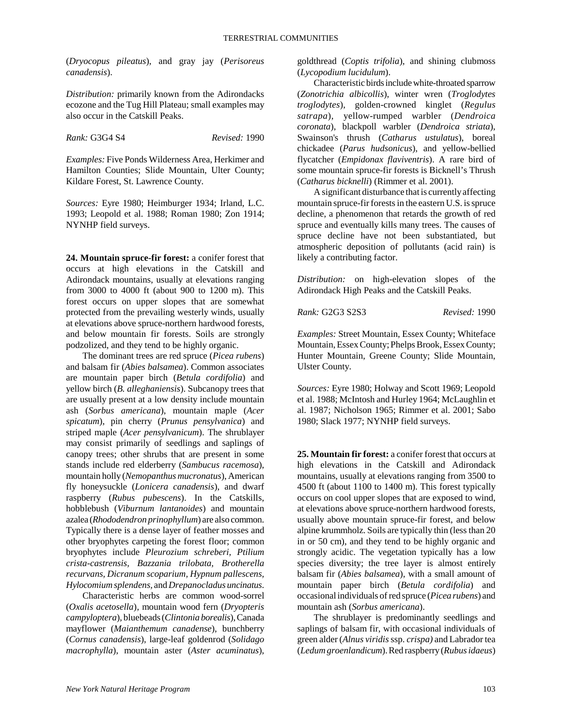(*Dryocopus pileatus*), and gray jay (*Perisoreus canadensis*).

*Distribution:* primarily known from the Adirondacks ecozone and the Tug Hill Plateau; small examples may also occur in the Catskill Peaks.

*Rank:* G3G4 S4 *Revised:* 1990

*Examples:* Five Ponds Wilderness Area, Herkimer and Hamilton Counties; Slide Mountain, Ulter County; Kildare Forest, St. Lawrence County.

*Sources:* Eyre 1980; Heimburger 1934; Irland, L.C. 1993; Leopold et al. 1988; Roman 1980; Zon 1914; NYNHP field surveys.

**24. Mountain spruce-fir forest:** a conifer forest that occurs at high elevations in the Catskill and Adirondack mountains, usually at elevations ranging from 3000 to 4000 ft (about 900 to 1200 m). This forest occurs on upper slopes that are somewhat protected from the prevailing westerly winds, usually at elevations above spruce-northern hardwood forests, and below mountain fir forests. Soils are strongly podzolized, and they tend to be highly organic.

The dominant trees are red spruce (*Picea rubens*) and balsam fir (*Abies balsamea*). Common associates are mountain paper birch (*Betula cordifolia*) and yellow birch (*B. alleghaniensis*). Subcanopy trees that are usually present at a low density include mountain ash (*Sorbus americana*), mountain maple (*Acer spicatum*), pin cherry (*Prunus pensylvanica*) and striped maple (*Acer pensylvanicum*). The shrublayer may consist primarily of seedlings and saplings of canopy trees; other shrubs that are present in some stands include red elderberry (*Sambucus racemosa*), mountain holly (*Nemopanthus mucronatus*), American fly honeysuckle (*Lonicera canadensis*), and dwarf raspberry (*Rubus pubescens*). In the Catskills, hobblebush (*Viburnum lantanoides*) and mountain azalea (*Rhododendron prinophyllum*) are also common. Typically there is a dense layer of feather mosses and other bryophytes carpeting the forest floor; common bryophytes include *Pleurozium schreberi, Ptilium crista-castrensis, Bazzania trilobata, Brotherella recurvans, Dicranum scoparium, Hypnum pallescens, Hylocomium splendens,* and *Drepanocladus uncinatus*.

Characteristic herbs are common wood-sorrel (*Oxalis acetosella*), mountain wood fern (*Dryopteris campyloptera*), bluebeads (*Clintonia borealis*), Canada mayflower (*Maianthemum canadense*), bunchberry (*Cornus canadensis*), large-leaf goldenrod (*Solidago macrophylla*), mountain aster (*Aster acuminatus*), goldthread (*Coptis trifolia*), and shining clubmoss (*Lycopodium lucidulum*).

Characteristic birds include white-throated sparrow (*Zonotrichia albicollis*), winter wren (*Troglodytes troglodytes*), golden-crowned kinglet (*Regulus satrapa*), yellow-rumped warbler (*Dendroica coronata*), blackpoll warbler (*Dendroica striata*), Swainson's thrush (*Catharus ustulatus*), boreal chickadee (*Parus hudsonicus*), and yellow-bellied flycatcher (*Empidonax flaviventris*). A rare bird of some mountain spruce-fir forests is Bicknell's Thrush (*Catharus bicknelli*) (Rimmer et al. 2001).

A significant disturbance that is currently affecting mountain spruce-fir forests in the eastern U.S. is spruce decline, a phenomenon that retards the growth of red spruce and eventually kills many trees. The causes of spruce decline have not been substantiated, but atmospheric deposition of pollutants (acid rain) is likely a contributing factor.

*Distribution:* on high-elevation slopes of the Adirondack High Peaks and the Catskill Peaks.

*Rank:* G2G3 S2S3 *Revised:* 1990

*Examples:* Street Mountain, Essex County; Whiteface Mountain, Essex County; Phelps Brook, Essex County; Hunter Mountain, Greene County; Slide Mountain, Ulster County.

*Sources:* Eyre 1980; Holway and Scott 1969; Leopold et al. 1988; McIntosh and Hurley 1964; McLaughlin et al. 1987; Nicholson 1965; Rimmer et al. 2001; Sabo 1980; Slack 1977; NYNHP field surveys.

**25. Mountain fir forest:** a conifer forest that occurs at high elevations in the Catskill and Adirondack mountains, usually at elevations ranging from 3500 to 4500 ft (about 1100 to 1400 m). This forest typically occurs on cool upper slopes that are exposed to wind, at elevations above spruce-northern hardwood forests, usually above mountain spruce-fir forest, and below alpine krummholz. Soils are typically thin (less than 20 in or 50 cm), and they tend to be highly organic and strongly acidic. The vegetation typically has a low species diversity; the tree layer is almost entirely balsam fir (*Abies balsamea*), with a small amount of mountain paper birch (*Betula cordifolia*) and occasional individuals of red spruce (*Picea rubens*) and mountain ash (*Sorbus americana*).

The shrublayer is predominantly seedlings and saplings of balsam fir, with occasional individuals of green alder (*Alnus viridis* ssp. *crispa)* and Labrador tea (*Ledum groenlandicum*). Red raspberry (*Rubus idaeus*)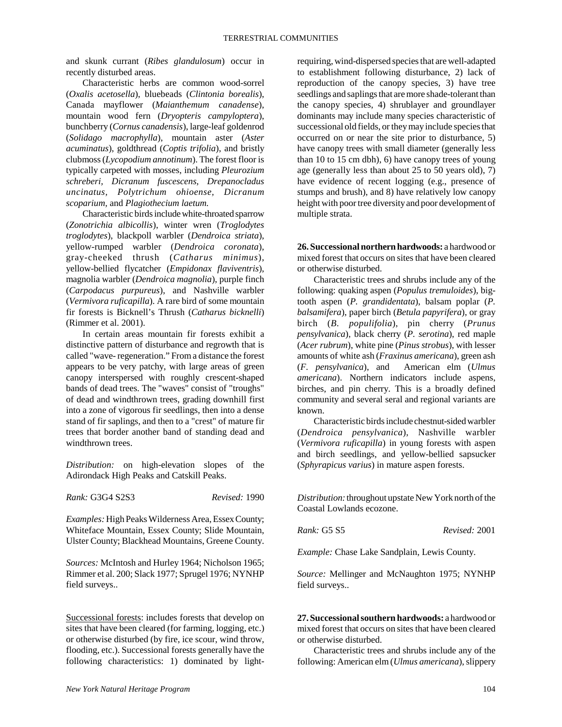and skunk currant (*Ribes glandulosum*) occur in recently disturbed areas.

Characteristic herbs are common wood-sorrel (*Oxalis acetosella*), bluebeads (*Clintonia borealis*), Canada mayflower (*Maianthemum canadense*), mountain wood fern (*Dryopteris campyloptera*), bunchberry (*Cornus canadensis*), large-leaf goldenrod (*Solidago macrophylla*), mountain aster (*Aster acuminatus*), goldthread (*Coptis trifolia*), and bristly clubmoss (*Lycopodium annotinum*). The forest floor is typically carpeted with mosses, including *Pleurozium schreberi, Dicranum fuscescens, Drepanocladus uncinatus, Polytrichum ohioense, Dicranum scoparium,* and *Plagiothecium laetum.*

Characteristic birds include white-throated sparrow (*Zonotrichia albicollis*), winter wren (*Troglodytes troglodytes*), blackpoll warbler (*Dendroica striata*), yellow-rumped warbler (*Dendroica coronata*), gray-cheeked thrush (*Catharus minimus*), yellow-bellied flycatcher (*Empidonax flaviventris*), magnolia warbler (*Dendroica magnolia*), purple finch (*Carpodacus purpureus*), and Nashville warbler (*Vermivora ruficapilla*). A rare bird of some mountain fir forests is Bicknell's Thrush (*Catharus bicknelli*) (Rimmer et al. 2001).

In certain areas mountain fir forests exhibit a distinctive pattern of disturbance and regrowth that is called "wave- regeneration." From a distance the forest appears to be very patchy, with large areas of green canopy interspersed with roughly crescent-shaped bands of dead trees. The "waves" consist of "troughs" of dead and windthrown trees, grading downhill first into a zone of vigorous fir seedlings, then into a dense stand of fir saplings, and then to a "crest" of mature fir trees that border another band of standing dead and windthrown trees.

*Distribution:* on high-elevation slopes of the Adirondack High Peaks and Catskill Peaks.

*Rank:* G3G4 S2S3 *Revised:* 1990

*Examples:* High Peaks Wilderness Area, Essex County; Whiteface Mountain, Essex County; Slide Mountain,

*Sources:* McIntosh and Hurley 1964; Nicholson 1965; Rimmer et al. 200; Slack 1977; Sprugel 1976; NYNHP field surveys..

Ulster County; Blackhead Mountains, Greene County.

Successional forests: includes forests that develop on sites that have been cleared (for farming, logging, etc.) or otherwise disturbed (by fire, ice scour, wind throw, flooding, etc.). Successional forests generally have the following characteristics: 1) dominated by lightrequiring, wind-dispersed species that are well-adapted to establishment following disturbance, 2) lack of reproduction of the canopy species, 3) have tree seedlings and saplings that are more shade-tolerant than the canopy species, 4) shrublayer and groundlayer dominants may include many species characteristic of successional old fields, or they may include species that occurred on or near the site prior to disturbance, 5) have canopy trees with small diameter (generally less than 10 to 15 cm dbh), 6) have canopy trees of young age (generally less than about 25 to 50 years old), 7) have evidence of recent logging (e.g., presence of stumps and brush), and 8) have relatively low canopy height with poor tree diversity and poor development of multiple strata.

**26. Successional northern hardwoods:** a hardwood or mixed forest that occurs on sites that have been cleared or otherwise disturbed.

Characteristic trees and shrubs include any of the following: quaking aspen (*Populus tremuloides*), bigtooth aspen (*P. grandidentata*), balsam poplar (*P. balsamifera*), paper birch (*Betula papyrifera*), or gray birch (*B. populifolia*), pin cherry (*Prunus pensylvanica*), black cherry (*P. serotina*), red maple (*Acer rubrum*), white pine (*Pinus strobus*), with lesser amounts of white ash (*Fraxinus americana*), green ash (*F. pensylvanica*), and American elm (*Ulmus americana*). Northern indicators include aspens, birches, and pin cherry. This is a broadly defined community and several seral and regional variants are known.

Characteristic birds include chestnut-sided warbler (*Dendroica pensylvanica*), Nashville warbler (*Vermivora ruficapilla*) in young forests with aspen and birch seedlings, and yellow-bellied sapsucker (*Sphyrapicus varius*) in mature aspen forests.

*Distribution:* throughout upstate New York north of the Coastal Lowlands ecozone.

*Rank:* G5 S5 *Revised:* 2001

*Example:* Chase Lake Sandplain, Lewis County.

*Source:* Mellinger and McNaughton 1975; NYNHP field surveys..

**27. Successional southern hardwoods:** a hardwood or mixed forest that occurs on sites that have been cleared or otherwise disturbed.

Characteristic trees and shrubs include any of the following: American elm (*Ulmus americana*), slippery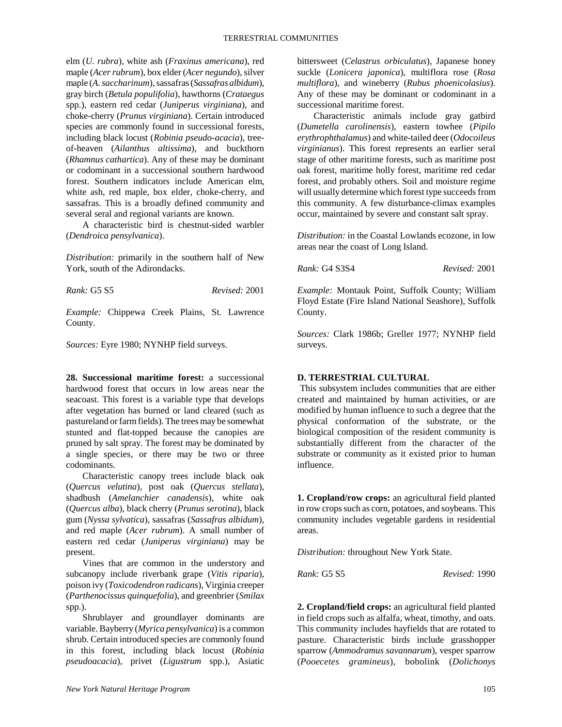elm (*U. rubra*), white ash (*Fraxinus americana*), red maple (*Acer rubrum*), box elder (*Acer negundo*), silver maple (*A. saccharinum*), sassafras (*Sassafras albidum*), gray birch (*Betula populifolia*), hawthorns (*Crataegus* spp.), eastern red cedar (*Juniperus virginiana*), and choke-cherry (*Prunus virginiana*). Certain introduced species are commonly found in successional forests, including black locust (*Robinia pseudo-acacia*), treeof-heaven (*Ailanthus altissima*), and buckthorn (*Rhamnus cathartica*). Any of these may be dominant or codominant in a successional southern hardwood forest. Southern indicators include American elm, white ash, red maple, box elder, choke-cherry, and sassafras. This is a broadly defined community and several seral and regional variants are known.

A characteristic bird is chestnut-sided warbler (*Dendroica pensylvanica*).

*Distribution:* primarily in the southern half of New York, south of the Adirondacks.

*Rank:* G5 S5 *Revised:* 2001

*Example:* Chippewa Creek Plains, St. Lawrence County.

*Sources:* Eyre 1980; NYNHP field surveys.

**28. Successional maritime forest:** a successional hardwood forest that occurs in low areas near the seacoast. This forest is a variable type that develops after vegetation has burned or land cleared (such as pastureland or farm fields). The trees may be somewhat stunted and flat-topped because the canopies are pruned by salt spray. The forest may be dominated by a single species, or there may be two or three codominants.

Characteristic canopy trees include black oak (*Quercus velutina*), post oak (*Quercus stellata*), shadbush (*Amelanchier canadensis*), white oak (*Quercus alba*), black cherry (*Prunus serotina*), black gum (*Nyssa sylvatica*), sassafras (*Sassafras albidum*), and red maple (*Acer rubrum*). A small number of eastern red cedar (*Juniperus virginiana*) may be present.

Vines that are common in the understory and subcanopy include riverbank grape (*Vitis riparia*), poison ivy (*Toxicodendron radicans*), Virginia creeper (*Parthenocissus quinquefolia*), and greenbrier (*Smilax* spp.).

Shrublayer and groundlayer dominants are variable. Bayberry (*Myrica pensylvanica*) is a common shrub. Certain introduced species are commonly found in this forest, including black locust (*Robinia pseudoacacia*), privet (*Ligustrum* spp.), Asiatic

bittersweet (*Celastrus orbiculatus*), Japanese honey suckle (*Lonicera japonica*), multiflora rose (*Rosa multiflora*), and wineberry (*Rubus phoenicolasius*). Any of these may be dominant or codominant in a successional maritime forest.

Characteristic animals include gray gatbird (*Dumetella carolinensis*), eastern towhee (*Pipilo erythrophthalamus*) and white-tailed deer (*Odocoileus virginianus*). This forest represents an earlier seral stage of other maritime forests, such as maritime post oak forest, maritime holly forest, maritime red cedar forest, and probably others. Soil and moisture regime will usually determine which forest type succeeds from this community. A few disturbance-climax examples occur, maintained by severe and constant salt spray.

*Distribution:* in the Coastal Lowlands ecozone, in low areas near the coast of Long Island.

*Rank:* G4 S3S4 *Revised:* 2001

*Example:* Montauk Point, Suffolk County; William Floyd Estate (Fire Island National Seashore), Suffolk County.

*Sources:* Clark 1986b; Greller 1977; NYNHP field surveys.

#### **D. TERRESTRIAL CULTURAL**

 This subsystem includes communities that are either created and maintained by human activities, or are modified by human influence to such a degree that the physical conformation of the substrate, or the biological composition of the resident community is substantially different from the character of the substrate or community as it existed prior to human influence.

**1. Cropland/row crops:** an agricultural field planted in row crops such as corn, potatoes, and soybeans. This community includes vegetable gardens in residential areas.

*Distribution:* throughout New York State.

*Rank:* G5 S5 *Revised:* 1990

**2. Cropland/field crops:** an agricultural field planted in field crops such as alfalfa, wheat, timothy, and oats. This community includes hayfields that are rotated to pasture. Characteristic birds include grasshopper sparrow (*Ammodramus savannarum*), vesper sparrow (*Pooecetes gramineus*), bobolink (*Dolichonys*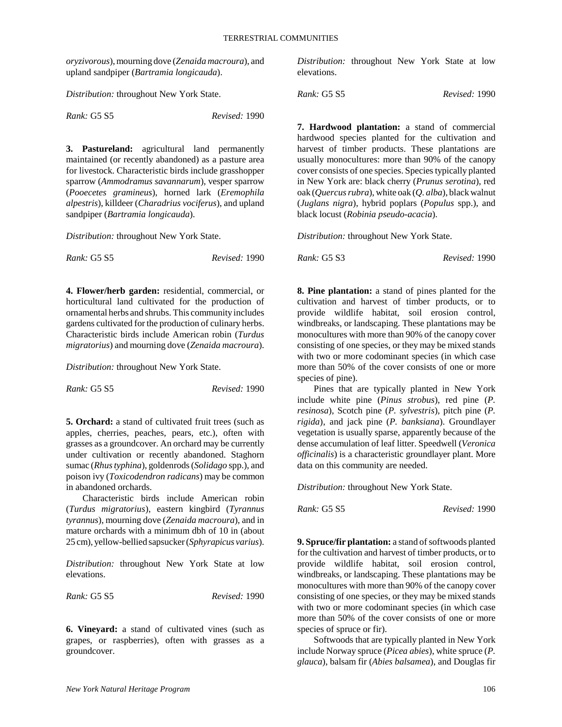*oryzivorous*), mourning dove (*Zenaida macroura*), and upland sandpiper (*Bartramia longicauda*).

*Distribution:* throughout New York State.

| Rank: G5 S5 | Revised: 1990 |
|-------------|---------------|
|-------------|---------------|

**3. Pastureland:** agricultural land permanently maintained (or recently abandoned) as a pasture area for livestock. Characteristic birds include grasshopper sparrow (*Ammodramus savannarum*), vesper sparrow (*Pooecetes gramineus*), horned lark (*Eremophila alpestris*), killdeer (*Charadrius vociferus*), and upland sandpiper (*Bartramia longicauda*).

*Distribution:* throughout New York State.

| <i>Rank:</i> G5 S5 | Revised: 1990 |
|--------------------|---------------|
|--------------------|---------------|

**4. Flower/herb garden:** residential, commercial, or horticultural land cultivated for the production of ornamental herbs and shrubs. This community includes gardens cultivated for the production of culinary herbs. Characteristic birds include American robin (*Turdus migratorius*) and mourning dove (*Zenaida macroura*).

*Distribution:* throughout New York State.

*Rank:* G5 S5 *Revised:* 1990

**5. Orchard:** a stand of cultivated fruit trees (such as apples, cherries, peaches, pears, etc.), often with grasses as a groundcover. An orchard may be currently under cultivation or recently abandoned. Staghorn sumac (*Rhus typhina*), goldenrods (*Solidago* spp.), and poison ivy (*Toxicodendron radicans*) may be common in abandoned orchards.

Characteristic birds include American robin (*Turdus migratorius*), eastern kingbird (*Tyrannus tyrannus*), mourning dove (*Zenaida macroura*), and in mature orchards with a minimum dbh of 10 in (about 25 cm), yellow-bellied sapsucker (*Sphyrapicus varius*).

*Distribution:* throughout New York State at low elevations.

*Rank:* G5 S5 *Revised:* 1990

**6. Vineyard:** a stand of cultivated vines (such as grapes, or raspberries), often with grasses as a groundcover.

*Distribution:* throughout New York State at low elevations.

*Rank:* G5 S5 *Revised:* 1990

**7. Hardwood plantation:** a stand of commercial hardwood species planted for the cultivation and harvest of timber products. These plantations are usually monocultures: more than 90% of the canopy cover consists of one species. Species typically planted in New York are: black cherry (*Prunus serotina*), red oak (*Quercus rubra*), white oak (*Q. alba*), black walnut (*Juglans nigra*), hybrid poplars (*Populus* spp.), and black locust (*Robinia pseudo-acacia*).

*Distribution:* throughout New York State.

*Rank:* G5 S3 *Revised:* 1990

**8. Pine plantation:** a stand of pines planted for the cultivation and harvest of timber products, or to provide wildlife habitat, soil erosion control, windbreaks, or landscaping. These plantations may be monocultures with more than 90% of the canopy cover consisting of one species, or they may be mixed stands with two or more codominant species (in which case more than 50% of the cover consists of one or more species of pine).

Pines that are typically planted in New York include white pine (*Pinus strobus*), red pine (*P. resinosa*), Scotch pine (*P. sylvestris*), pitch pine (*P. rigida*), and jack pine (*P. banksiana*). Groundlayer vegetation is usually sparse, apparently because of the dense accumulation of leaf litter. Speedwell (*Veronica officinalis*) is a characteristic groundlayer plant. More data on this community are needed.

*Distribution:* throughout New York State.

*Rank:* G5 S5 *Revised:* 1990

**9. Spruce/fir plantation:** a stand of softwoods planted for the cultivation and harvest of timber products, or to provide wildlife habitat, soil erosion control, windbreaks, or landscaping. These plantations may be monocultures with more than 90% of the canopy cover consisting of one species, or they may be mixed stands with two or more codominant species (in which case more than 50% of the cover consists of one or more species of spruce or fir).

Softwoods that are typically planted in New York include Norway spruce (*Picea abies*), white spruce (*P. glauca*), balsam fir (*Abies balsamea*), and Douglas fir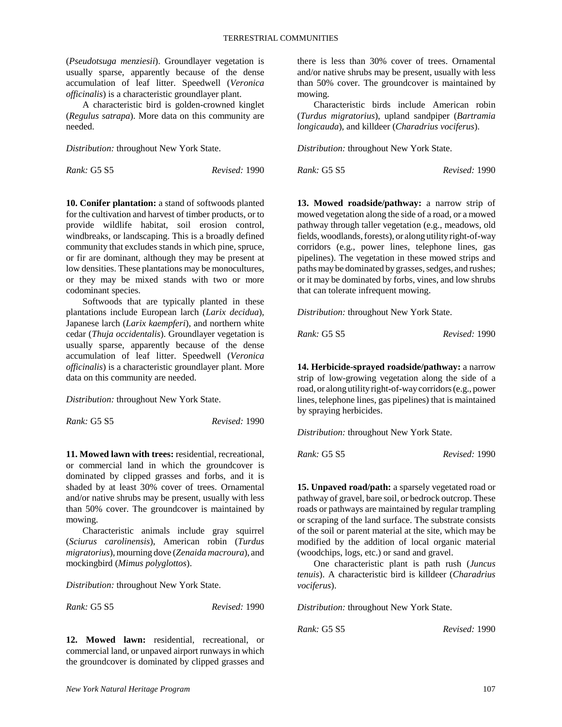(*Pseudotsuga menziesii*). Groundlayer vegetation is usually sparse, apparently because of the dense accumulation of leaf litter. Speedwell (*Veronica officinalis*) is a characteristic groundlayer plant.

A characteristic bird is golden-crowned kinglet (*Regulus satrapa*). More data on this community are needed.

*Distribution:* throughout New York State.

*Rank:* G5 S5 *Revised:* 1990

**10. Conifer plantation:** a stand of softwoods planted for the cultivation and harvest of timber products, or to provide wildlife habitat, soil erosion control, windbreaks, or landscaping. This is a broadly defined community that excludes stands in which pine, spruce, or fir are dominant, although they may be present at low densities. These plantations may be monocultures, or they may be mixed stands with two or more codominant species.

Softwoods that are typically planted in these plantations include European larch (*Larix decidua*), Japanese larch (*Larix kaempferi*), and northern white cedar (*Thuja occidentalis*). Groundlayer vegetation is usually sparse, apparently because of the dense accumulation of leaf litter. Speedwell (*Veronica officinalis*) is a characteristic groundlayer plant. More data on this community are needed.

*Distribution:* throughout New York State.

*Rank:* G5 S5 *Revised:* 1990

**11. Mowed lawn with trees:** residential, recreational, or commercial land in which the groundcover is dominated by clipped grasses and forbs, and it is shaded by at least 30% cover of trees. Ornamental and/or native shrubs may be present, usually with less than 50% cover. The groundcover is maintained by mowing.

Characteristic animals include gray squirrel (*Sciurus carolinensis*), American robin (*Turdus migratorius*), mourning dove (*Zenaida macroura*), and mockingbird (*Mimus polyglottos*).

*Distribution:* throughout New York State.

*Rank:* G5 S5 *Revised:* 1990

**12. Mowed lawn:** residential, recreational, or commercial land, or unpaved airport runways in which the groundcover is dominated by clipped grasses and there is less than 30% cover of trees. Ornamental and/or native shrubs may be present, usually with less than 50% cover. The groundcover is maintained by mowing.

Characteristic birds include American robin (*Turdus migratorius*), upland sandpiper (*Bartramia longicauda*), and killdeer (*Charadrius vociferus*).

*Distribution:* throughout New York State.

*Rank:* G5 S5 *Revised:* 1990

**13. Mowed roadside/pathway:** a narrow strip of mowed vegetation along the side of a road, or a mowed pathway through taller vegetation (e.g., meadows, old fields, woodlands, forests), or along utility right-of-way corridors (e.g., power lines, telephone lines, gas pipelines). The vegetation in these mowed strips and paths may be dominated by grasses, sedges, and rushes; or it may be dominated by forbs, vines, and low shrubs that can tolerate infrequent mowing.

*Distribution:* throughout New York State.

*Rank:* G5 S5 *Revised:* 1990

**14. Herbicide-sprayed roadside/pathway:** a narrow strip of low-growing vegetation along the side of a road, or along utility right-of-way corridors (e.g., power lines, telephone lines, gas pipelines) that is maintained by spraying herbicides.

*Distribution:* throughout New York State.

*Rank:* G5 S5 *Revised:* 1990

**15. Unpaved road/path:** a sparsely vegetated road or pathway of gravel, bare soil, or bedrock outcrop. These roads or pathways are maintained by regular trampling or scraping of the land surface. The substrate consists of the soil or parent material at the site, which may be modified by the addition of local organic material (woodchips, logs, etc.) or sand and gravel.

One characteristic plant is path rush (*Juncus tenuis*). A characteristic bird is killdeer (*Charadrius vociferus*).

*Distribution:* throughout New York State.

*Rank:* G5 S5 *Revised:* 1990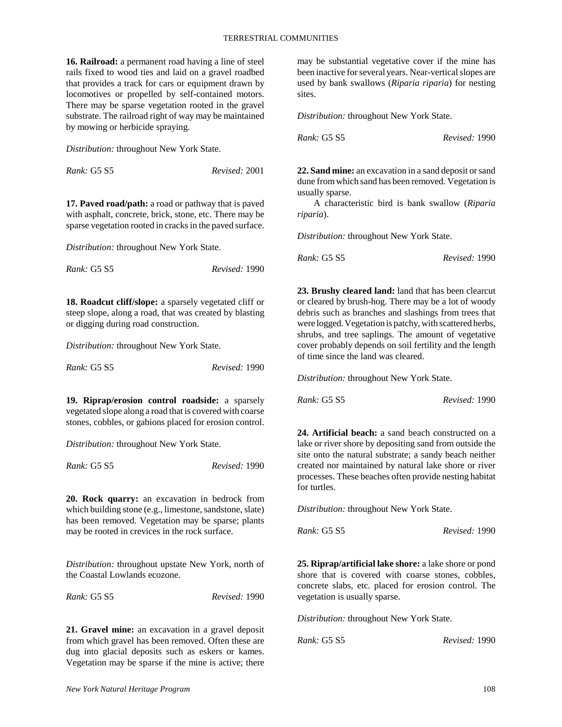**16. Railroad:** a permanent road having a line of steel rails fixed to wood ties and laid on a gravel roadbed that provides a track for cars or equipment drawn by locomotives or propelled by self-contained motors. There may be sparse vegetation rooted in the gravel substrate. The railroad right of way may be maintained by mowing or herbicide spraying.

*Distribution:* throughout New York State.

*Rank:* G5 S5 *Revised:* 2001

**17. Paved road/path:** a road or pathway that is paved with asphalt, concrete, brick, stone, etc. There may be sparse vegetation rooted in cracks in the paved surface.

*Distribution:* throughout New York State.

| <i>Rank:</i> G5 S5 | Revised: 1990 |
|--------------------|---------------|
|--------------------|---------------|

**18. Roadcut cliff/slope:** a sparsely vegetated cliff or steep slope, along a road, that was created by blasting or digging during road construction.

*Distribution:* throughout New York State.

| <i>Rank: G5 S5</i> | Revised: 1990 |
|--------------------|---------------|
|--------------------|---------------|

**19. Riprap/erosion control roadside:** a sparsely vegetated slope along a road that is covered with coarse stones, cobbles, or gabions placed for erosion control.

*Distribution:* throughout New York State.

| Rank: G5 S5 | Revised: 1990 |
|-------------|---------------|
|-------------|---------------|

**20. Rock quarry:** an excavation in bedrock from which building stone (e.g., limestone, sandstone, slate) has been removed. Vegetation may be sparse; plants may be rooted in crevices in the rock surface.

*Distribution:* throughout upstate New York, north of the Coastal Lowlands ecozone.

*Rank:* G5 S5 *Revised:* 1990

**21. Gravel mine:** an excavation in a gravel deposit from which gravel has been removed. Often these are dug into glacial deposits such as eskers or kames. Vegetation may be sparse if the mine is active; there may be substantial vegetative cover if the mine has been inactive for several years. Near-vertical slopes are used by bank swallows (*Riparia riparia*) for nesting sites.

*Distribution:* throughout New York State.

*Rank:* G5 S5 *Revised:* 1990

**22. Sand mine:** an excavation in a sand deposit or sand dune from which sand has been removed. Vegetation is usually sparse.

A characteristic bird is bank swallow (*Riparia riparia*).

*Distribution:* throughout New York State.

*Rank:* G5 S5 *Revised:* 1990

**23. Brushy cleared land:** land that has been clearcut or cleared by brush-hog. There may be a lot of woody debris such as branches and slashings from trees that were logged. Vegetation is patchy, with scattered herbs, shrubs, and tree saplings. The amount of vegetative cover probably depends on soil fertility and the length of time since the land was cleared.

*Distribution:* throughout New York State.

| Rank: G5 S5 | Revised: 1990 |  |
|-------------|---------------|--|
|             |               |  |

**24. Artificial beach:** a sand beach constructed on a lake or river shore by depositing sand from outside the site onto the natural substrate; a sandy beach neither created nor maintained by natural lake shore or river processes. These beaches often provide nesting habitat for turtles.

*Distribution:* throughout New York State.

*Rank:* G5 S5 *Revised:* 1990

**25. Riprap/artificial lake shore:** a lake shore or pond shore that is covered with coarse stones, cobbles, concrete slabs, etc. placed for erosion control. The vegetation is usually sparse.

*Distribution:* throughout New York State.

*Rank:* G5 S5 *Revised:* 1990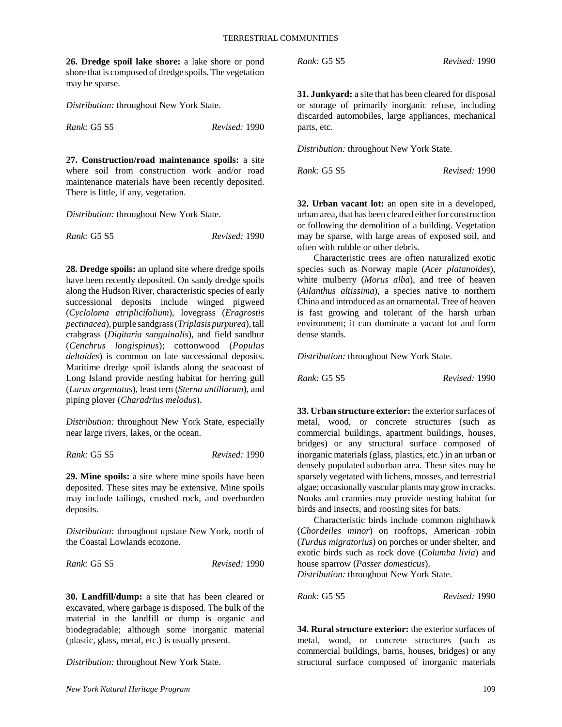**26. Dredge spoil lake shore:** a lake shore or pond shore that is composed of dredge spoils. The vegetation may be sparse.

*Distribution:* throughout New York State.

*Rank:* G5 S5 *Revised:* 1990

**27. Construction/road maintenance spoils:** a site where soil from construction work and/or road maintenance materials have been recently deposited. There is little, if any, vegetation.

*Distribution:* throughout New York State.

| Rank: G5 S5 | Revised: 1990 |
|-------------|---------------|
|-------------|---------------|

**28. Dredge spoils:** an upland site where dredge spoils have been recently deposited. On sandy dredge spoils along the Hudson River, characteristic species of early successional deposits include winged pigweed (*Cycloloma atriplicifolium*), lovegrass (*Eragrostis pectinacea*), purple sandgrass (*Triplasis purpurea*), tall crabgrass (*Digitaria sanguinalis*), and field sandbur (*Cenchrus longispinus*); cottonwood (*Populus deltoides*) is common on late successional deposits. Maritime dredge spoil islands along the seacoast of Long Island provide nesting habitat for herring gull (*Larus argentatus*), least tern (*Sterna antillarum*), and piping plover (*Charadrius melodus*).

*Distribution:* throughout New York State, especially near large rivers, lakes, or the ocean.

*Rank:* G5 S5 *Revised:* 1990

**29. Mine spoils:** a site where mine spoils have been deposited. These sites may be extensive. Mine spoils may include tailings, crushed rock, and overburden deposits.

*Distribution:* throughout upstate New York, north of the Coastal Lowlands ecozone.

*Rank:* G5 S5 *Revised:* 1990

**30. Landfill/dump:** a site that has been cleared or excavated, where garbage is disposed. The bulk of the material in the landfill or dump is organic and biodegradable; although some inorganic material (plastic, glass, metal, etc.) is usually present.

*Distribution:* throughout New York State.

**31. Junkyard:** a site that has been cleared for disposal or storage of primarily inorganic refuse, including discarded automobiles, large appliances, mechanical parts, etc.

*Distribution:* throughout New York State.

*Rank:* G5 S5 *Revised:* 1990

**32. Urban vacant lot:** an open site in a developed, urban area, that has been cleared either for construction or following the demolition of a building. Vegetation may be sparse, with large areas of exposed soil, and often with rubble or other debris.

Characteristic trees are often naturalized exotic species such as Norway maple (*Acer platanoides*), white mulberry (*Morus alba*), and tree of heaven (*Ailanthus altissima*), a species native to northern China and introduced as an ornamental. Tree of heaven is fast growing and tolerant of the harsh urban environment; it can dominate a vacant lot and form dense stands.

*Distribution:* throughout New York State.

*Rank:* G5 S5 *Revised:* 1990

**33. Urban structure exterior:** the exterior surfaces of metal, wood, or concrete structures (such as commercial buildings, apartment buildings, houses, bridges) or any structural surface composed of inorganic materials (glass, plastics, etc.) in an urban or densely populated suburban area. These sites may be sparsely vegetated with lichens, mosses, and terrestrial algae; occasionally vascular plants may grow in cracks. Nooks and crannies may provide nesting habitat for birds and insects, and roosting sites for bats.

Characteristic birds include common nighthawk (*Chordeiles minor*) on rooftops, American robin (*Turdus migratorius*) on porches or under shelter, and exotic birds such as rock dove (*Columba livia*) and house sparrow (*Passer domesticus*).

*Distribution:* throughout New York State.

*Rank:* G5 S5 *Revised:* 1990

**34. Rural structure exterior:** the exterior surfaces of metal, wood, or concrete structures (such as commercial buildings, barns, houses, bridges) or any structural surface composed of inorganic materials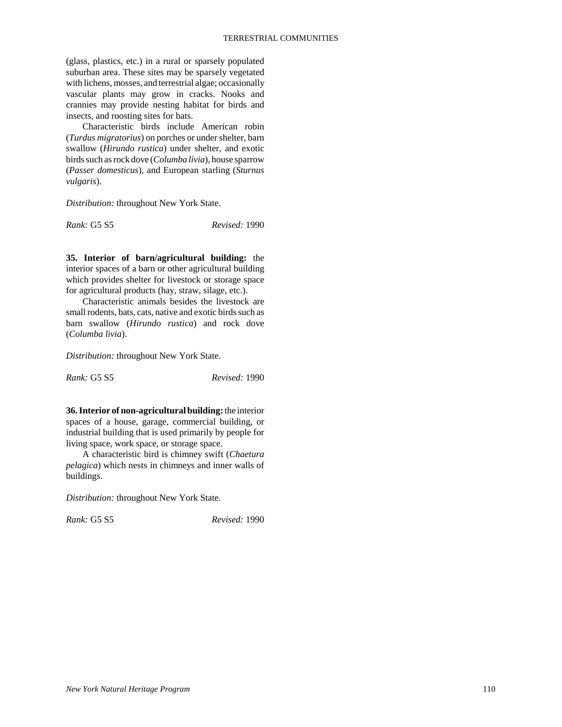(glass, plastics, etc.) in a rural or sparsely populated suburban area. These sites may be sparsely vegetated with lichens, mosses, and terrestrial algae; occasionally vascular plants may grow in cracks. Nooks and crannies may provide nesting habitat for birds and insects, and roosting sites for bats.

Characteristic birds include American robin (*Turdus migratorius*) on porches or under shelter, barn swallow (*Hirundo rustica*) under shelter, and exotic birds such as rock dove (*Columba livia*), house sparrow (*Passer domesticus*), and European starling (*Sturnus vulgaris*).

*Distribution:* throughout New York State.

*Rank:* G5 S5 *Revised:* 1990

**35. Interior of barn/agricultural building:** the interior spaces of a barn or other agricultural building which provides shelter for livestock or storage space for agricultural products (hay, straw, silage, etc.).

Characteristic animals besides the livestock are small rodents, bats, cats, native and exotic birds such as barn swallow (*Hirundo rustica*) and rock dove (*Columba livia*).

*Distribution:* throughout New York State.

*Rank:* G5 S5 *Revised:* 1990

**36. Interior of non-agricultural building:** the interior spaces of a house, garage, commercial building, or industrial building that is used primarily by people for living space, work space, or storage space.

A characteristic bird is chimney swift (*Chaetura pelagica*) which nests in chimneys and inner walls of buildings.

*Distribution:* throughout New York State.

*Rank:* G5 S5 *Revised:* 1990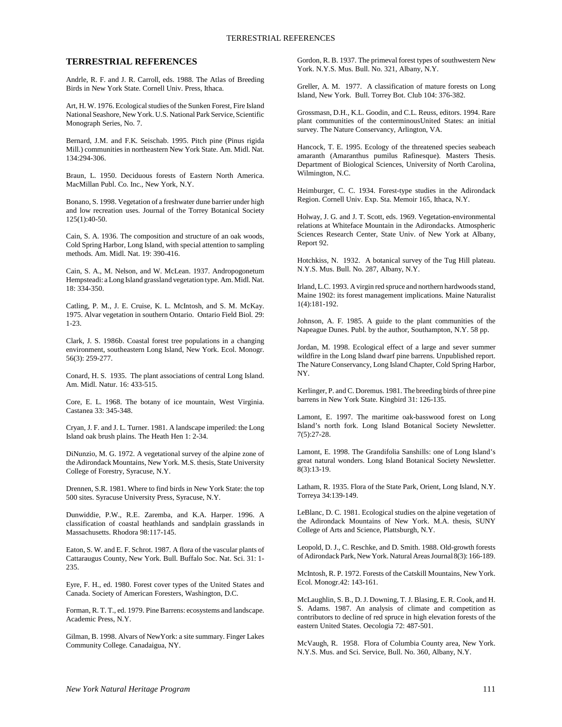#### **TERRESTRIAL REFERENCES**

Andrle, R. F. and J. R. Carroll, eds. 1988. The Atlas of Breeding Birds in New York State. Cornell Univ. Press, Ithaca.

Art, H. W. 1976. Ecological studies of the Sunken Forest, Fire Island National Seashore, New York. U.S. National Park Service, Scientific Monograph Series, No. 7.

Bernard, J.M. and F.K. Seischab. 1995. Pitch pine (Pinus rigida Mill.) communities in northeastern New York State. Am. Midl. Nat. 134:294-306.

Braun, L. 1950. Deciduous forests of Eastern North America. MacMillan Publ. Co. Inc., New York, N.Y.

Bonano, S. 1998. Vegetation of a freshwater dune barrier under high and low recreation uses. Journal of the Torrey Botanical Society 125(1):40-50.

Cain, S. A. 1936. The composition and structure of an oak woods, Cold Spring Harbor, Long Island, with special attention to sampling methods. Am. Midl. Nat. 19: 390-416.

Cain, S. A., M. Nelson, and W. McLean. 1937. Andropogonetum Hempsteadi: a Long Island grassland vegetation type. Am. Midl. Nat. 18: 334-350.

Catling, P. M., J. E. Cruise, K. L. McIntosh, and S. M. McKay. 1975. Alvar vegetation in southern Ontario. Ontario Field Biol. 29: 1-23.

Clark, J. S. 1986b. Coastal forest tree populations in a changing environment, southeastern Long Island, New York. Ecol. Monogr. 56(3): 259-277.

Conard, H. S. 1935. The plant associations of central Long Island. Am. Midl. Natur. 16: 433-515.

Core, E. L. 1968. The botany of ice mountain, West Virginia. Castanea 33: 345-348.

Cryan, J. F. and J. L. Turner. 1981. A landscape imperiled: the Long Island oak brush plains. The Heath Hen 1: 2-34.

DiNunzio, M. G. 1972. A vegetational survey of the alpine zone of the Adirondack Mountains, New York. M.S. thesis, State University College of Forestry, Syracuse, N.Y.

Drennen, S.R. 1981. Where to find birds in New York State: the top 500 sites. Syracuse University Press, Syracuse, N.Y.

Dunwiddie, P.W., R.E. Zaremba, and K.A. Harper. 1996. A classification of coastal heathlands and sandplain grasslands in Massachusetts. Rhodora 98:117-145.

Eaton, S. W. and E. F. Schrot. 1987. A flora of the vascular plants of Cattaraugus County, New York. Bull. Buffalo Soc. Nat. Sci. 31: 1- 235.

Eyre, F. H., ed. 1980. Forest cover types of the United States and Canada. Society of American Foresters, Washington, D.C.

Forman, R. T. T., ed. 1979. Pine Barrens: ecosystems and landscape. Academic Press, N.Y.

Gilman, B. 1998. Alvars of NewYork: a site summary. Finger Lakes Community College. Canadaigua, NY.

Gordon, R. B. 1937. The primeval forest types of southwestern New York. N.Y.S. Mus. Bull. No. 321, Albany, N.Y.

Greller, A. M. 1977. A classification of mature forests on Long Island, New York. Bull. Torrey Bot. Club 104: 376-382.

Grossmasn, D.H., K.L. Goodin, and C.L. Reuss, editors. 1994. Rare plant communities of the conterminousUnited States: an initial survey. The Nature Conservancy, Arlington, VA.

Hancock, T. E. 1995. Ecology of the threatened species seabeach amaranth (Amaranthus pumilus Rafinesque). Masters Thesis. Department of Biological Sciences, University of North Carolina, Wilmington, N.C.

Heimburger, C. C. 1934. Forest-type studies in the Adirondack Region. Cornell Univ. Exp. Sta. Memoir 165, Ithaca, N.Y.

Holway, J. G. and J. T. Scott, eds. 1969. Vegetation-environmental relations at Whiteface Mountain in the Adirondacks. Atmospheric Sciences Research Center, State Univ. of New York at Albany, Report 92.

Hotchkiss, N. 1932. A botanical survey of the Tug Hill plateau. N.Y.S. Mus. Bull. No. 287, Albany, N.Y.

Irland, L.C. 1993. A virgin red spruce and northern hardwoods stand, Maine 1902: its forest management implications. Maine Naturalist 1(4):181-192.

Johnson, A. F. 1985. A guide to the plant communities of the Napeague Dunes. Publ. by the author, Southampton, N.Y. 58 pp.

Jordan, M. 1998. Ecological effect of a large and sever summer wildfire in the Long Island dwarf pine barrens. Unpublished report. The Nature Conservancy, Long Island Chapter, Cold Spring Harbor, NY.

Kerlinger, P. and C. Doremus. 1981. The breeding birds of three pine barrens in New York State. Kingbird 31: 126-135.

Lamont, E. 1997. The maritime oak-basswood forest on Long Island's north fork. Long Island Botanical Society Newsletter. 7(5):27-28.

Lamont, E. 1998. The Grandifolia Sanshills: one of Long Island's great natural wonders. Long Island Botanical Society Newsletter.  $8(3):13-19.$ 

Latham, R. 1935. Flora of the State Park, Orient, Long Island, N.Y. Torreya 34:139-149.

LeBlanc, D. C. 1981. Ecological studies on the alpine vegetation of the Adirondack Mountains of New York. M.A. thesis, SUNY College of Arts and Science, Plattsburgh, N.Y.

Leopold, D. J., C. Reschke, and D. Smith. 1988. Old-growth forests of Adirondack Park, New York. Natural Areas Journal 8(3): 166-189.

McIntosh, R. P. 1972. Forests of the Catskill Mountains, New York. Ecol. Monogr.42: 143-161.

McLaughlin, S. B., D. J. Downing, T. J. Blasing, E. R. Cook, and H. S. Adams. 1987. An analysis of climate and competition as contributors to decline of red spruce in high elevation forests of the eastern United States. Oecologia 72: 487-501.

McVaugh, R. 1958. Flora of Columbia County area, New York. N.Y.S. Mus. and Sci. Service, Bull. No. 360, Albany, N.Y.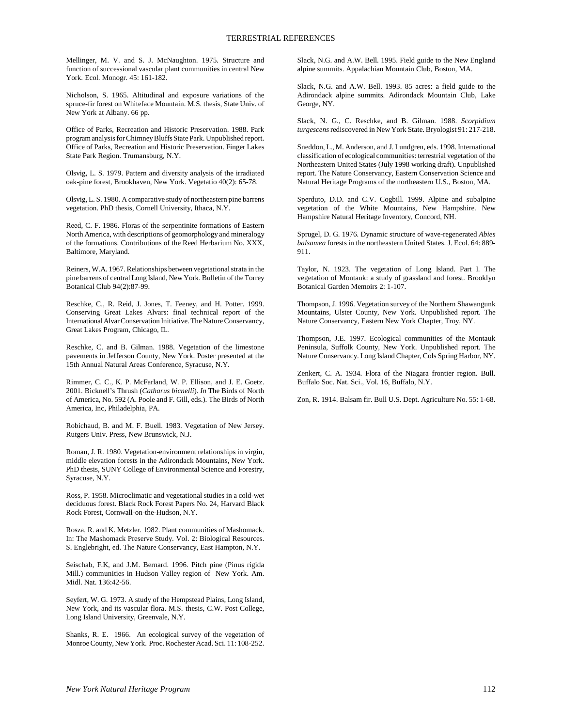Mellinger, M. V. and S. J. McNaughton. 1975. Structure and function of successional vascular plant communities in central New York. Ecol. Monogr. 45: 161-182.

Nicholson, S. 1965. Altitudinal and exposure variations of the spruce-fir forest on Whiteface Mountain. M.S. thesis, State Univ. of New York at Albany. 66 pp.

Office of Parks, Recreation and Historic Preservation. 1988. Park program analysis for Chimney Bluffs State Park. Unpublished report. Office of Parks, Recreation and Historic Preservation. Finger Lakes State Park Region. Trumansburg, N.Y.

Olsvig, L. S. 1979. Pattern and diversity analysis of the irradiated oak-pine forest, Brookhaven, New York. Vegetatio 40(2): 65-78.

Olsvig, L. S. 1980. A comparative study of northeastern pine barrens vegetation. PhD thesis, Cornell University, Ithaca, N.Y.

Reed, C. F. 1986. Floras of the serpentinite formations of Eastern North America, with descriptions of geomorphology and mineralogy of the formations. Contributions of the Reed Herbarium No. XXX, Baltimore, Maryland.

Reiners, W.A. 1967. Relationships between vegetational strata in the pine barrens of central Long Island, New York. Bulletin of the Torrey Botanical Club 94(2):87-99.

Reschke, C., R. Reid, J. Jones, T. Feeney, and H. Potter. 1999. Conserving Great Lakes Alvars: final technical report of the International Alvar Conservation Initiative. The Nature Conservancy, Great Lakes Program, Chicago, IL.

Reschke, C. and B. Gilman. 1988. Vegetation of the limestone pavements in Jefferson County, New York. Poster presented at the 15th Annual Natural Areas Conference, Syracuse, N.Y.

Rimmer, C. C., K. P. McFarland, W. P. Ellison, and J. E. Goetz. 2001. Bicknell's Thrush (*Catharus bicnelli*). *In* The Birds of North of America, No. 592 (A. Poole and F. Gill, eds.). The Birds of North America, Inc, Philadelphia, PA.

Robichaud, B. and M. F. Buell. 1983. Vegetation of New Jersey. Rutgers Univ. Press, New Brunswick, N.J.

Roman, J. R. 1980. Vegetation-environment relationships in virgin, middle elevation forests in the Adirondack Mountains, New York. PhD thesis, SUNY College of Environmental Science and Forestry, Syracuse, N.Y.

Ross, P. 1958. Microclimatic and vegetational studies in a cold-wet deciduous forest. Black Rock Forest Papers No. 24, Harvard Black Rock Forest, Cornwall-on-the-Hudson, N.Y.

Rosza, R. and K. Metzler. 1982. Plant communities of Mashomack. In: The Mashomack Preserve Study. Vol. 2: Biological Resources. S. Englebright, ed. The Nature Conservancy, East Hampton, N.Y.

Seischab, F.K, and J.M. Bernard. 1996. Pitch pine (Pinus rigida Mill.) communities in Hudson Valley region of New York. Am. Midl. Nat. 136:42-56.

Seyfert, W. G. 1973. A study of the Hempstead Plains, Long Island, New York, and its vascular flora. M.S. thesis, C.W. Post College, Long Island University, Greenvale, N.Y.

Shanks, R. E. 1966. An ecological survey of the vegetation of Monroe County, New York. Proc. Rochester Acad. Sci. 11: 108-252. Slack, N.G. and A.W. Bell. 1995. Field guide to the New England alpine summits. Appalachian Mountain Club, Boston, MA.

Slack, N.G. and A.W. Bell. 1993. 85 acres: a field guide to the Adirondack alpine summits. Adirondack Mountain Club, Lake George, NY.

Slack, N. G., C. Reschke, and B. Gilman. 1988. *Scorpidium turgescens* rediscovered in New York State. Bryologist 91: 217-218.

Sneddon, L., M. Anderson, and J. Lundgren, eds. 1998. International classification of ecological communities: terrestrial vegetation of the Northeastern United States (July 1998 working draft). Unpublished report. The Nature Conservancy, Eastern Conservation Science and Natural Heritage Programs of the northeastern U.S., Boston, MA.

Sperduto, D.D. and C.V. Cogbill. 1999. Alpine and subalpine vegetation of the White Mountains, New Hampshire. New Hampshire Natural Heritage Inventory, Concord, NH.

Sprugel, D. G. 1976. Dynamic structure of wave-regenerated *Abies balsamea* forests in the northeastern United States. J. Ecol. 64: 889- 911.

Taylor, N. 1923. The vegetation of Long Island. Part I. The vegetation of Montauk: a study of grassland and forest. Brooklyn Botanical Garden Memoirs 2: 1-107.

Thompson, J. 1996. Vegetation survey of the Northern Shawangunk Mountains, Ulster County, New York. Unpublished report. The Nature Conservancy, Eastern New York Chapter, Troy, NY.

Thompson, J.E. 1997. Ecological communities of the Montauk Peninsula, Suffolk County, New York. Unpublished report. The Nature Conservancy. Long Island Chapter, Cols Spring Harbor, NY.

Zenkert, C. A. 1934. Flora of the Niagara frontier region. Bull. Buffalo Soc. Nat. Sci., Vol. 16, Buffalo, N.Y.

Zon, R. 1914. Balsam fir. Bull U.S. Dept. Agriculture No. 55: 1-68.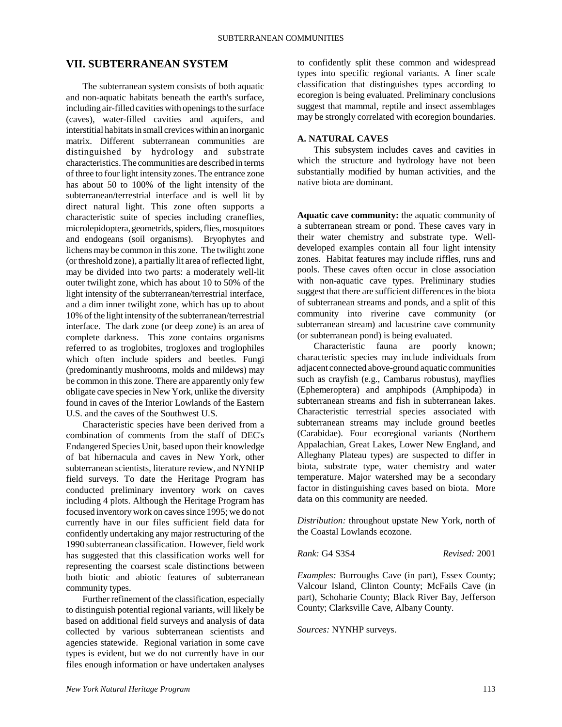# **VII. SUBTERRANEAN SYSTEM**

The subterranean system consists of both aquatic and non-aquatic habitats beneath the earth's surface, including air-filled cavities with openings to the surface (caves), water-filled cavities and aquifers, and interstitial habitats in small crevices within an inorganic matrix. Different subterranean communities are distinguished by hydrology and substrate characteristics. The communities are described in terms of three to four light intensity zones. The entrance zone has about 50 to 100% of the light intensity of the subterranean/terrestrial interface and is well lit by direct natural light. This zone often supports a characteristic suite of species including craneflies, microlepidoptera, geometrids, spiders, flies, mosquitoes and endogeans (soil organisms). Bryophytes and lichens may be common in this zone. The twilight zone (or threshold zone), a partially lit area of reflected light, may be divided into two parts: a moderately well-lit outer twilight zone, which has about 10 to 50% of the light intensity of the subterranean/terrestrial interface, and a dim inner twilight zone, which has up to about 10% of the light intensity of the subterranean/terrestrial interface. The dark zone (or deep zone) is an area of complete darkness. This zone contains organisms referred to as troglobites, trogloxes and troglophiles which often include spiders and beetles. Fungi (predominantly mushrooms, molds and mildews) may be common in this zone. There are apparently only few obligate cave species in New York, unlike the diversity found in caves of the Interior Lowlands of the Eastern U.S. and the caves of the Southwest U.S.

Characteristic species have been derived from a combination of comments from the staff of DEC's Endangered Species Unit, based upon their knowledge of bat hibernacula and caves in New York, other subterranean scientists, literature review, and NYNHP field surveys. To date the Heritage Program has conducted preliminary inventory work on caves including 4 plots. Although the Heritage Program has focused inventory work on caves since 1995; we do not currently have in our files sufficient field data for confidently undertaking any major restructuring of the 1990 subterranean classification. However, field work has suggested that this classification works well for representing the coarsest scale distinctions between both biotic and abiotic features of subterranean community types.

Further refinement of the classification, especially to distinguish potential regional variants, will likely be based on additional field surveys and analysis of data collected by various subterranean scientists and agencies statewide. Regional variation in some cave types is evident, but we do not currently have in our files enough information or have undertaken analyses

to confidently split these common and widespread types into specific regional variants. A finer scale classification that distinguishes types according to ecoregion is being evaluated. Preliminary conclusions suggest that mammal, reptile and insect assemblages may be strongly correlated with ecoregion boundaries.

# **A. NATURAL CAVES**

This subsystem includes caves and cavities in which the structure and hydrology have not been substantially modified by human activities, and the native biota are dominant.

**Aquatic cave community:** the aquatic community of a subterranean stream or pond. These caves vary in their water chemistry and substrate type. Welldeveloped examples contain all four light intensity zones. Habitat features may include riffles, runs and pools. These caves often occur in close association with non-aquatic cave types. Preliminary studies suggest that there are sufficient differences in the biota of subterranean streams and ponds, and a split of this community into riverine cave community (or subterranean stream) and lacustrine cave community (or subterranean pond) is being evaluated.

Characteristic fauna are poorly known; characteristic species may include individuals from adjacent connected above-ground aquatic communities such as crayfish (e.g., Cambarus robustus), mayflies (Ephemeroptera) and amphipods (Amphipoda) in subterranean streams and fish in subterranean lakes. Characteristic terrestrial species associated with subterranean streams may include ground beetles (Carabidae). Four ecoregional variants (Northern Appalachian, Great Lakes, Lower New England, and Alleghany Plateau types) are suspected to differ in biota, substrate type, water chemistry and water temperature. Major watershed may be a secondary factor in distinguishing caves based on biota. More data on this community are needed.

*Distribution:* throughout upstate New York, north of the Coastal Lowlands ecozone.

*Rank:* G4 S3S4 *Revised:* 2001

*Examples:* Burroughs Cave (in part), Essex County; Valcour Island, Clinton County; McFails Cave (in part), Schoharie County; Black River Bay, Jefferson County; Clarksville Cave, Albany County.

*Sources:* NYNHP surveys.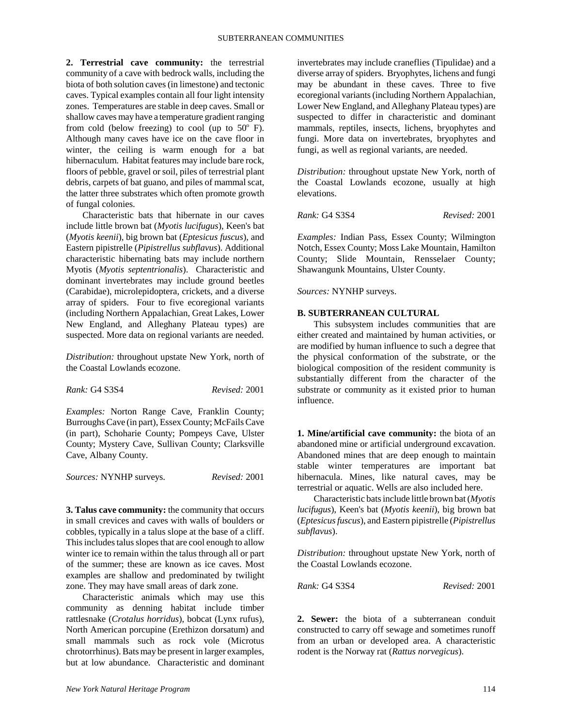**2. Terrestrial cave community:** the terrestrial community of a cave with bedrock walls, including the biota of both solution caves (in limestone) and tectonic caves. Typical examples contain all four light intensity zones. Temperatures are stable in deep caves. Small or shallow caves may have a temperature gradient ranging from cold (below freezing) to cool (up to  $50^{\circ}$  F). Although many caves have ice on the cave floor in winter, the ceiling is warm enough for a bat hibernaculum. Habitat features may include bare rock, floors of pebble, gravel or soil, piles of terrestrial plant debris, carpets of bat guano, and piles of mammal scat, the latter three substrates which often promote growth of fungal colonies.

Characteristic bats that hibernate in our caves include little brown bat (*Myotis lucifugus*), Keen's bat (*Myotis keenii*), big brown bat (*Eptesicus fuscus*), and Eastern pipistrelle (*Pipistrellus subflavus*). Additional characteristic hibernating bats may include northern Myotis (*Myotis septentrionalis*). Characteristic and dominant invertebrates may include ground beetles (Carabidae), microlepidoptera, crickets, and a diverse array of spiders. Four to five ecoregional variants (including Northern Appalachian, Great Lakes, Lower New England, and Alleghany Plateau types) are suspected. More data on regional variants are needed.

*Distribution:* throughout upstate New York, north of the Coastal Lowlands ecozone.

*Rank:* G4 S3S4 *Revised:* 2001

*Examples:* Norton Range Cave, Franklin County; Burroughs Cave (in part), Essex County; McFails Cave (in part), Schoharie County; Pompeys Cave, Ulster County; Mystery Cave, Sullivan County; Clarksville Cave, Albany County.

*Sources:* NYNHP surveys. *Revised:* 2001

**3. Talus cave community:** the community that occurs in small crevices and caves with walls of boulders or cobbles, typically in a talus slope at the base of a cliff. This includes talus slopes that are cool enough to allow winter ice to remain within the talus through all or part of the summer; these are known as ice caves. Most examples are shallow and predominated by twilight zone. They may have small areas of dark zone.

Characteristic animals which may use this community as denning habitat include timber rattlesnake (*Crotalus horridus*), bobcat (Lynx rufus), North American porcupine (Erethizon dorsatum) and small mammals such as rock vole (Microtus chrotorrhinus). Bats may be present in larger examples, but at low abundance. Characteristic and dominant

invertebrates may include craneflies (Tipulidae) and a diverse array of spiders. Bryophytes, lichens and fungi may be abundant in these caves. Three to five ecoregional variants (including Northern Appalachian, Lower New England, and Alleghany Plateau types) are suspected to differ in characteristic and dominant mammals, reptiles, insects, lichens, bryophytes and fungi. More data on invertebrates, bryophytes and fungi, as well as regional variants, are needed.

*Distribution:* throughout upstate New York, north of the Coastal Lowlands ecozone, usually at high elevations.

*Rank:* G4 S3S4 *Revised:* 2001

*Examples:* Indian Pass, Essex County; Wilmington Notch, Essex County; Moss Lake Mountain, Hamilton County; Slide Mountain, Rensselaer County; Shawangunk Mountains, Ulster County.

*Sources:* NYNHP surveys.

## **B. SUBTERRANEAN CULTURAL**

This subsystem includes communities that are either created and maintained by human activities, or are modified by human influence to such a degree that the physical conformation of the substrate, or the biological composition of the resident community is substantially different from the character of the substrate or community as it existed prior to human influence.

**1. Mine/artificial cave community:** the biota of an abandoned mine or artificial underground excavation. Abandoned mines that are deep enough to maintain stable winter temperatures are important bat hibernacula. Mines, like natural caves, may be terrestrial or aquatic. Wells are also included here.

Characteristic bats include little brown bat (*Myotis lucifugus*), Keen's bat (*Myotis keenii*), big brown bat (*Eptesicus fuscus*), and Eastern pipistrelle (*Pipistrellus subflavus*).

*Distribution:* throughout upstate New York, north of the Coastal Lowlands ecozone.

*Rank:* G4 S3S4 *Revised:* 2001

**2. Sewer:** the biota of a subterranean conduit constructed to carry off sewage and sometimes runoff from an urban or developed area. A characteristic rodent is the Norway rat (*Rattus norvegicus*).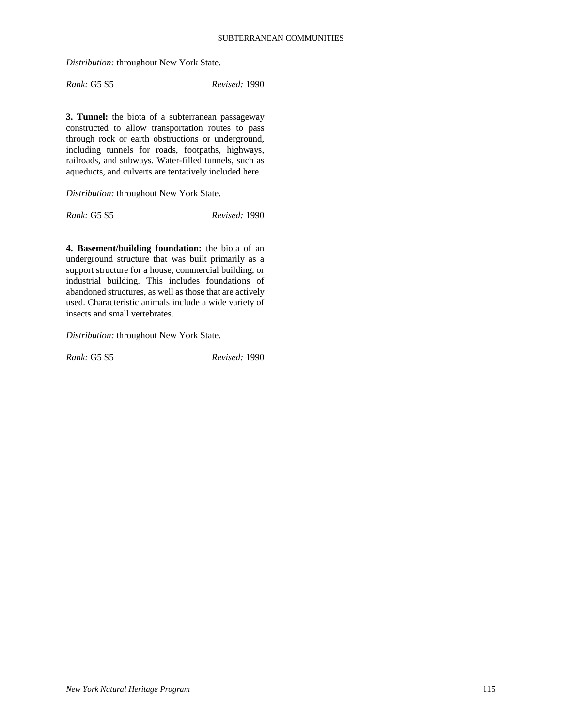*Distribution:* throughout New York State.

*Rank:* G5 S5 *Revised:* 1990

**3. Tunnel:** the biota of a subterranean passageway constructed to allow transportation routes to pass through rock or earth obstructions or underground, including tunnels for roads, footpaths, highways, railroads, and subways. Water-filled tunnels, such as aqueducts, and culverts are tentatively included here.

*Distribution:* throughout New York State.

*Rank:* G5 S5 *Revised:* 1990

**4. Basement/building foundation:** the biota of an underground structure that was built primarily as a support structure for a house, commercial building, or industrial building. This includes foundations of abandoned structures, as well as those that are actively used. Characteristic animals include a wide variety of insects and small vertebrates.

*Distribution:* throughout New York State.

*Rank:* G5 S5 *Revised:* 1990